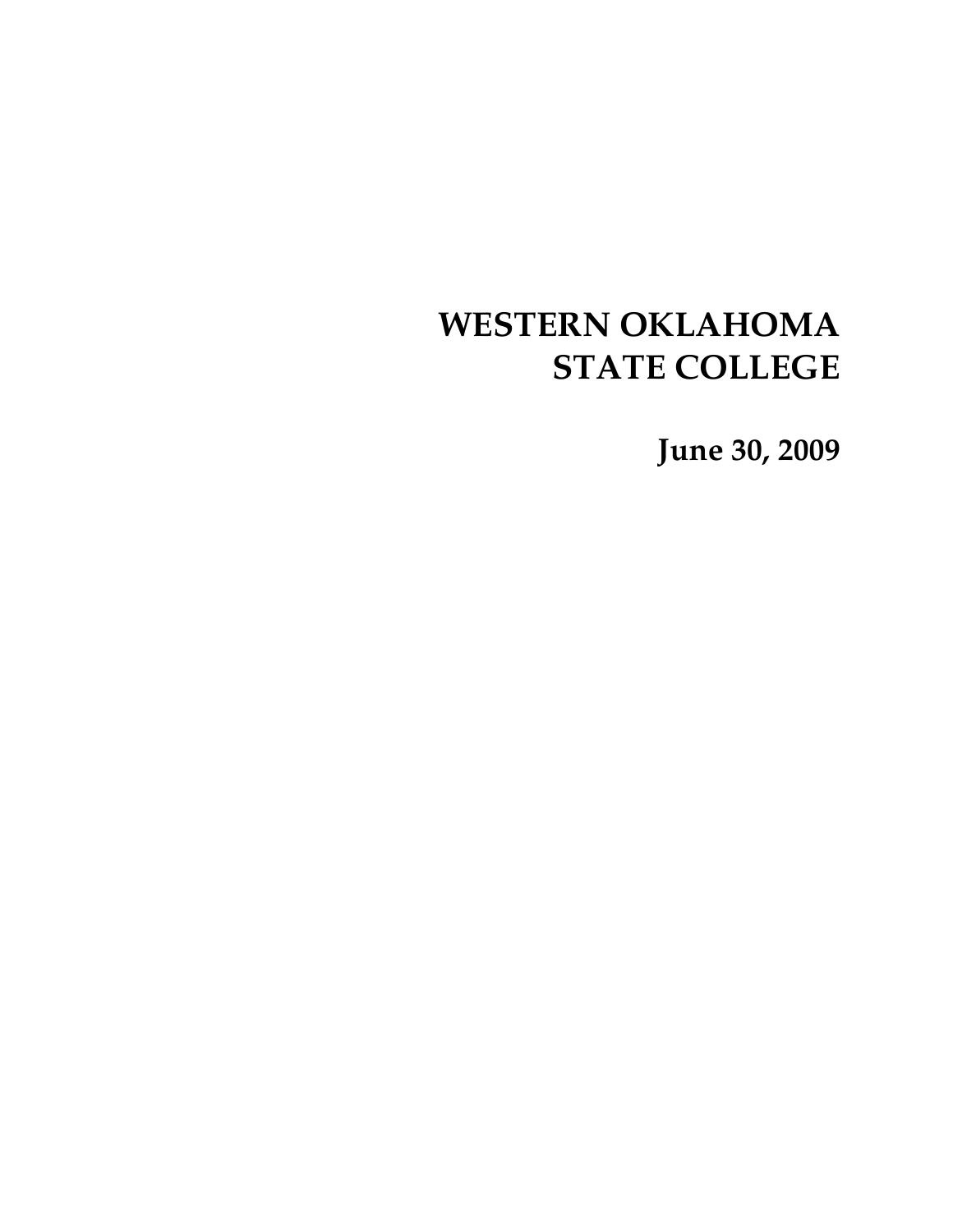# **WESTERN OKLAHOMA STATE COLLEGE**

**June 30, 2009**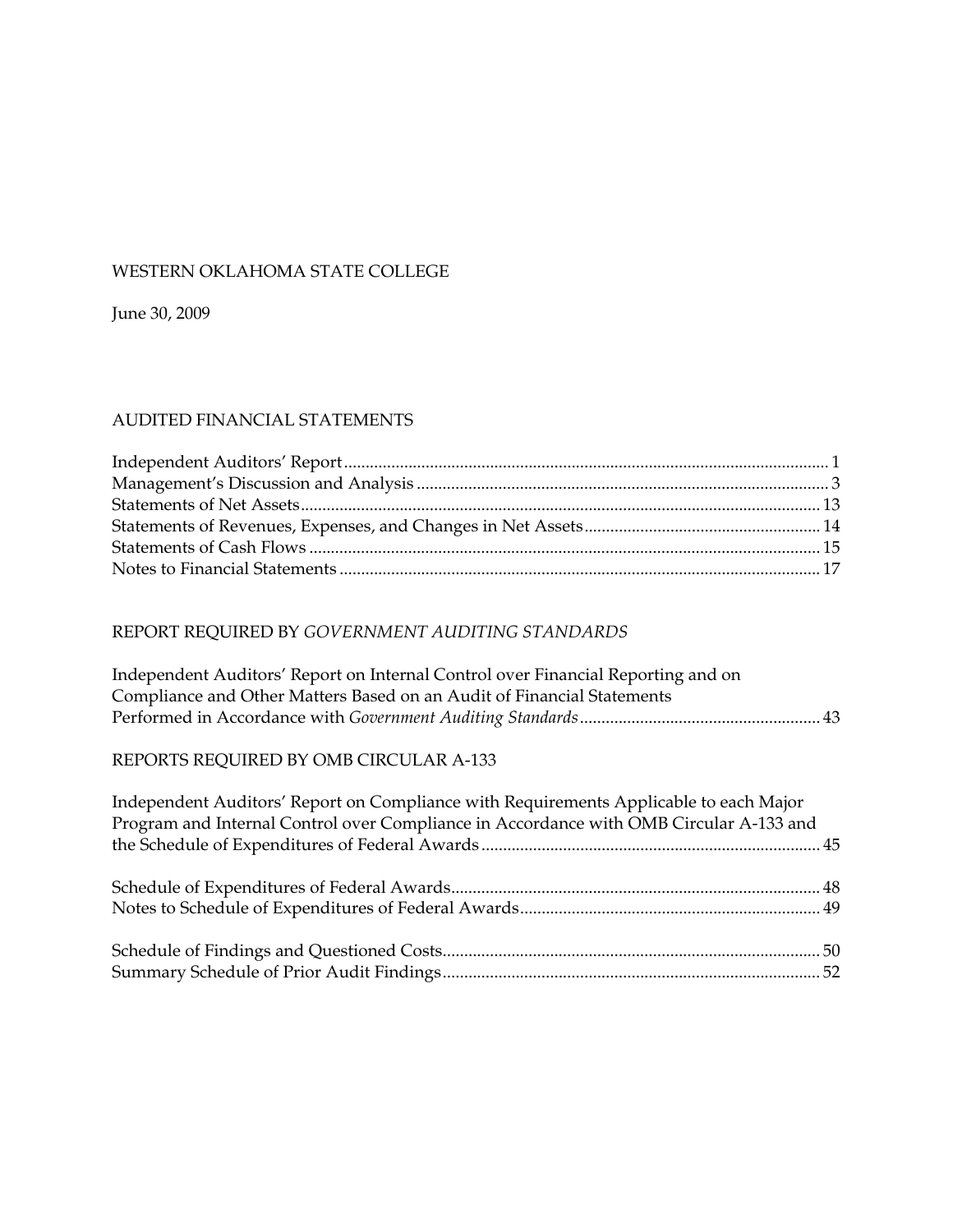#### WESTERN OKLAHOMA STATE COLLEGE

June 30, 2009

#### AUDITED FINANCIAL STATEMENTS

## REPORT REQUIRED BY *GOVERNMENT AUDITING STANDARDS*

| Independent Auditors' Report on Internal Control over Financial Reporting and on |  |
|----------------------------------------------------------------------------------|--|
| Compliance and Other Matters Based on an Audit of Financial Statements           |  |
|                                                                                  |  |

## REPORTS REQUIRED BY OMB CIRCULAR A-133

| Independent Auditors' Report on Compliance with Requirements Applicable to each Major<br>Program and Internal Control over Compliance in Accordance with OMB Circular A-133 and |  |
|---------------------------------------------------------------------------------------------------------------------------------------------------------------------------------|--|
|                                                                                                                                                                                 |  |
|                                                                                                                                                                                 |  |
|                                                                                                                                                                                 |  |
|                                                                                                                                                                                 |  |
|                                                                                                                                                                                 |  |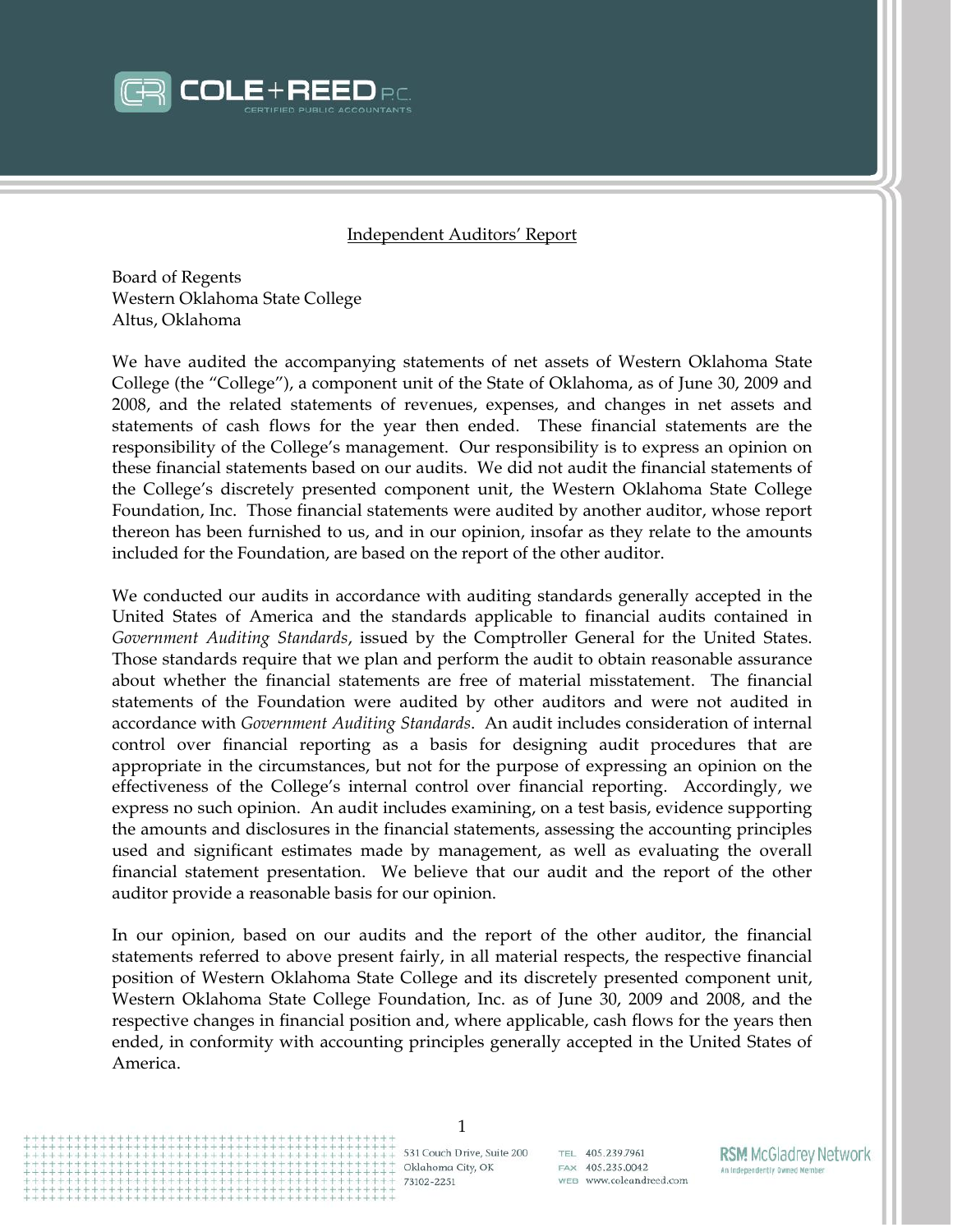

#### Independent Auditors' Report

Board of Regents Western Oklahoma State College Altus, Oklahoma

We have audited the accompanying statements of net assets of Western Oklahoma State College (the "College"), a component unit of the State of Oklahoma, as of June 30, 2009 and 2008, and the related statements of revenues, expenses, and changes in net assets and statements of cash flows for the year then ended. These financial statements are the responsibility of the College's management. Our responsibility is to express an opinion on these financial statements based on our audits. We did not audit the financial statements of the College's discretely presented component unit, the Western Oklahoma State College Foundation, Inc. Those financial statements were audited by another auditor, whose report thereon has been furnished to us, and in our opinion, insofar as they relate to the amounts included for the Foundation, are based on the report of the other auditor.

We conducted our audits in accordance with auditing standards generally accepted in the United States of America and the standards applicable to financial audits contained in *Government Auditing Standards*, issued by the Comptroller General for the United States. Those standards require that we plan and perform the audit to obtain reasonable assurance about whether the financial statements are free of material misstatement. The financial statements of the Foundation were audited by other auditors and were not audited in accordance with *Government Auditing Standards*. An audit includes consideration of internal control over financial reporting as a basis for designing audit procedures that are appropriate in the circumstances, but not for the purpose of expressing an opinion on the effectiveness of the College's internal control over financial reporting. Accordingly, we express no such opinion. An audit includes examining, on a test basis, evidence supporting the amounts and disclosures in the financial statements, assessing the accounting principles used and significant estimates made by management, as well as evaluating the overall financial statement presentation. We believe that our audit and the report of the other auditor provide a reasonable basis for our opinion.

In our opinion, based on our audits and the report of the other auditor, the financial statements referred to above present fairly, in all material respects, the respective financial position of Western Oklahoma State College and its discretely presented component unit, Western Oklahoma State College Foundation, Inc. as of June 30, 2009 and 2008, and the respective changes in financial position and, where applicable, cash flows for the years then ended, in conformity with accounting principles generally accepted in the United States of America.



531 Couch Drive, Suite 200 Oklahoma City, OK 73102-2251

TEL 405.239.7961 FAX 405.235.0042 WEB www.coleandreed.com **RSM McGladrey Network** An Independently Owned Member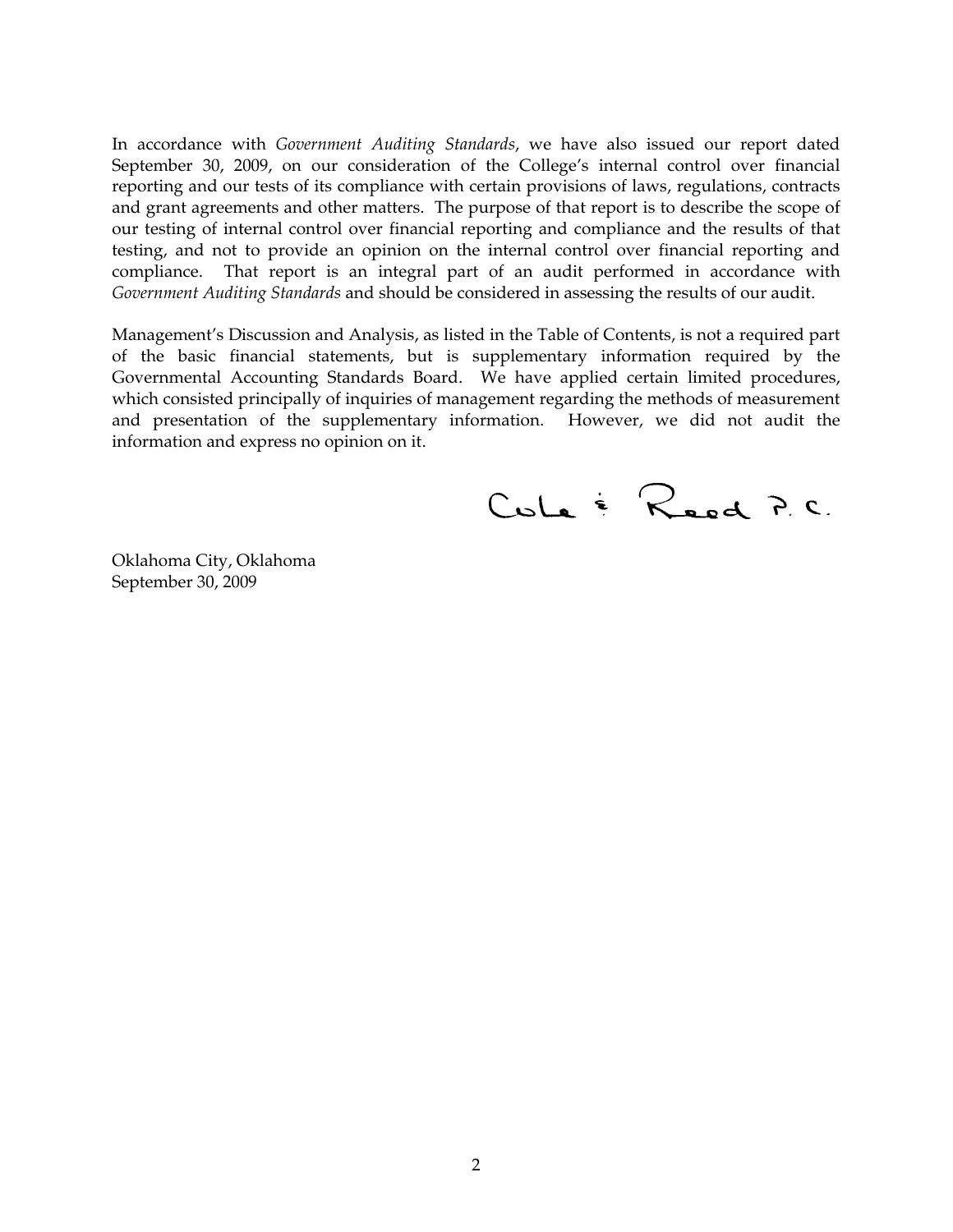In accordance with *Government Auditing Standards*, we have also issued our report dated September 30, 2009, on our consideration of the College's internal control over financial reporting and our tests of its compliance with certain provisions of laws, regulations, contracts and grant agreements and other matters. The purpose of that report is to describe the scope of our testing of internal control over financial reporting and compliance and the results of that testing, and not to provide an opinion on the internal control over financial reporting and compliance. That report is an integral part of an audit performed in accordance with *Government Auditing Standards* and should be considered in assessing the results of our audit.

Management's Discussion and Analysis, as listed in the Table of Contents, is not a required part of the basic financial statements, but is supplementary information required by the Governmental Accounting Standards Board. We have applied certain limited procedures, which consisted principally of inquiries of management regarding the methods of measurement and presentation of the supplementary information. However, we did not audit the information and express no opinion on it.

CuLe & Reed P.C.

Oklahoma City, Oklahoma September 30, 2009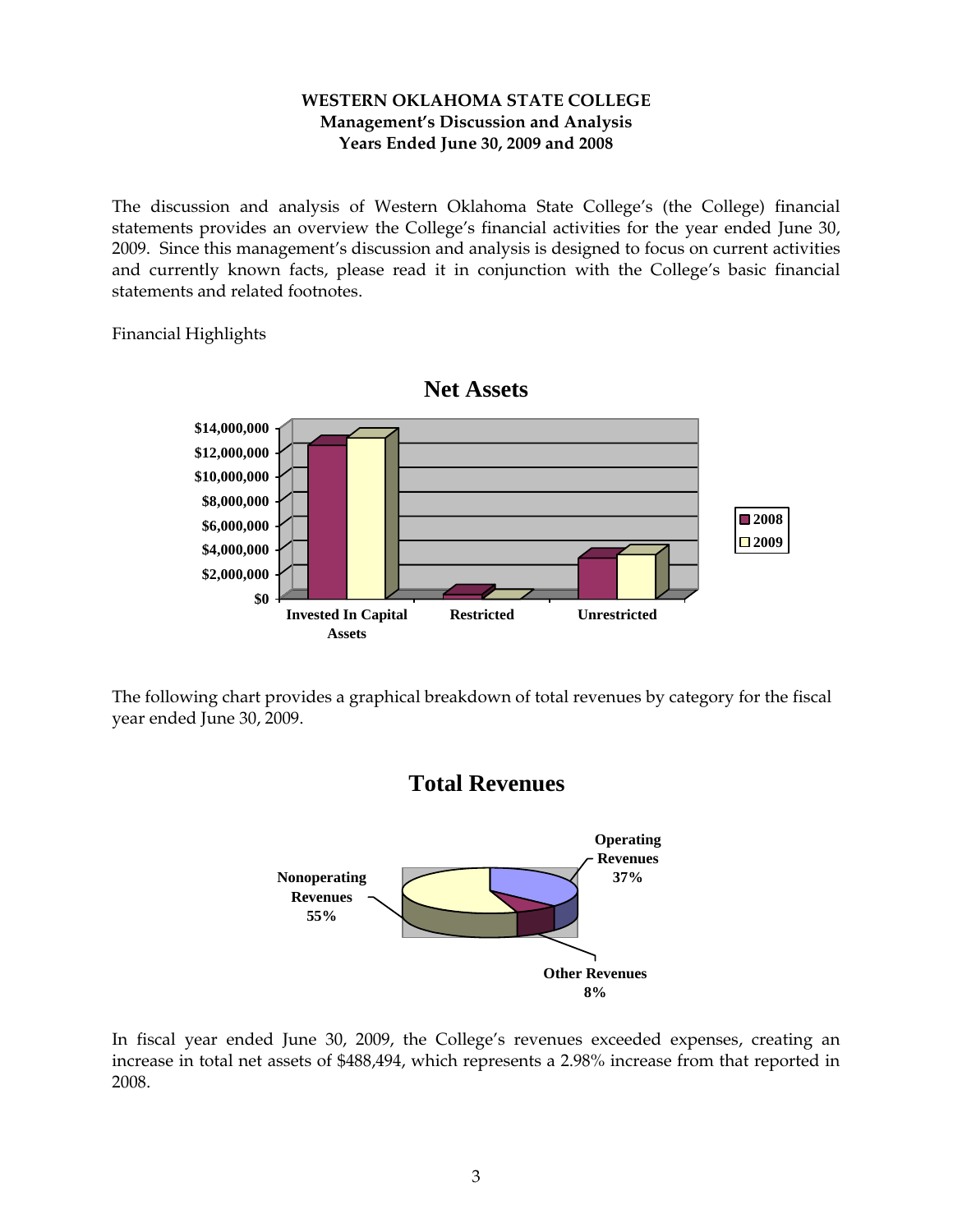The discussion and analysis of Western Oklahoma State College's (the College) financial statements provides an overview the College's financial activities for the year ended June 30, 2009. Since this management's discussion and analysis is designed to focus on current activities and currently known facts, please read it in conjunction with the College's basic financial statements and related footnotes.

Financial Highlights



**Net Assets**

The following chart provides a graphical breakdown of total revenues by category for the fiscal year ended June 30, 2009.



In fiscal year ended June 30, 2009, the College's revenues exceeded expenses, creating an increase in total net assets of \$488,494, which represents a 2.98% increase from that reported in 2008.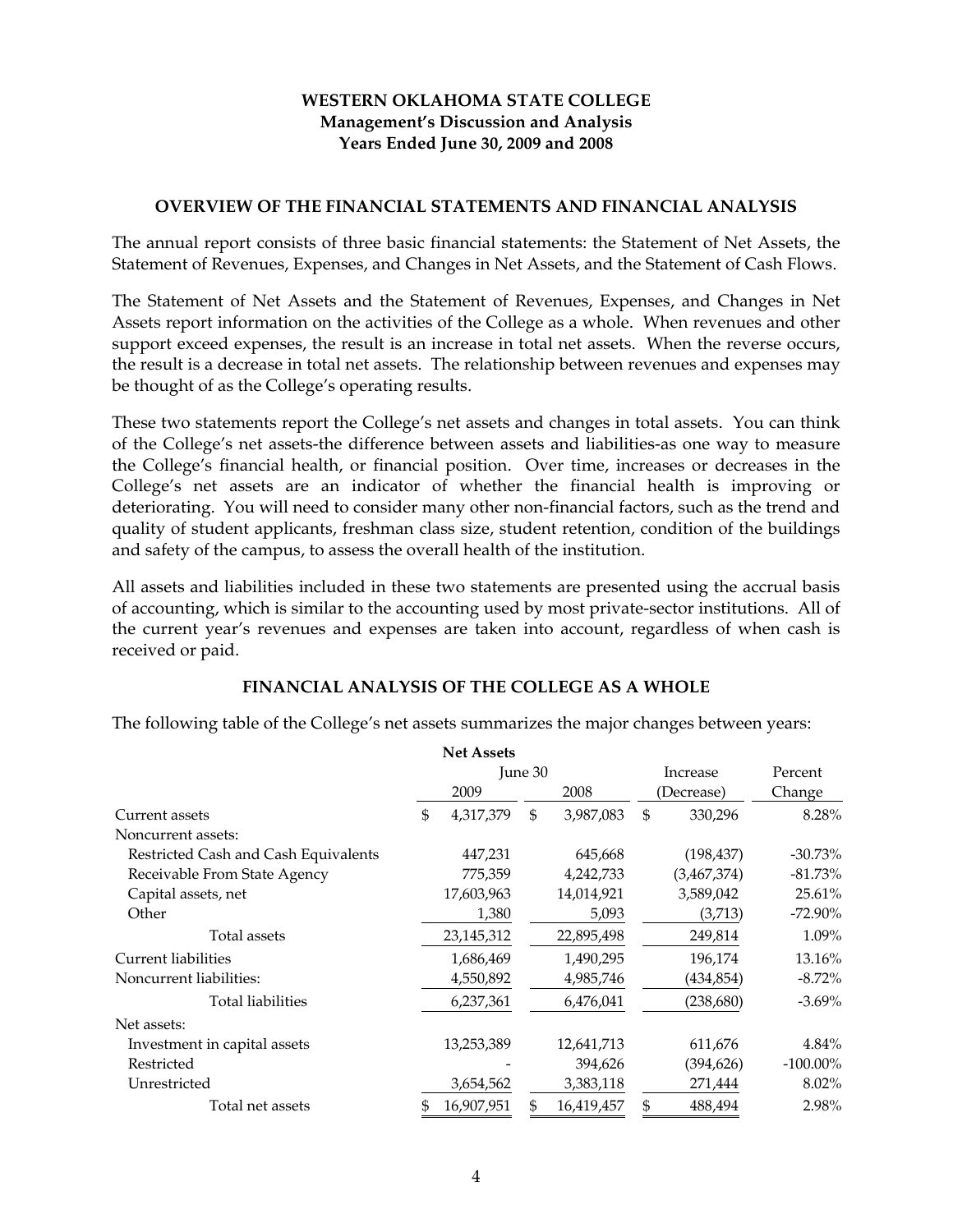#### **OVERVIEW OF THE FINANCIAL STATEMENTS AND FINANCIAL ANALYSIS**

The annual report consists of three basic financial statements: the Statement of Net Assets, the Statement of Revenues, Expenses, and Changes in Net Assets, and the Statement of Cash Flows.

The Statement of Net Assets and the Statement of Revenues, Expenses, and Changes in Net Assets report information on the activities of the College as a whole. When revenues and other support exceed expenses, the result is an increase in total net assets. When the reverse occurs, the result is a decrease in total net assets. The relationship between revenues and expenses may be thought of as the College's operating results.

These two statements report the College's net assets and changes in total assets. You can think of the College's net assets-the difference between assets and liabilities-as one way to measure the College's financial health, or financial position. Over time, increases or decreases in the College's net assets are an indicator of whether the financial health is improving or deteriorating. You will need to consider many other non-financial factors, such as the trend and quality of student applicants, freshman class size, student retention, condition of the buildings and safety of the campus, to assess the overall health of the institution.

All assets and liabilities included in these two statements are presented using the accrual basis of accounting, which is similar to the accounting used by most private-sector institutions. All of the current year's revenues and expenses are taken into account, regardless of when cash is received or paid.

#### **FINANCIAL ANALYSIS OF THE COLLEGE AS A WHOLE**

The following table of the College's net assets summarizes the major changes between years:

|                                      | <b>Net Assets</b> |         |            |          |             |             |
|--------------------------------------|-------------------|---------|------------|----------|-------------|-------------|
|                                      |                   | June 30 |            | Increase |             | Percent     |
|                                      | 2009<br>2008      |         |            |          | (Decrease)  | Change      |
| Current assets                       | \$<br>4,317,379   | \$      | 3,987,083  | \$       | 330,296     | 8.28%       |
| Noncurrent assets:                   |                   |         |            |          |             |             |
| Restricted Cash and Cash Equivalents | 447,231           |         | 645,668    |          | (198, 437)  | $-30.73\%$  |
| Receivable From State Agency         | 775,359           |         | 4,242,733  |          | (3,467,374) | $-81.73\%$  |
| Capital assets, net                  | 17,603,963        |         | 14,014,921 |          | 3,589,042   | 25.61%      |
| Other                                | 1,380             |         | 5,093      |          | (3,713)     | $-72.90\%$  |
| Total assets                         | 23,145,312        |         | 22,895,498 |          | 249,814     | $1.09\%$    |
| Current liabilities                  | 1,686,469         |         | 1,490,295  |          | 196,174     | 13.16%      |
| Noncurrent liabilities:              | 4,550,892         |         | 4,985,746  |          | (434,854)   | $-8.72\%$   |
| <b>Total liabilities</b>             | 6,237,361         |         | 6,476,041  |          | (238,680)   | $-3.69\%$   |
| Net assets:                          |                   |         |            |          |             |             |
| Investment in capital assets         | 13,253,389        |         | 12,641,713 |          | 611,676     | 4.84%       |
| Restricted                           |                   |         | 394,626    |          | (394,626)   | $-100.00\%$ |
| Unrestricted                         | 3,654,562         |         | 3,383,118  |          | 271,444     | 8.02%       |
| Total net assets                     | \$<br>16,907,951  | \$      | 16,419,457 | \$       | 488,494     | 2.98%       |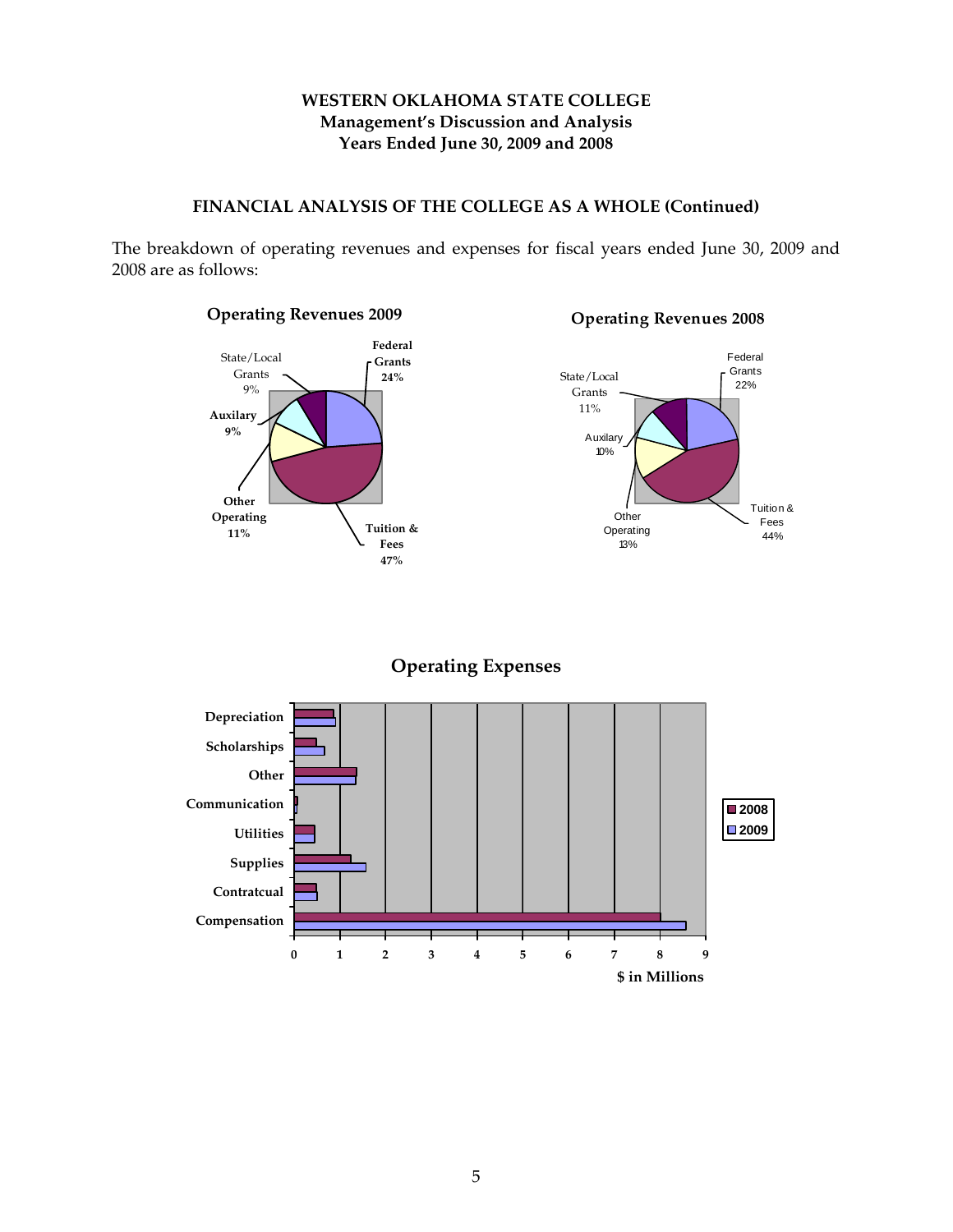#### **FINANCIAL ANALYSIS OF THE COLLEGE AS A WHOLE (Continued)**

The breakdown of operating revenues and expenses for fiscal years ended June 30, 2009 and 2008 are as follows:





#### **Other** Operating 13% Auxilary 10% State/Local Grants 11% Federal Grants 22% Tuition & Fees 44%

**Operating Expenses**



**Operating Revenues 2008**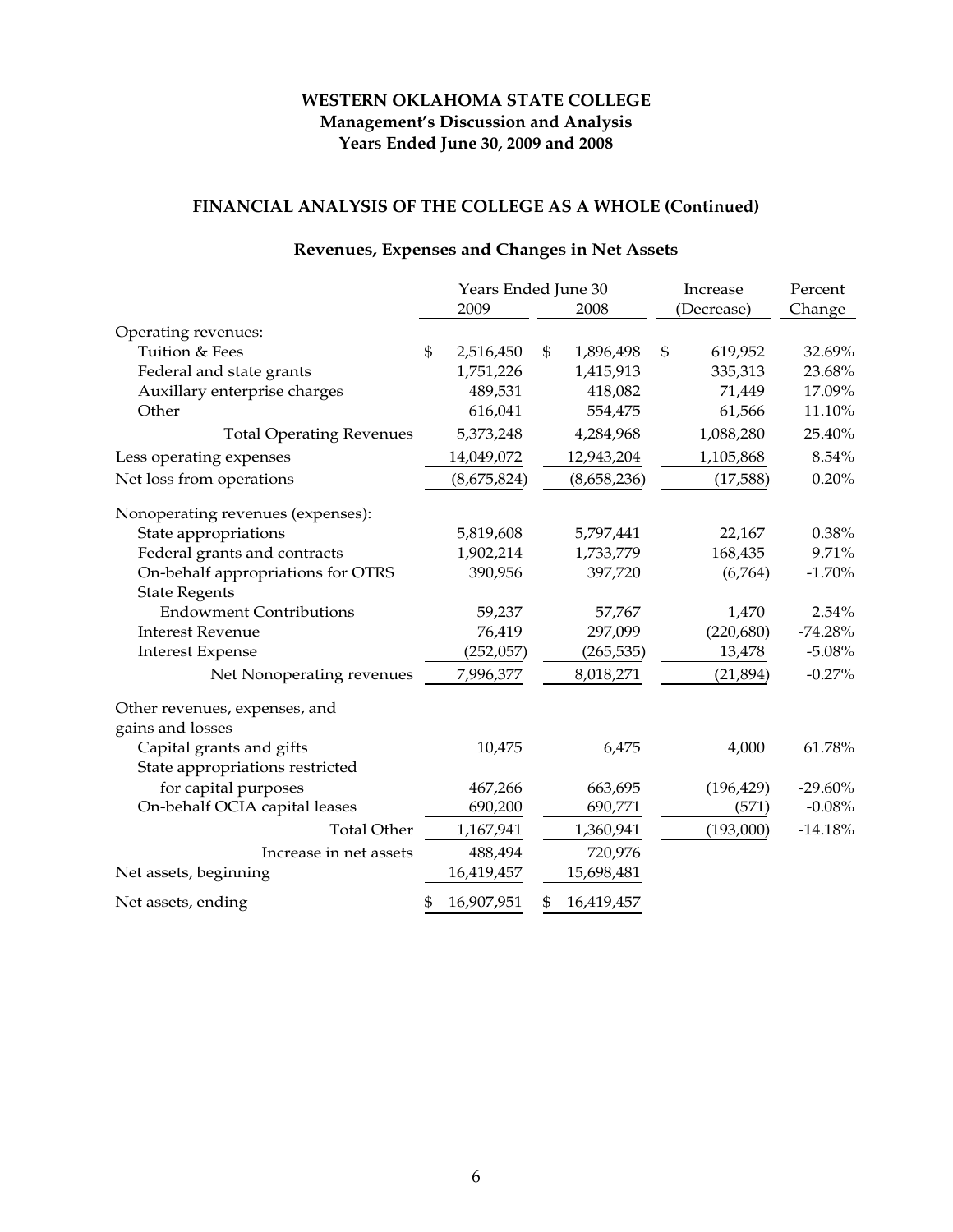## **FINANCIAL ANALYSIS OF THE COLLEGE AS A WHOLE (Continued)**

|                                                           | Years Ended June 30 |    | Increase    | Percent       |            |
|-----------------------------------------------------------|---------------------|----|-------------|---------------|------------|
|                                                           | 2009                |    | 2008        | (Decrease)    | Change     |
| Operating revenues:                                       |                     |    |             |               |            |
| Tuition & Fees                                            | \$<br>2,516,450     | \$ | 1,896,498   | \$<br>619,952 | 32.69%     |
| Federal and state grants                                  | 1,751,226           |    | 1,415,913   | 335,313       | 23.68%     |
| Auxillary enterprise charges                              | 489,531             |    | 418,082     | 71,449        | 17.09%     |
| Other                                                     | 616,041             |    | 554,475     | 61,566        | 11.10%     |
| <b>Total Operating Revenues</b>                           | 5,373,248           |    | 4,284,968   | 1,088,280     | 25.40%     |
| Less operating expenses                                   | 14,049,072          |    | 12,943,204  | 1,105,868     | 8.54%      |
| Net loss from operations                                  | (8,675,824)         |    | (8,658,236) | (17,588)      | 0.20%      |
| Nonoperating revenues (expenses):                         |                     |    |             |               |            |
| State appropriations                                      | 5,819,608           |    | 5,797,441   | 22,167        | 0.38%      |
| Federal grants and contracts                              | 1,902,214           |    | 1,733,779   | 168,435       | 9.71%      |
| On-behalf appropriations for OTRS<br><b>State Regents</b> | 390,956             |    | 397,720     | (6,764)       | $-1.70%$   |
| <b>Endowment Contributions</b>                            | 59,237              |    | 57,767      | 1,470         | 2.54%      |
| <b>Interest Revenue</b>                                   | 76,419              |    | 297,099     | (220, 680)    | $-74.28%$  |
| <b>Interest Expense</b>                                   | (252,057)           |    | (265, 535)  | 13,478        | $-5.08%$   |
| Net Nonoperating revenues                                 | 7,996,377           |    | 8,018,271   | (21, 894)     | $-0.27%$   |
| Other revenues, expenses, and<br>gains and losses         |                     |    |             |               |            |
| Capital grants and gifts                                  | 10,475              |    | 6,475       | 4,000         | 61.78%     |
| State appropriations restricted                           |                     |    |             |               |            |
| for capital purposes                                      | 467,266             |    | 663,695     | (196, 429)    | $-29.60\%$ |
| On-behalf OCIA capital leases                             | 690,200             |    | 690,771     | (571)         | $-0.08%$   |
| <b>Total Other</b>                                        | 1,167,941           |    | 1,360,941   | (193,000)     | $-14.18%$  |
| Increase in net assets                                    | 488,494             |    | 720,976     |               |            |
| Net assets, beginning                                     | 16,419,457          |    | 15,698,481  |               |            |
| Net assets, ending                                        | \$<br>16,907,951    | \$ | 16,419,457  |               |            |

#### **Revenues, Expenses and Changes in Net Assets**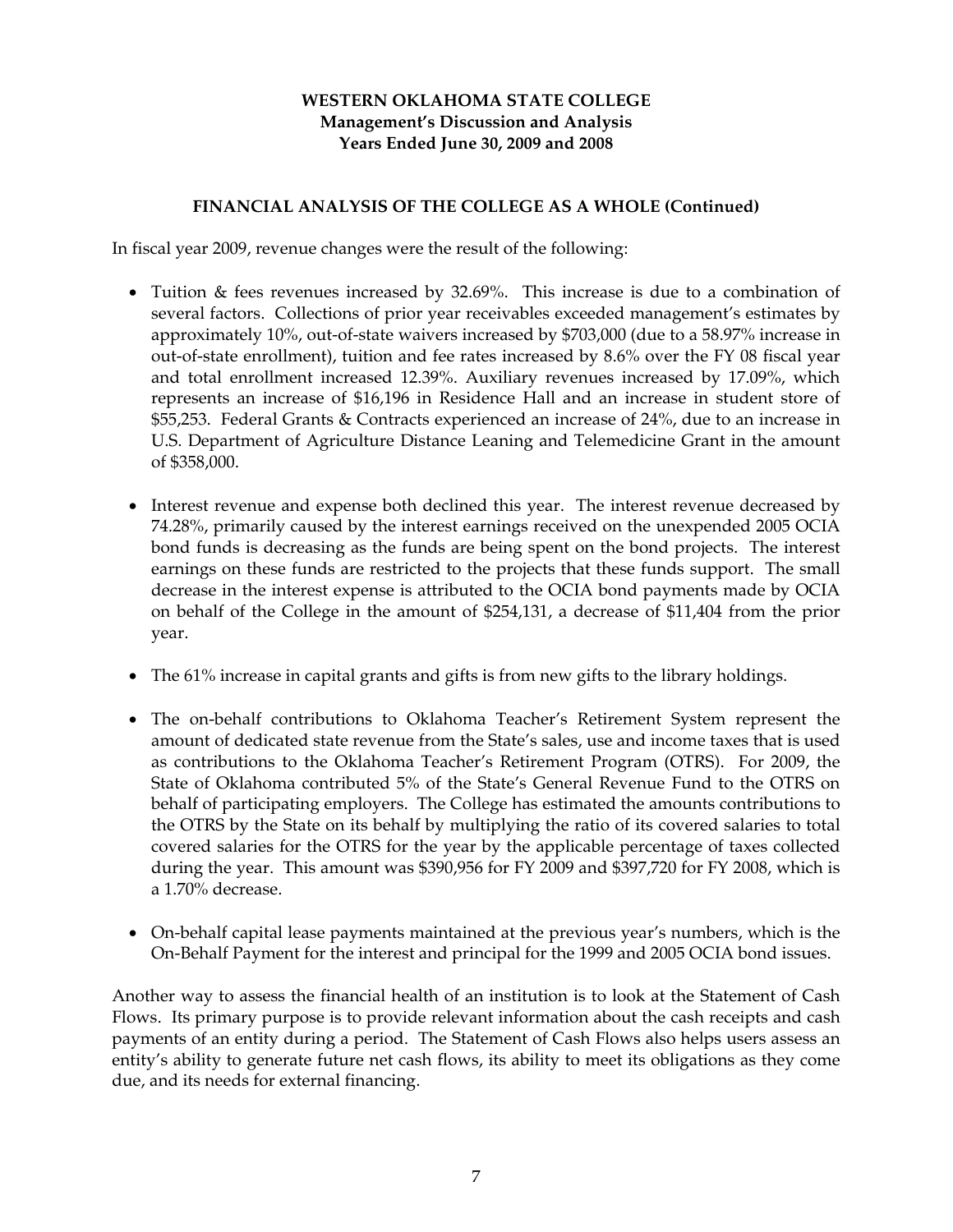#### **FINANCIAL ANALYSIS OF THE COLLEGE AS A WHOLE (Continued)**

In fiscal year 2009, revenue changes were the result of the following:

- Tuition & fees revenues increased by 32.69%. This increase is due to a combination of several factors. Collections of prior year receivables exceeded management's estimates by approximately 10%, out-of-state waivers increased by \$703,000 (due to a 58.97% increase in out-of-state enrollment), tuition and fee rates increased by 8.6% over the FY 08 fiscal year and total enrollment increased 12.39%. Auxiliary revenues increased by 17.09%, which represents an increase of \$16,196 in Residence Hall and an increase in student store of \$55,253. Federal Grants & Contracts experienced an increase of 24%, due to an increase in U.S. Department of Agriculture Distance Leaning and Telemedicine Grant in the amount of \$358,000.
- Interest revenue and expense both declined this year. The interest revenue decreased by 74.28%, primarily caused by the interest earnings received on the unexpended 2005 OCIA bond funds is decreasing as the funds are being spent on the bond projects. The interest earnings on these funds are restricted to the projects that these funds support. The small decrease in the interest expense is attributed to the OCIA bond payments made by OCIA on behalf of the College in the amount of \$254,131, a decrease of \$11,404 from the prior year.
- The 61% increase in capital grants and gifts is from new gifts to the library holdings.
- The on-behalf contributions to Oklahoma Teacher's Retirement System represent the amount of dedicated state revenue from the State's sales, use and income taxes that is used as contributions to the Oklahoma Teacher's Retirement Program (OTRS). For 2009, the State of Oklahoma contributed 5% of the State's General Revenue Fund to the OTRS on behalf of participating employers. The College has estimated the amounts contributions to the OTRS by the State on its behalf by multiplying the ratio of its covered salaries to total covered salaries for the OTRS for the year by the applicable percentage of taxes collected during the year. This amount was \$390,956 for FY 2009 and \$397,720 for FY 2008, which is a 1.70% decrease.
- On-behalf capital lease payments maintained at the previous year's numbers, which is the On-Behalf Payment for the interest and principal for the 1999 and 2005 OCIA bond issues.

Another way to assess the financial health of an institution is to look at the Statement of Cash Flows. Its primary purpose is to provide relevant information about the cash receipts and cash payments of an entity during a period. The Statement of Cash Flows also helps users assess an entity's ability to generate future net cash flows, its ability to meet its obligations as they come due, and its needs for external financing.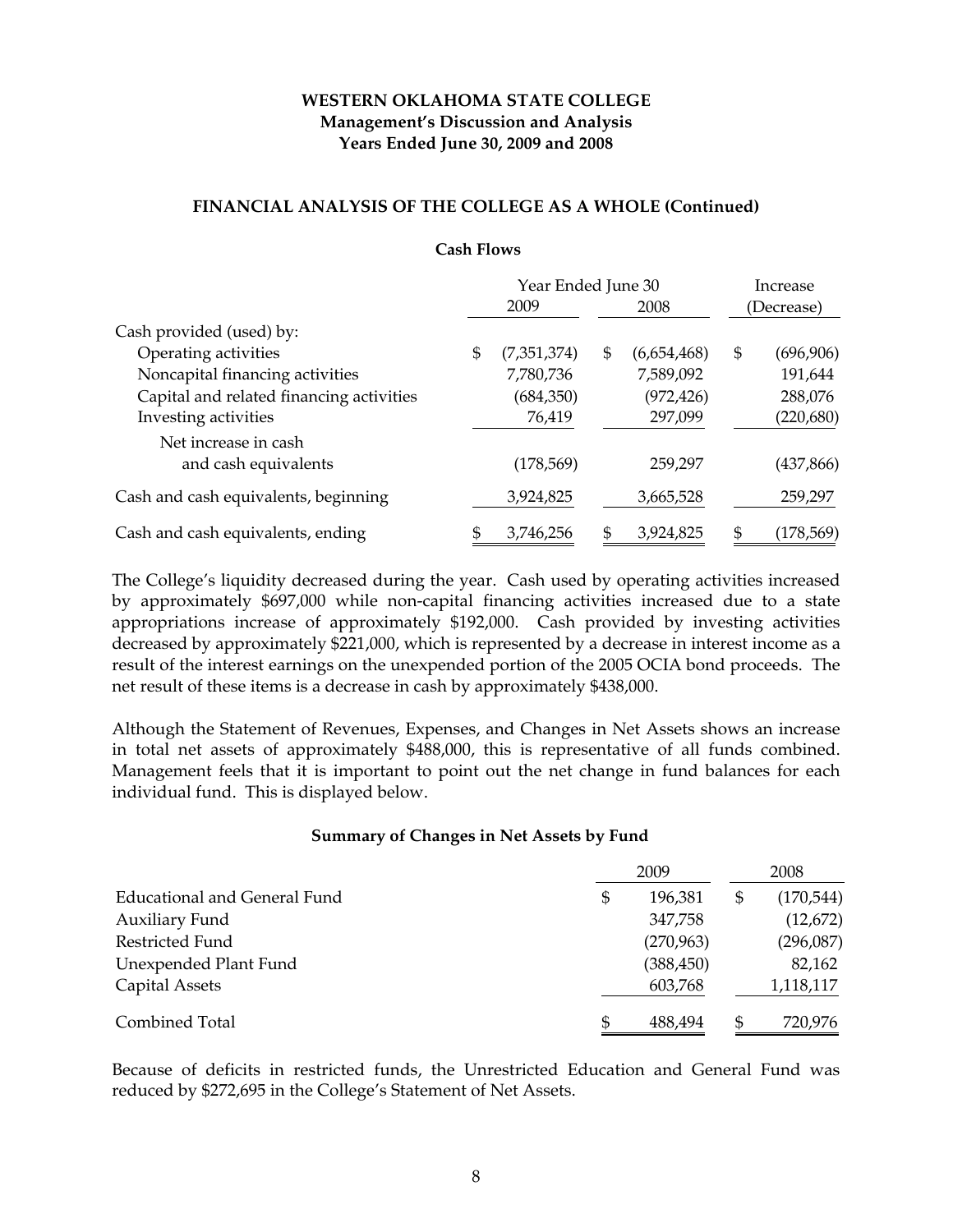#### **FINANCIAL ANALYSIS OF THE COLLEGE AS A WHOLE (Continued)**

#### **Cash Flows**

|                                          | Year Ended June 30 |             |    |             |            | Increase   |  |
|------------------------------------------|--------------------|-------------|----|-------------|------------|------------|--|
|                                          |                    | 2009        |    | 2008        | (Decrease) |            |  |
| Cash provided (used) by:                 |                    |             |    |             |            |            |  |
| Operating activities                     | \$                 | (7,351,374) | \$ | (6,654,468) | \$         | (696, 906) |  |
| Noncapital financing activities          |                    | 7,780,736   |    | 7,589,092   |            | 191,644    |  |
| Capital and related financing activities |                    | (684,350)   |    | (972, 426)  |            | 288,076    |  |
| Investing activities                     |                    | 76,419      |    | 297,099     |            | (220, 680) |  |
| Net increase in cash                     |                    |             |    |             |            |            |  |
| and cash equivalents                     |                    | (178, 569)  |    | 259,297     |            | (437, 866) |  |
| Cash and cash equivalents, beginning     |                    | 3,924,825   |    | 3,665,528   |            | 259,297    |  |
| Cash and cash equivalents, ending        |                    | 3,746,256   | S  | 3,924,825   | \$         | (178, 569) |  |

The College's liquidity decreased during the year. Cash used by operating activities increased by approximately \$697,000 while non-capital financing activities increased due to a state appropriations increase of approximately \$192,000. Cash provided by investing activities decreased by approximately \$221,000, which is represented by a decrease in interest income as a result of the interest earnings on the unexpended portion of the 2005 OCIA bond proceeds. The net result of these items is a decrease in cash by approximately \$438,000.

Although the Statement of Revenues, Expenses, and Changes in Net Assets shows an increase in total net assets of approximately \$488,000, this is representative of all funds combined. Management feels that it is important to point out the net change in fund balances for each individual fund. This is displayed below.

#### **Summary of Changes in Net Assets by Fund**

|                                     | 2009          | 2008 |            |  |
|-------------------------------------|---------------|------|------------|--|
| <b>Educational and General Fund</b> | \$<br>196,381 | \$   | (170, 544) |  |
| <b>Auxiliary Fund</b>               | 347,758       |      | (12,672)   |  |
| Restricted Fund                     | (270,963)     |      | (296,087)  |  |
| Unexpended Plant Fund               | (388, 450)    |      | 82,162     |  |
| Capital Assets                      | 603,768       |      | 1,118,117  |  |
| Combined Total                      | \$<br>488,494 | \$   | 720,976    |  |

Because of deficits in restricted funds, the Unrestricted Education and General Fund was reduced by \$272,695 in the College's Statement of Net Assets.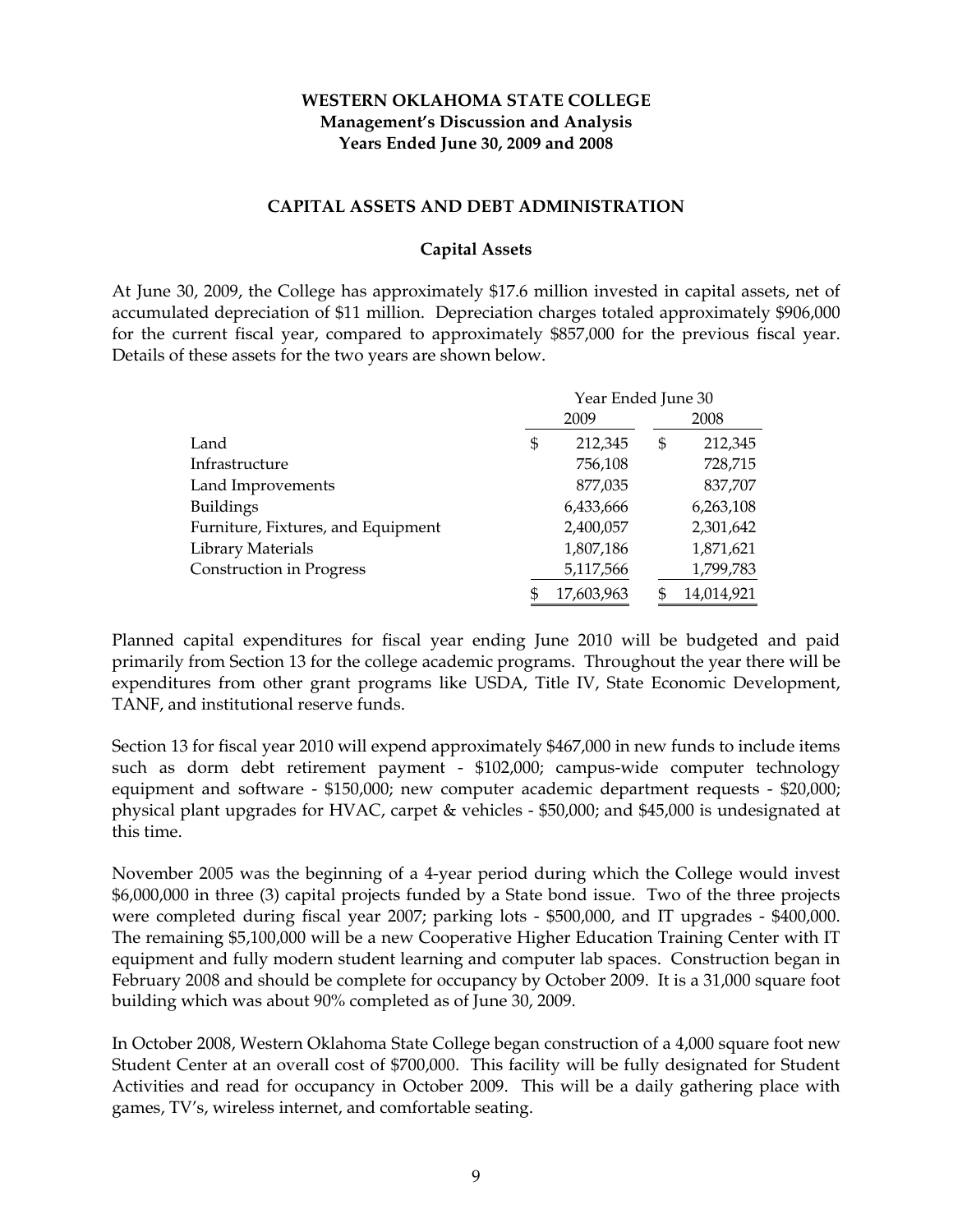#### **CAPITAL ASSETS AND DEBT ADMINISTRATION**

#### **Capital Assets**

At June 30, 2009, the College has approximately \$17.6 million invested in capital assets, net of accumulated depreciation of \$11 million. Depreciation charges totaled approximately \$906,000 for the current fiscal year, compared to approximately \$857,000 for the previous fiscal year. Details of these assets for the two years are shown below.

|                                    | Year Ended June 30 |            |    |            |  |
|------------------------------------|--------------------|------------|----|------------|--|
|                                    |                    | 2009       |    | 2008       |  |
| Land                               | \$                 | 212,345    | \$ | 212,345    |  |
| Infrastructure                     |                    | 756,108    |    | 728,715    |  |
| Land Improvements                  |                    | 877,035    |    | 837,707    |  |
| <b>Buildings</b>                   |                    | 6,433,666  |    | 6,263,108  |  |
| Furniture, Fixtures, and Equipment |                    | 2,400,057  |    | 2,301,642  |  |
| Library Materials                  |                    | 1,807,186  |    | 1,871,621  |  |
| Construction in Progress           |                    | 5,117,566  |    | 1,799,783  |  |
|                                    |                    | 17,603,963 | J. | 14,014,921 |  |

Planned capital expenditures for fiscal year ending June 2010 will be budgeted and paid primarily from Section 13 for the college academic programs. Throughout the year there will be expenditures from other grant programs like USDA, Title IV, State Economic Development, TANF, and institutional reserve funds.

Section 13 for fiscal year 2010 will expend approximately \$467,000 in new funds to include items such as dorm debt retirement payment - \$102,000; campus-wide computer technology equipment and software - \$150,000; new computer academic department requests - \$20,000; physical plant upgrades for HVAC, carpet & vehicles - \$50,000; and \$45,000 is undesignated at this time.

November 2005 was the beginning of a 4-year period during which the College would invest \$6,000,000 in three (3) capital projects funded by a State bond issue. Two of the three projects were completed during fiscal year 2007; parking lots - \$500,000, and IT upgrades - \$400,000. The remaining \$5,100,000 will be a new Cooperative Higher Education Training Center with IT equipment and fully modern student learning and computer lab spaces. Construction began in February 2008 and should be complete for occupancy by October 2009. It is a 31,000 square foot building which was about 90% completed as of June 30, 2009.

In October 2008, Western Oklahoma State College began construction of a 4,000 square foot new Student Center at an overall cost of \$700,000. This facility will be fully designated for Student Activities and read for occupancy in October 2009. This will be a daily gathering place with games, TV's, wireless internet, and comfortable seating.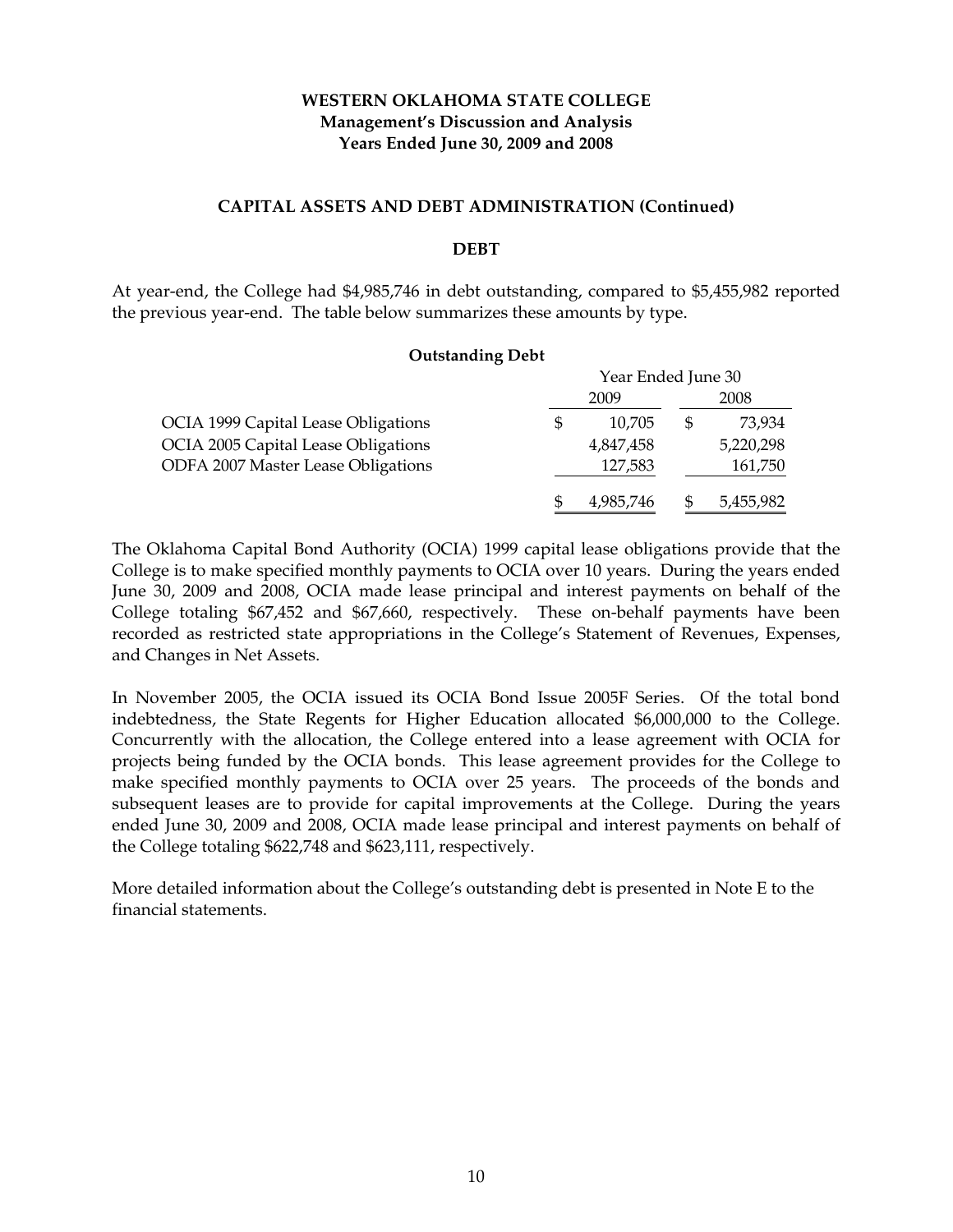#### **CAPITAL ASSETS AND DEBT ADMINISTRATION (Continued)**

#### **DEBT**

At year-end, the College had \$4,985,746 in debt outstanding, compared to \$5,455,982 reported the previous year-end. The table below summarizes these amounts by type.

| <b>Outstanding Debt</b>                    |                    |   |           |
|--------------------------------------------|--------------------|---|-----------|
|                                            | Year Ended June 30 |   |           |
|                                            | 2009               |   | 2008      |
| <b>OCIA 1999 Capital Lease Obligations</b> | 10,705             | S | 73,934    |
| <b>OCIA 2005 Capital Lease Obligations</b> | 4,847,458          |   | 5,220,298 |
| <b>ODFA 2007 Master Lease Obligations</b>  | 127,583            |   | 161,750   |
|                                            | 4,985,746          |   | 5,455,982 |

The Oklahoma Capital Bond Authority (OCIA) 1999 capital lease obligations provide that the College is to make specified monthly payments to OCIA over 10 years. During the years ended June 30, 2009 and 2008, OCIA made lease principal and interest payments on behalf of the College totaling \$67,452 and \$67,660, respectively. These on-behalf payments have been recorded as restricted state appropriations in the College's Statement of Revenues, Expenses, and Changes in Net Assets.

In November 2005, the OCIA issued its OCIA Bond Issue 2005F Series. Of the total bond indebtedness, the State Regents for Higher Education allocated \$6,000,000 to the College. Concurrently with the allocation, the College entered into a lease agreement with OCIA for projects being funded by the OCIA bonds. This lease agreement provides for the College to make specified monthly payments to OCIA over 25 years. The proceeds of the bonds and subsequent leases are to provide for capital improvements at the College. During the years ended June 30, 2009 and 2008, OCIA made lease principal and interest payments on behalf of the College totaling \$622,748 and \$623,111, respectively.

More detailed information about the College's outstanding debt is presented in Note E to the financial statements.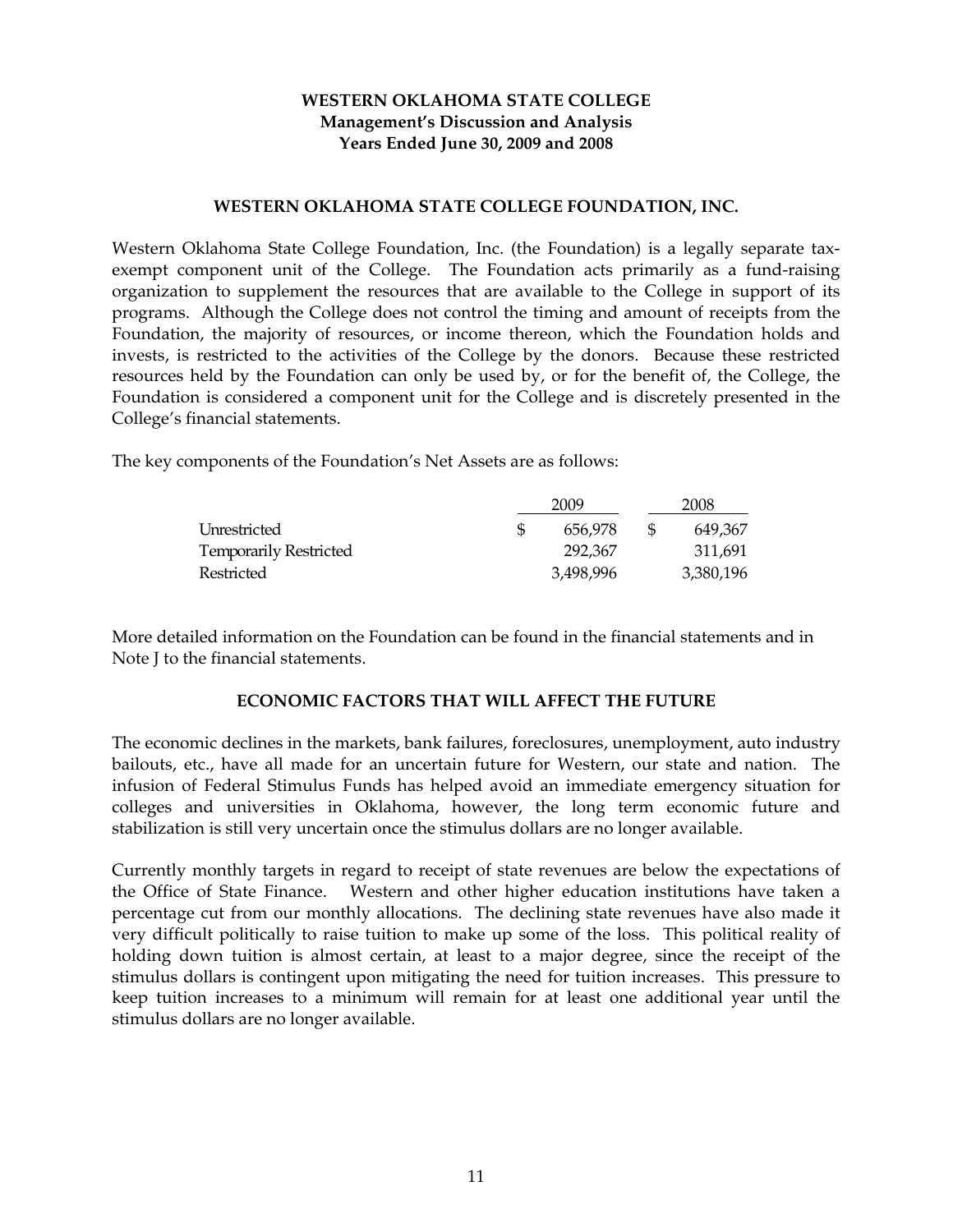#### **WESTERN OKLAHOMA STATE COLLEGE FOUNDATION, INC.**

Western Oklahoma State College Foundation, Inc. (the Foundation) is a legally separate taxexempt component unit of the College. The Foundation acts primarily as a fund-raising organization to supplement the resources that are available to the College in support of its programs. Although the College does not control the timing and amount of receipts from the Foundation, the majority of resources, or income thereon, which the Foundation holds and invests, is restricted to the activities of the College by the donors. Because these restricted resources held by the Foundation can only be used by, or for the benefit of, the College, the Foundation is considered a component unit for the College and is discretely presented in the College's financial statements.

The key components of the Foundation's Net Assets are as follows:

|                               |  | 2008      |  |           |  |
|-------------------------------|--|-----------|--|-----------|--|
| Unrestricted                  |  | 656.978   |  | 649.367   |  |
| <b>Temporarily Restricted</b> |  | 292.367   |  | 311.691   |  |
| Restricted                    |  | 3,498,996 |  | 3,380,196 |  |

More detailed information on the Foundation can be found in the financial statements and in Note J to the financial statements.

#### **ECONOMIC FACTORS THAT WILL AFFECT THE FUTURE**

The economic declines in the markets, bank failures, foreclosures, unemployment, auto industry bailouts, etc., have all made for an uncertain future for Western, our state and nation. The infusion of Federal Stimulus Funds has helped avoid an immediate emergency situation for colleges and universities in Oklahoma, however, the long term economic future and stabilization is still very uncertain once the stimulus dollars are no longer available.

Currently monthly targets in regard to receipt of state revenues are below the expectations of the Office of State Finance. Western and other higher education institutions have taken a percentage cut from our monthly allocations. The declining state revenues have also made it very difficult politically to raise tuition to make up some of the loss. This political reality of holding down tuition is almost certain, at least to a major degree, since the receipt of the stimulus dollars is contingent upon mitigating the need for tuition increases. This pressure to keep tuition increases to a minimum will remain for at least one additional year until the stimulus dollars are no longer available.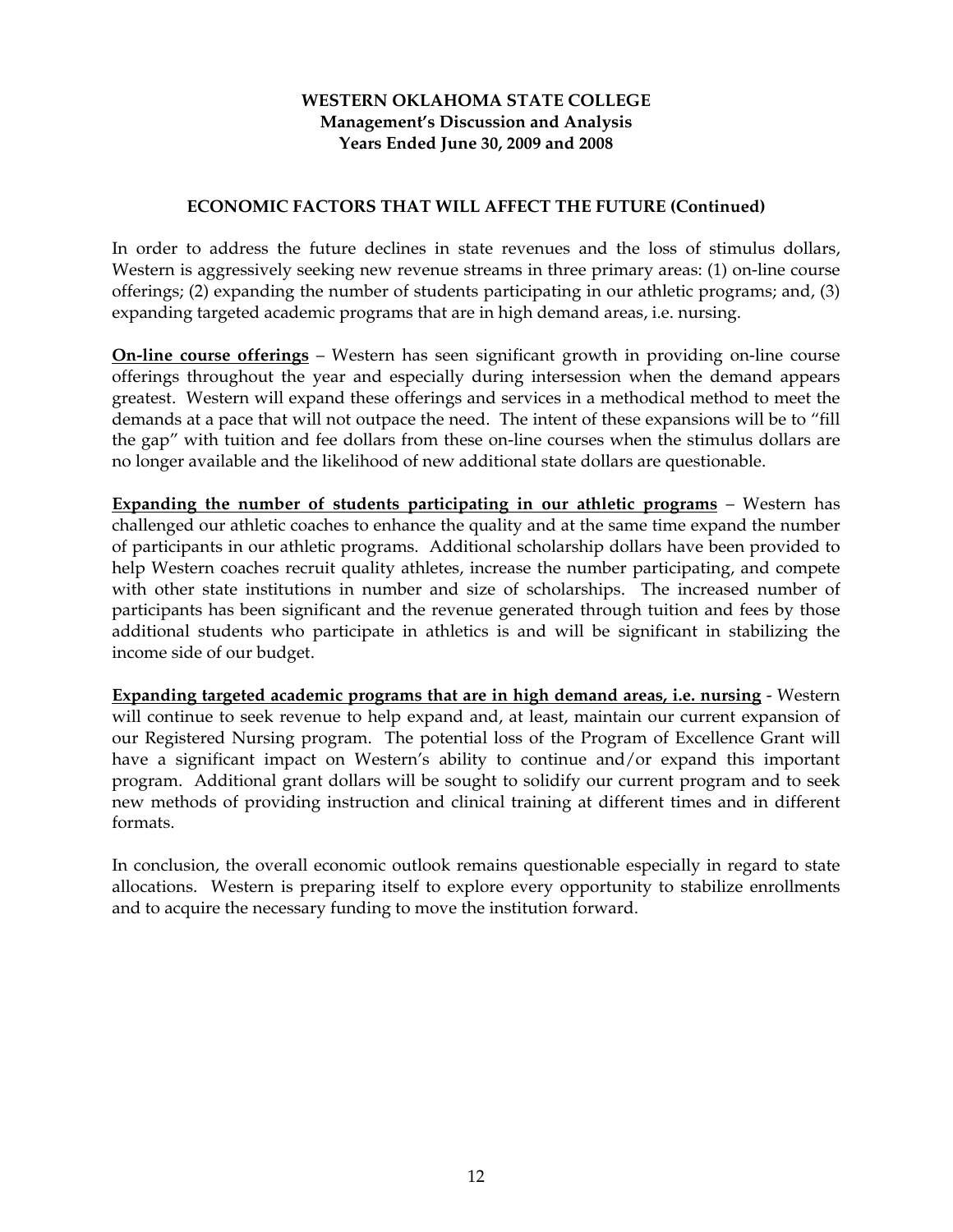#### **ECONOMIC FACTORS THAT WILL AFFECT THE FUTURE (Continued)**

In order to address the future declines in state revenues and the loss of stimulus dollars, Western is aggressively seeking new revenue streams in three primary areas: (1) on-line course offerings; (2) expanding the number of students participating in our athletic programs; and, (3) expanding targeted academic programs that are in high demand areas, i.e. nursing.

**On-line course offerings** – Western has seen significant growth in providing on-line course offerings throughout the year and especially during intersession when the demand appears greatest. Western will expand these offerings and services in a methodical method to meet the demands at a pace that will not outpace the need. The intent of these expansions will be to "fill the gap" with tuition and fee dollars from these on-line courses when the stimulus dollars are no longer available and the likelihood of new additional state dollars are questionable.

**Expanding the number of students participating in our athletic programs** – Western has challenged our athletic coaches to enhance the quality and at the same time expand the number of participants in our athletic programs. Additional scholarship dollars have been provided to help Western coaches recruit quality athletes, increase the number participating, and compete with other state institutions in number and size of scholarships. The increased number of participants has been significant and the revenue generated through tuition and fees by those additional students who participate in athletics is and will be significant in stabilizing the income side of our budget.

**Expanding targeted academic programs that are in high demand areas, i.e. nursing** - Western will continue to seek revenue to help expand and, at least, maintain our current expansion of our Registered Nursing program. The potential loss of the Program of Excellence Grant will have a significant impact on Western's ability to continue and/or expand this important program. Additional grant dollars will be sought to solidify our current program and to seek new methods of providing instruction and clinical training at different times and in different formats.

In conclusion, the overall economic outlook remains questionable especially in regard to state allocations. Western is preparing itself to explore every opportunity to stabilize enrollments and to acquire the necessary funding to move the institution forward.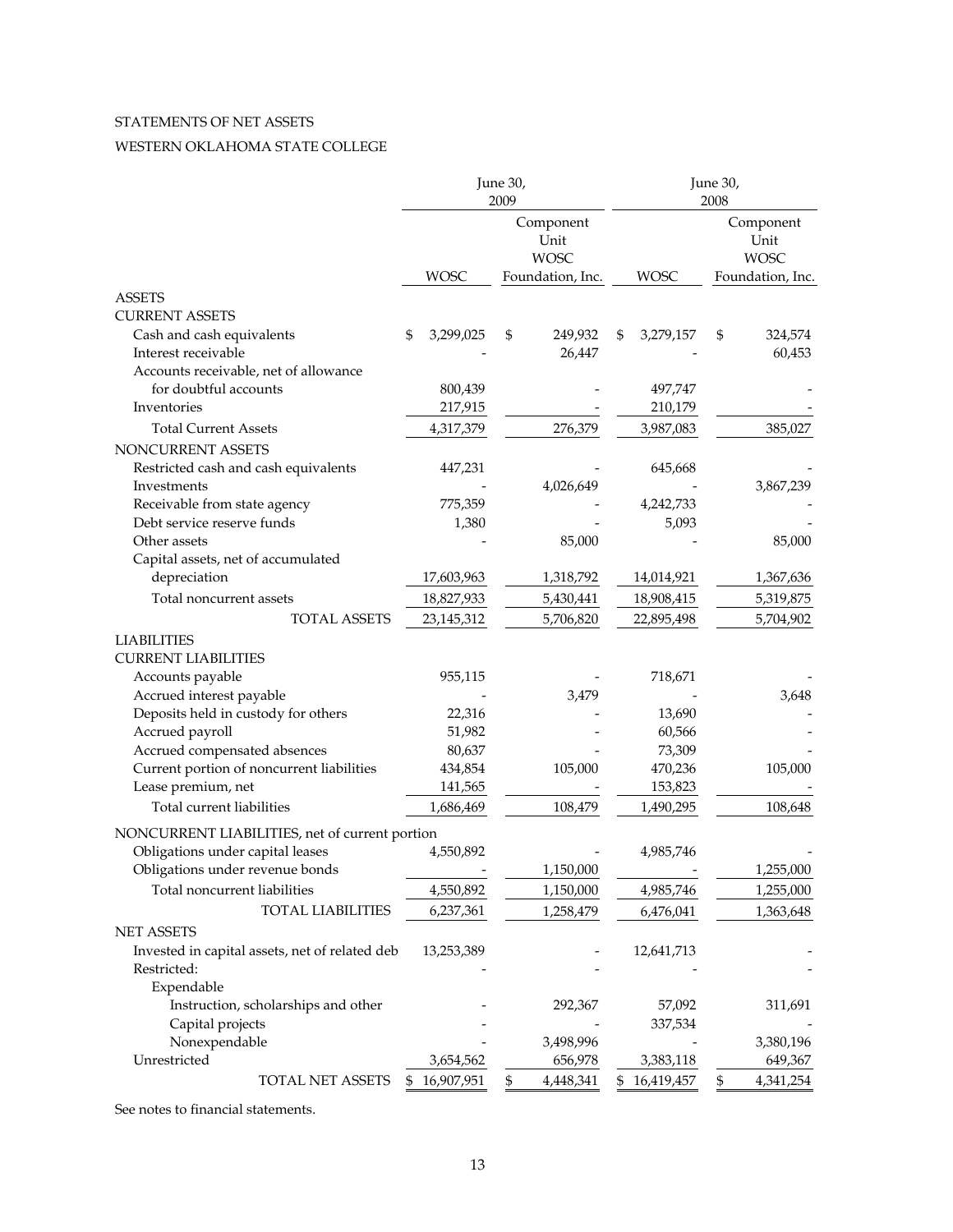#### STATEMENTS OF NET ASSETS

#### WESTERN OKLAHOMA STATE COLLEGE

|                                                |                  | June 30,<br>2009                 | June 30,<br>2008 |                                  |  |  |
|------------------------------------------------|------------------|----------------------------------|------------------|----------------------------------|--|--|
|                                                |                  | Component<br>Unit<br><b>WOSC</b> |                  | Component<br>Unit<br><b>WOSC</b> |  |  |
|                                                | <b>WOSC</b>      | Foundation, Inc.                 | <b>WOSC</b>      | Foundation, Inc.                 |  |  |
| <b>ASSETS</b>                                  |                  |                                  |                  |                                  |  |  |
| <b>CURRENT ASSETS</b>                          |                  |                                  |                  |                                  |  |  |
| Cash and cash equivalents                      | 3,299,025<br>\$  | \$<br>249,932                    | 3,279,157<br>\$  | \$<br>324,574                    |  |  |
| Interest receivable                            |                  | 26,447                           |                  | 60,453                           |  |  |
| Accounts receivable, net of allowance          |                  |                                  |                  |                                  |  |  |
| for doubtful accounts                          | 800,439          |                                  | 497,747          |                                  |  |  |
| Inventories                                    | 217,915          |                                  | 210,179          |                                  |  |  |
| <b>Total Current Assets</b>                    | 4,317,379        | 276,379                          | 3,987,083        | 385,027                          |  |  |
| NONCURRENT ASSETS                              |                  |                                  |                  |                                  |  |  |
| Restricted cash and cash equivalents           | 447,231          |                                  | 645,668          |                                  |  |  |
| Investments                                    |                  | 4,026,649                        |                  | 3,867,239                        |  |  |
| Receivable from state agency                   | 775,359          |                                  | 4,242,733        |                                  |  |  |
| Debt service reserve funds                     | 1,380            |                                  | 5,093            |                                  |  |  |
| Other assets                                   |                  | 85,000                           |                  | 85,000                           |  |  |
| Capital assets, net of accumulated             |                  |                                  |                  |                                  |  |  |
| depreciation                                   | 17,603,963       | 1,318,792                        | 14,014,921       | 1,367,636                        |  |  |
| Total noncurrent assets                        | 18,827,933       | 5,430,441                        | 18,908,415       | 5,319,875                        |  |  |
| <b>TOTAL ASSETS</b>                            | 23,145,312       | 5,706,820                        | 22,895,498       | 5,704,902                        |  |  |
| <b>LIABILITIES</b>                             |                  |                                  |                  |                                  |  |  |
| <b>CURRENT LIABILITIES</b>                     |                  |                                  |                  |                                  |  |  |
| Accounts payable                               | 955,115          |                                  | 718,671          |                                  |  |  |
| Accrued interest payable                       |                  | 3,479                            |                  | 3,648                            |  |  |
| Deposits held in custody for others            | 22,316           |                                  | 13,690           |                                  |  |  |
| Accrued payroll                                | 51,982           |                                  | 60,566           |                                  |  |  |
| Accrued compensated absences                   | 80,637           |                                  | 73,309           |                                  |  |  |
| Current portion of noncurrent liabilities      | 434,854          | 105,000                          | 470,236          | 105,000                          |  |  |
| Lease premium, net                             | 141,565          |                                  | 153,823          |                                  |  |  |
| Total current liabilities                      | 1,686,469        | 108,479                          | 1,490,295        | 108,648                          |  |  |
| NONCURRENT LIABILITIES, net of current portion |                  |                                  |                  |                                  |  |  |
| Obligations under capital leases               | 4,550,892        |                                  | 4,985,746        |                                  |  |  |
| Obligations under revenue bonds                |                  | 1,150,000                        |                  | 1.255.000                        |  |  |
| Total noncurrent liabilities                   | 4,550,892        | 1,150,000                        | 4,985,746        | 1,255,000                        |  |  |
| <b>TOTAL LIABILITIES</b>                       | 6,237,361        | 1,258,479                        | 6,476,041        | 1,363,648                        |  |  |
| <b>NET ASSETS</b>                              |                  |                                  |                  |                                  |  |  |
| Invested in capital assets, net of related deb | 13,253,389       |                                  | 12,641,713       |                                  |  |  |
| Restricted:                                    |                  |                                  |                  |                                  |  |  |
| Expendable                                     |                  |                                  |                  |                                  |  |  |
| Instruction, scholarships and other            |                  | 292,367                          | 57,092           | 311,691                          |  |  |
| Capital projects                               |                  |                                  | 337,534          |                                  |  |  |
| Nonexpendable                                  |                  | 3,498,996                        |                  | 3,380,196                        |  |  |
| Unrestricted                                   | 3,654,562        | 656,978                          | 3,383,118        | 649,367                          |  |  |
| TOTAL NET ASSETS                               | \$<br>16,907,951 | \$<br>4,448,341                  | 16,419,457       | \$<br>4,341,254                  |  |  |

See notes to financial statements.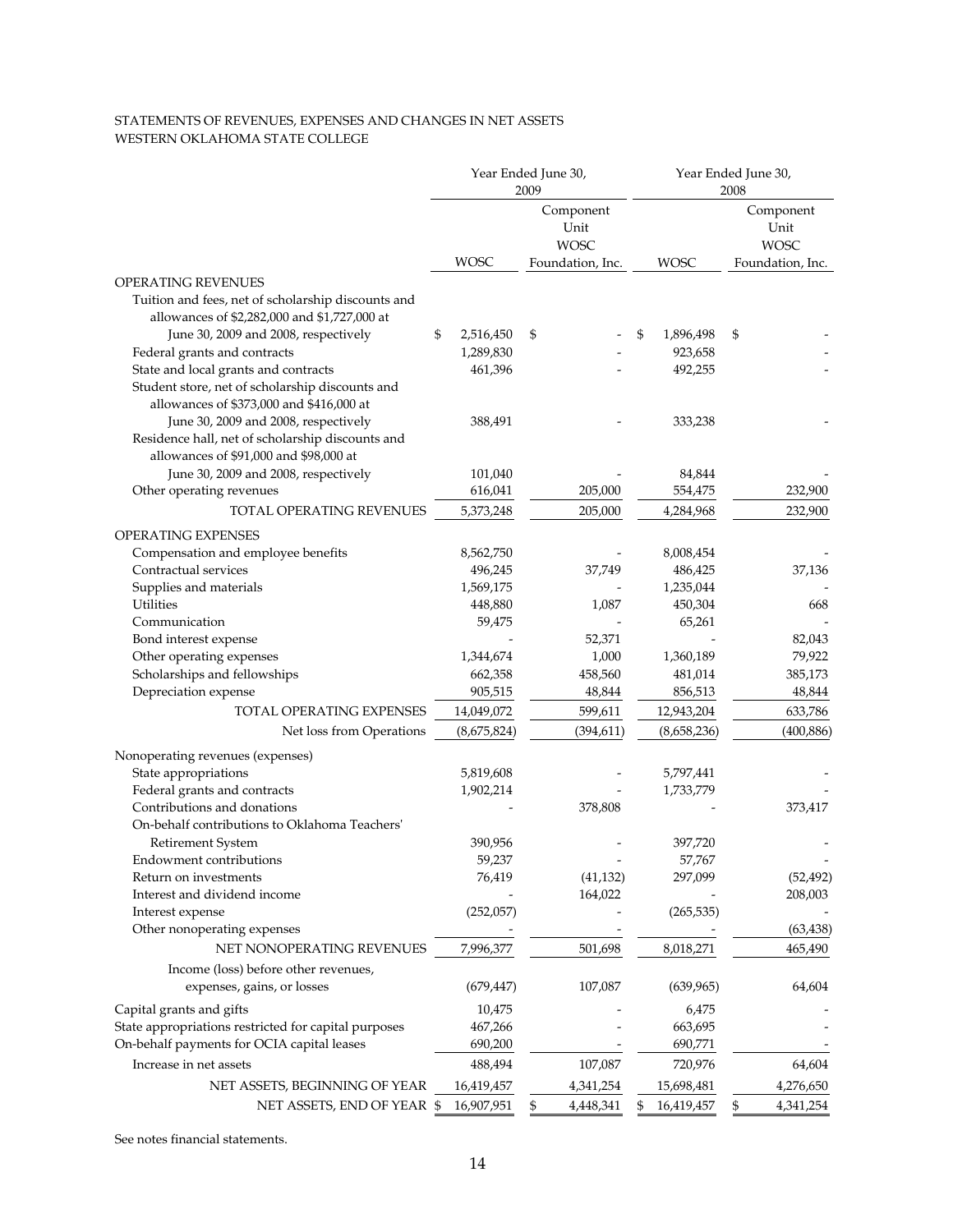#### STATEMENTS OF REVENUES, EXPENSES AND CHANGES IN NET ASSETS WESTERN OKLAHOMA STATE COLLEGE

|                                                      | Year Ended June 30,<br>2009 |             |    | Year Ended June 30,<br>2008 |    |             |    |                  |  |  |  |  |  |  |  |  |  |  |  |  |  |                                  |  |  |  |                                  |
|------------------------------------------------------|-----------------------------|-------------|----|-----------------------------|----|-------------|----|------------------|--|--|--|--|--|--|--|--|--|--|--|--|--|----------------------------------|--|--|--|----------------------------------|
|                                                      |                             |             |    |                             |    |             |    |                  |  |  |  |  |  |  |  |  |  |  |  |  |  | Component<br>Unit<br><b>WOSC</b> |  |  |  | Component<br>Unit<br><b>WOSC</b> |
|                                                      |                             | <b>WOSC</b> |    | Foundation, Inc.            |    | <b>WOSC</b> |    | Foundation, Inc. |  |  |  |  |  |  |  |  |  |  |  |  |  |                                  |  |  |  |                                  |
| <b>OPERATING REVENUES</b>                            |                             |             |    |                             |    |             |    |                  |  |  |  |  |  |  |  |  |  |  |  |  |  |                                  |  |  |  |                                  |
| Tuition and fees, net of scholarship discounts and   |                             |             |    |                             |    |             |    |                  |  |  |  |  |  |  |  |  |  |  |  |  |  |                                  |  |  |  |                                  |
| allowances of \$2,282,000 and \$1,727,000 at         |                             |             |    |                             |    |             |    |                  |  |  |  |  |  |  |  |  |  |  |  |  |  |                                  |  |  |  |                                  |
| June 30, 2009 and 2008, respectively                 | \$                          | 2,516,450   | \$ |                             | \$ | 1,896,498   | \$ |                  |  |  |  |  |  |  |  |  |  |  |  |  |  |                                  |  |  |  |                                  |
| Federal grants and contracts                         |                             | 1,289,830   |    |                             |    | 923,658     |    |                  |  |  |  |  |  |  |  |  |  |  |  |  |  |                                  |  |  |  |                                  |
| State and local grants and contracts                 |                             | 461,396     |    |                             |    | 492,255     |    |                  |  |  |  |  |  |  |  |  |  |  |  |  |  |                                  |  |  |  |                                  |
| Student store, net of scholarship discounts and      |                             |             |    |                             |    |             |    |                  |  |  |  |  |  |  |  |  |  |  |  |  |  |                                  |  |  |  |                                  |
| allowances of \$373,000 and \$416,000 at             |                             |             |    |                             |    |             |    |                  |  |  |  |  |  |  |  |  |  |  |  |  |  |                                  |  |  |  |                                  |
| June 30, 2009 and 2008, respectively                 |                             | 388,491     |    |                             |    | 333,238     |    |                  |  |  |  |  |  |  |  |  |  |  |  |  |  |                                  |  |  |  |                                  |
| Residence hall, net of scholarship discounts and     |                             |             |    |                             |    |             |    |                  |  |  |  |  |  |  |  |  |  |  |  |  |  |                                  |  |  |  |                                  |
| allowances of \$91,000 and \$98,000 at               |                             |             |    |                             |    |             |    |                  |  |  |  |  |  |  |  |  |  |  |  |  |  |                                  |  |  |  |                                  |
| June 30, 2009 and 2008, respectively                 |                             | 101,040     |    |                             |    | 84,844      |    |                  |  |  |  |  |  |  |  |  |  |  |  |  |  |                                  |  |  |  |                                  |
| Other operating revenues                             |                             | 616,041     |    | 205,000                     |    | 554,475     |    | 232,900          |  |  |  |  |  |  |  |  |  |  |  |  |  |                                  |  |  |  |                                  |
| TOTAL OPERATING REVENUES                             |                             | 5,373,248   |    | 205,000                     |    | 4,284,968   |    | 232,900          |  |  |  |  |  |  |  |  |  |  |  |  |  |                                  |  |  |  |                                  |
| <b>OPERATING EXPENSES</b>                            |                             |             |    |                             |    |             |    |                  |  |  |  |  |  |  |  |  |  |  |  |  |  |                                  |  |  |  |                                  |
| Compensation and employee benefits                   |                             | 8,562,750   |    |                             |    | 8,008,454   |    |                  |  |  |  |  |  |  |  |  |  |  |  |  |  |                                  |  |  |  |                                  |
| Contractual services                                 |                             | 496,245     |    | 37,749                      |    | 486,425     |    | 37,136           |  |  |  |  |  |  |  |  |  |  |  |  |  |                                  |  |  |  |                                  |
| Supplies and materials                               |                             | 1,569,175   |    |                             |    | 1,235,044   |    |                  |  |  |  |  |  |  |  |  |  |  |  |  |  |                                  |  |  |  |                                  |
| <b>Utilities</b>                                     |                             | 448,880     |    | 1,087                       |    | 450,304     |    | 668              |  |  |  |  |  |  |  |  |  |  |  |  |  |                                  |  |  |  |                                  |
| Communication                                        |                             | 59,475      |    |                             |    | 65,261      |    |                  |  |  |  |  |  |  |  |  |  |  |  |  |  |                                  |  |  |  |                                  |
| Bond interest expense                                |                             |             |    | 52,371                      |    |             |    | 82,043           |  |  |  |  |  |  |  |  |  |  |  |  |  |                                  |  |  |  |                                  |
| Other operating expenses                             |                             | 1,344,674   |    | 1,000                       |    | 1,360,189   |    | 79,922           |  |  |  |  |  |  |  |  |  |  |  |  |  |                                  |  |  |  |                                  |
| Scholarships and fellowships                         |                             | 662,358     |    | 458,560                     |    | 481,014     |    | 385,173          |  |  |  |  |  |  |  |  |  |  |  |  |  |                                  |  |  |  |                                  |
| Depreciation expense                                 |                             | 905,515     |    | 48,844                      |    | 856,513     |    | 48,844           |  |  |  |  |  |  |  |  |  |  |  |  |  |                                  |  |  |  |                                  |
| TOTAL OPERATING EXPENSES                             |                             | 14,049,072  |    | 599,611                     |    | 12,943,204  |    | 633,786          |  |  |  |  |  |  |  |  |  |  |  |  |  |                                  |  |  |  |                                  |
| Net loss from Operations                             |                             | (8,675,824) |    | (394, 611)                  |    | (8,658,236) |    | (400, 886)       |  |  |  |  |  |  |  |  |  |  |  |  |  |                                  |  |  |  |                                  |
| Nonoperating revenues (expenses)                     |                             |             |    |                             |    |             |    |                  |  |  |  |  |  |  |  |  |  |  |  |  |  |                                  |  |  |  |                                  |
| State appropriations                                 |                             | 5,819,608   |    |                             |    | 5,797,441   |    |                  |  |  |  |  |  |  |  |  |  |  |  |  |  |                                  |  |  |  |                                  |
| Federal grants and contracts                         |                             | 1,902,214   |    |                             |    | 1,733,779   |    |                  |  |  |  |  |  |  |  |  |  |  |  |  |  |                                  |  |  |  |                                  |
| Contributions and donations                          |                             |             |    | 378,808                     |    |             |    | 373,417          |  |  |  |  |  |  |  |  |  |  |  |  |  |                                  |  |  |  |                                  |
| On-behalf contributions to Oklahoma Teachers'        |                             |             |    |                             |    |             |    |                  |  |  |  |  |  |  |  |  |  |  |  |  |  |                                  |  |  |  |                                  |
| Retirement System                                    |                             | 390,956     |    |                             |    | 397,720     |    |                  |  |  |  |  |  |  |  |  |  |  |  |  |  |                                  |  |  |  |                                  |
| Endowment contributions                              |                             | 59,237      |    |                             |    | 57,767      |    |                  |  |  |  |  |  |  |  |  |  |  |  |  |  |                                  |  |  |  |                                  |
| Return on investments                                |                             | 76,419      |    | (41, 132)                   |    | 297,099     |    | (52, 492)        |  |  |  |  |  |  |  |  |  |  |  |  |  |                                  |  |  |  |                                  |
| Interest and dividend income                         |                             |             |    | 164,022                     |    |             |    | 208,003          |  |  |  |  |  |  |  |  |  |  |  |  |  |                                  |  |  |  |                                  |
| Interest expense                                     |                             | (252,057)   |    |                             |    | (265, 535)  |    |                  |  |  |  |  |  |  |  |  |  |  |  |  |  |                                  |  |  |  |                                  |
| Other nonoperating expenses                          |                             |             |    |                             |    |             |    | (63, 438)        |  |  |  |  |  |  |  |  |  |  |  |  |  |                                  |  |  |  |                                  |
| NET NONOPERATING REVENUES                            |                             | 7,996,377   |    | 501,698                     |    | 8,018,271   |    | 465,490          |  |  |  |  |  |  |  |  |  |  |  |  |  |                                  |  |  |  |                                  |
| Income (loss) before other revenues,                 |                             |             |    |                             |    |             |    |                  |  |  |  |  |  |  |  |  |  |  |  |  |  |                                  |  |  |  |                                  |
| expenses, gains, or losses                           |                             | (679, 447)  |    | 107,087                     |    | (639,965)   |    | 64,604           |  |  |  |  |  |  |  |  |  |  |  |  |  |                                  |  |  |  |                                  |
| Capital grants and gifts                             |                             | 10,475      |    |                             |    | 6,475       |    |                  |  |  |  |  |  |  |  |  |  |  |  |  |  |                                  |  |  |  |                                  |
| State appropriations restricted for capital purposes |                             | 467,266     |    |                             |    | 663,695     |    |                  |  |  |  |  |  |  |  |  |  |  |  |  |  |                                  |  |  |  |                                  |
| On-behalf payments for OCIA capital leases           |                             | 690,200     |    |                             |    | 690,771     |    |                  |  |  |  |  |  |  |  |  |  |  |  |  |  |                                  |  |  |  |                                  |
| Increase in net assets                               |                             | 488,494     |    | 107,087                     |    | 720,976     |    | 64,604           |  |  |  |  |  |  |  |  |  |  |  |  |  |                                  |  |  |  |                                  |
| NET ASSETS, BEGINNING OF YEAR                        |                             | 16,419,457  |    | 4,341,254                   |    | 15,698,481  |    | 4,276,650        |  |  |  |  |  |  |  |  |  |  |  |  |  |                                  |  |  |  |                                  |
| NET ASSETS, END OF YEAR \$                           |                             | 16,907,951  | \$ | 4,448,341                   |    | 16,419,457  | \$ | 4,341,254        |  |  |  |  |  |  |  |  |  |  |  |  |  |                                  |  |  |  |                                  |

See notes financial statements.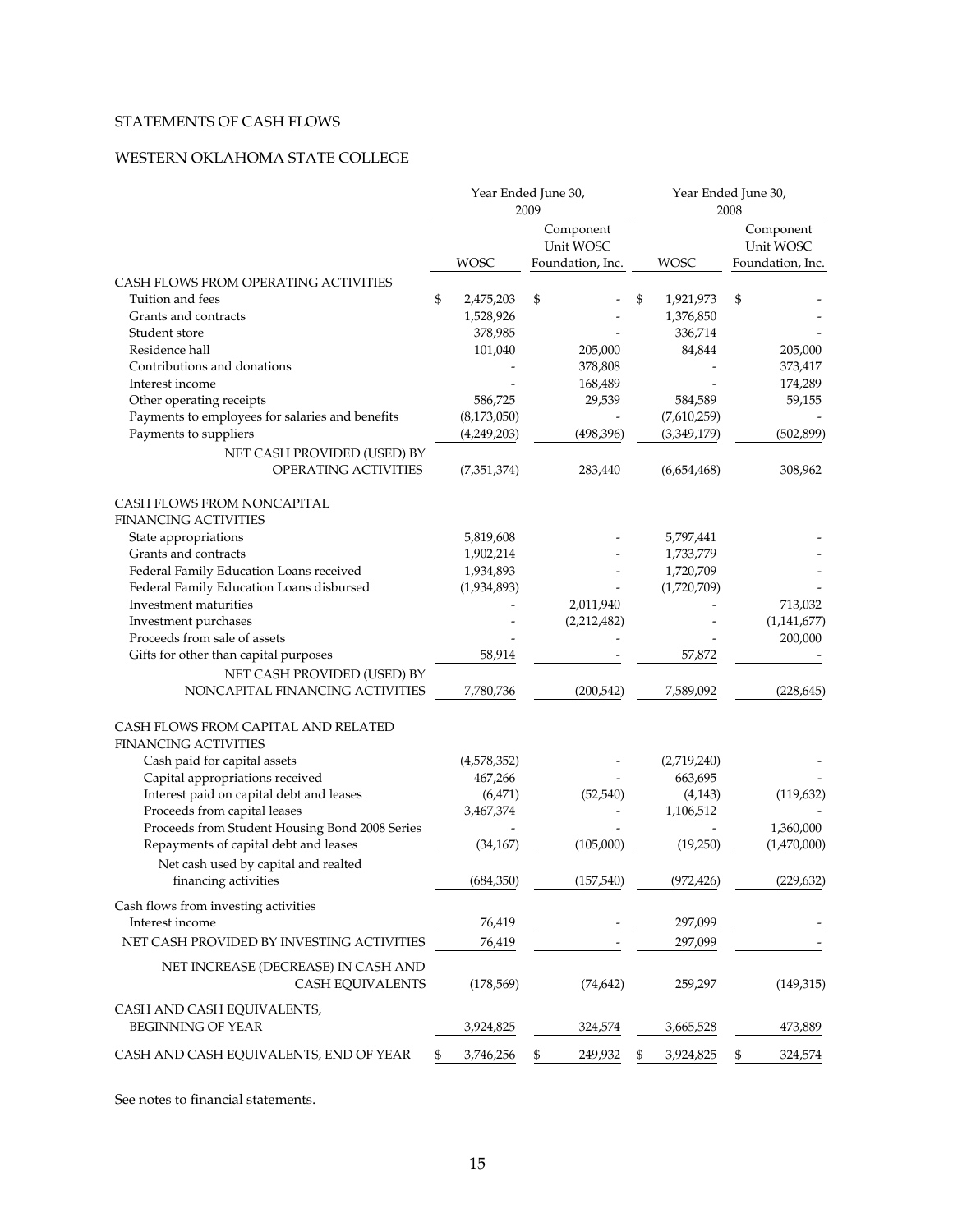## STATEMENTS OF CASH FLOWS

#### WESTERN OKLAHOMA STATE COLLEGE

|                                                                | Year Ended June 30,<br>2009 |               |    |                                            |    | Year Ended June 30,<br>2008 |    |                                            |  |
|----------------------------------------------------------------|-----------------------------|---------------|----|--------------------------------------------|----|-----------------------------|----|--------------------------------------------|--|
|                                                                |                             | <b>WOSC</b>   |    | Component<br>Unit WOSC<br>Foundation, Inc. |    | <b>WOSC</b>                 |    | Component<br>Unit WOSC<br>Foundation, Inc. |  |
|                                                                |                             |               |    |                                            |    |                             |    |                                            |  |
| CASH FLOWS FROM OPERATING ACTIVITIES                           |                             |               |    |                                            |    | 1,921,973                   |    |                                            |  |
| Tuition and fees                                               | \$                          | 2,475,203     | \$ |                                            | \$ |                             | \$ |                                            |  |
| Grants and contracts                                           |                             | 1,528,926     |    |                                            |    | 1,376,850                   |    |                                            |  |
| Student store<br>Residence hall                                |                             | 378,985       |    |                                            |    | 336,714                     |    |                                            |  |
|                                                                |                             | 101,040       |    | 205,000                                    |    | 84,844                      |    | 205,000                                    |  |
| Contributions and donations                                    |                             |               |    | 378,808                                    |    |                             |    | 373,417                                    |  |
| Interest income                                                |                             |               |    | 168,489                                    |    |                             |    | 174,289                                    |  |
| Other operating receipts                                       |                             | 586,725       |    | 29,539                                     |    | 584,589                     |    | 59,155                                     |  |
| Payments to employees for salaries and benefits                |                             | (8, 173, 050) |    |                                            |    | (7,610,259)                 |    |                                            |  |
| Payments to suppliers                                          |                             | (4,249,203)   |    | (498, 396)                                 |    | (3,349,179)                 |    | (502, 899)                                 |  |
| NET CASH PROVIDED (USED) BY                                    |                             |               |    |                                            |    |                             |    |                                            |  |
| <b>OPERATING ACTIVITIES</b>                                    |                             | (7,351,374)   |    | 283,440                                    |    | (6,654,468)                 |    | 308,962                                    |  |
| CASH FLOWS FROM NONCAPITAL                                     |                             |               |    |                                            |    |                             |    |                                            |  |
| <b>FINANCING ACTIVITIES</b>                                    |                             |               |    |                                            |    |                             |    |                                            |  |
| State appropriations                                           |                             | 5,819,608     |    |                                            |    | 5,797,441                   |    |                                            |  |
| Grants and contracts                                           |                             | 1,902,214     |    |                                            |    | 1,733,779                   |    |                                            |  |
| Federal Family Education Loans received                        |                             | 1,934,893     |    |                                            |    | 1,720,709                   |    |                                            |  |
| Federal Family Education Loans disbursed                       |                             | (1,934,893)   |    |                                            |    | (1,720,709)                 |    |                                            |  |
| Investment maturities                                          |                             |               |    | 2,011,940                                  |    |                             |    | 713,032                                    |  |
| Investment purchases                                           |                             |               |    | (2,212,482)                                |    |                             |    | (1, 141, 677)                              |  |
| Proceeds from sale of assets                                   |                             |               |    |                                            |    |                             |    | 200,000                                    |  |
| Gifts for other than capital purposes                          |                             | 58,914        |    |                                            |    | 57,872                      |    |                                            |  |
| NET CASH PROVIDED (USED) BY                                    |                             |               |    |                                            |    |                             |    |                                            |  |
| NONCAPITAL FINANCING ACTIVITIES                                |                             | 7,780,736     |    | (200, 542)                                 |    | 7,589,092                   |    | (228, 645)                                 |  |
| CASH FLOWS FROM CAPITAL AND RELATED                            |                             |               |    |                                            |    |                             |    |                                            |  |
| <b>FINANCING ACTIVITIES</b>                                    |                             |               |    |                                            |    |                             |    |                                            |  |
| Cash paid for capital assets                                   |                             | (4,578,352)   |    |                                            |    | (2,719,240)                 |    |                                            |  |
| Capital appropriations received                                |                             | 467,266       |    |                                            |    | 663,695                     |    |                                            |  |
| Interest paid on capital debt and leases                       |                             | (6,471)       |    | (52, 540)                                  |    | (4, 143)                    |    | (119, 632)                                 |  |
| Proceeds from capital leases                                   |                             | 3,467,374     |    |                                            |    | 1,106,512                   |    |                                            |  |
| Proceeds from Student Housing Bond 2008 Series                 |                             |               |    |                                            |    |                             |    | 1,360,000                                  |  |
| Repayments of capital debt and leases                          |                             | (34, 167)     |    | (105,000)                                  |    | (19,250)                    |    | (1,470,000)                                |  |
| Net cash used by capital and realted                           |                             |               |    |                                            |    |                             |    |                                            |  |
| financing activities                                           |                             | (684, 350)    |    | (157,540)                                  |    | (972, 426)                  |    | (229, 632)                                 |  |
| Cash flows from investing activities                           |                             |               |    |                                            |    |                             |    |                                            |  |
| Interest income                                                |                             | 76,419        |    |                                            |    | 297,099                     |    |                                            |  |
| NET CASH PROVIDED BY INVESTING ACTIVITIES                      |                             | 76,419        |    |                                            |    | 297,099                     |    |                                            |  |
| NET INCREASE (DECREASE) IN CASH AND<br><b>CASH EQUIVALENTS</b> |                             | (178, 569)    |    | (74, 642)                                  |    | 259,297                     |    | (149,315)                                  |  |
| CASH AND CASH EQUIVALENTS,<br><b>BEGINNING OF YEAR</b>         |                             | 3,924,825     |    | 324,574                                    |    | 3,665,528                   |    | 473,889                                    |  |
| CASH AND CASH EQUIVALENTS, END OF YEAR                         | \$                          | 3,746,256     | \$ | 249,932                                    | \$ | 3,924,825                   | \$ | 324,574                                    |  |

See notes to financial statements.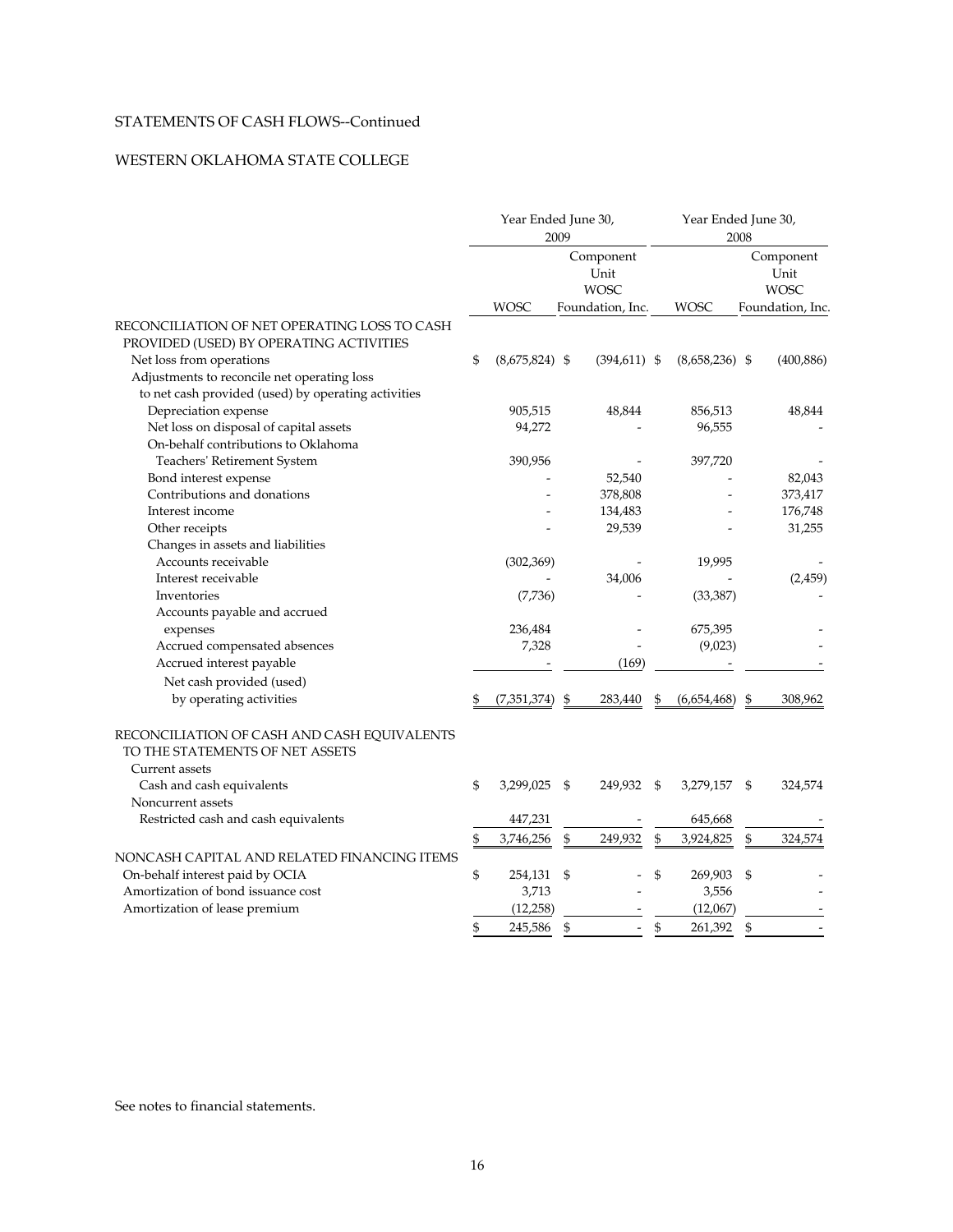#### STATEMENTS OF CASH FLOWS--Continued

## WESTERN OKLAHOMA STATE COLLEGE

|                                                                                | Year Ended June 30,    | 2009 |                                                      | Year Ended June 30,<br>2008 |    |                                                      |  |
|--------------------------------------------------------------------------------|------------------------|------|------------------------------------------------------|-----------------------------|----|------------------------------------------------------|--|
|                                                                                | <b>WOSC</b>            |      | Component<br>Unit<br><b>WOSC</b><br>Foundation, Inc. | <b>WOSC</b>                 |    | Component<br>Unit<br><b>WOSC</b><br>Foundation, Inc. |  |
|                                                                                |                        |      |                                                      |                             |    |                                                      |  |
| RECONCILIATION OF NET OPERATING LOSS TO CASH                                   |                        |      |                                                      |                             |    |                                                      |  |
| PROVIDED (USED) BY OPERATING ACTIVITIES<br>Net loss from operations            | \$<br>$(8,675,824)$ \$ |      | $(394, 611)$ \$                                      | $(8,658,236)$ \$            |    | (400, 886)                                           |  |
| Adjustments to reconcile net operating loss                                    |                        |      |                                                      |                             |    |                                                      |  |
| to net cash provided (used) by operating activities                            |                        |      |                                                      |                             |    |                                                      |  |
| Depreciation expense                                                           | 905,515                |      | 48,844                                               | 856,513                     |    | 48,844                                               |  |
| Net loss on disposal of capital assets                                         | 94,272                 |      |                                                      | 96,555                      |    |                                                      |  |
| On-behalf contributions to Oklahoma                                            |                        |      |                                                      |                             |    |                                                      |  |
| Teachers' Retirement System                                                    | 390,956                |      |                                                      | 397,720                     |    |                                                      |  |
| Bond interest expense                                                          |                        |      | 52,540                                               |                             |    | 82,043                                               |  |
| Contributions and donations                                                    |                        |      | 378,808                                              |                             |    | 373,417                                              |  |
| Interest income                                                                |                        |      | 134,483                                              |                             |    | 176,748                                              |  |
| Other receipts                                                                 |                        |      | 29,539                                               |                             |    | 31,255                                               |  |
| Changes in assets and liabilities                                              |                        |      |                                                      |                             |    |                                                      |  |
| Accounts receivable                                                            | (302, 369)             |      |                                                      | 19,995                      |    |                                                      |  |
| Interest receivable                                                            |                        |      | 34,006                                               |                             |    | (2, 459)                                             |  |
| Inventories                                                                    | (7,736)                |      |                                                      | (33, 387)                   |    |                                                      |  |
| Accounts payable and accrued                                                   |                        |      |                                                      |                             |    |                                                      |  |
| expenses                                                                       | 236,484                |      |                                                      | 675,395                     |    |                                                      |  |
| Accrued compensated absences                                                   | 7,328                  |      |                                                      | (9,023)                     |    |                                                      |  |
| Accrued interest payable                                                       |                        |      | (169)                                                |                             |    |                                                      |  |
| Net cash provided (used)                                                       |                        |      |                                                      |                             |    |                                                      |  |
| by operating activities                                                        | (7,351,374)            | \$   | 283,440                                              | \$<br>(6,654,468)           | \$ | 308,962                                              |  |
| RECONCILIATION OF CASH AND CASH EQUIVALENTS<br>TO THE STATEMENTS OF NET ASSETS |                        |      |                                                      |                             |    |                                                      |  |
| Current assets                                                                 | \$<br>3,299,025        |      |                                                      |                             | \$ |                                                      |  |
| Cash and cash equivalents                                                      |                        | \$   | 249,932                                              | \$<br>3,279,157             |    | 324,574                                              |  |
| Noncurrent assets                                                              |                        |      |                                                      |                             |    |                                                      |  |
| Restricted cash and cash equivalents                                           | 447,231                |      |                                                      | 645,668                     |    |                                                      |  |
|                                                                                | \$<br>3,746,256        | \$   | 249,932                                              | \$<br>3,924,825             | \$ | 324,574                                              |  |
| NONCASH CAPITAL AND RELATED FINANCING ITEMS                                    |                        |      |                                                      |                             |    |                                                      |  |
| On-behalf interest paid by OCIA                                                | \$<br>254,131          | \$   |                                                      | \$<br>269,903               | \$ |                                                      |  |
| Amortization of bond issuance cost                                             | 3,713                  |      |                                                      | 3,556                       |    |                                                      |  |
| Amortization of lease premium                                                  | (12, 258)              |      |                                                      | (12,067)                    |    |                                                      |  |
|                                                                                | \$<br>245,586          | \$   | $\overline{\phantom{a}}$                             | \$<br>261,392               | \$ |                                                      |  |

See notes to financial statements.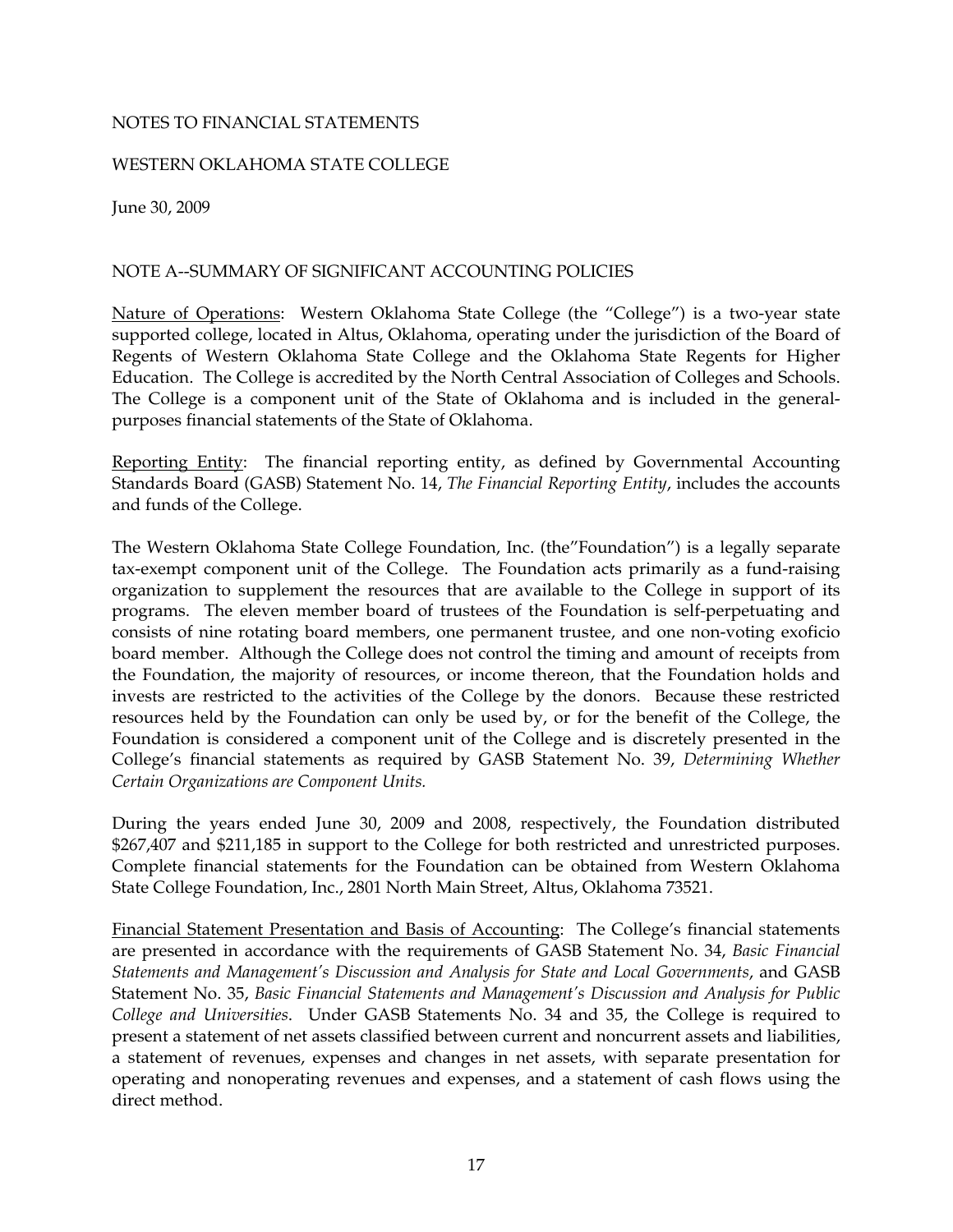#### NOTES TO FINANCIAL STATEMENTS

#### WESTERN OKLAHOMA STATE COLLEGE

June 30, 2009

#### NOTE A--SUMMARY OF SIGNIFICANT ACCOUNTING POLICIES

Nature of Operations: Western Oklahoma State College (the "College") is a two-year state supported college, located in Altus, Oklahoma, operating under the jurisdiction of the Board of Regents of Western Oklahoma State College and the Oklahoma State Regents for Higher Education. The College is accredited by the North Central Association of Colleges and Schools. The College is a component unit of the State of Oklahoma and is included in the generalpurposes financial statements of the State of Oklahoma.

Reporting Entity: The financial reporting entity, as defined by Governmental Accounting Standards Board (GASB) Statement No. 14, *The Financial Reporting Entity*, includes the accounts and funds of the College.

The Western Oklahoma State College Foundation, Inc. (the"Foundation") is a legally separate tax-exempt component unit of the College. The Foundation acts primarily as a fund-raising organization to supplement the resources that are available to the College in support of its programs. The eleven member board of trustees of the Foundation is self-perpetuating and consists of nine rotating board members, one permanent trustee, and one non-voting exoficio board member. Although the College does not control the timing and amount of receipts from the Foundation, the majority of resources, or income thereon, that the Foundation holds and invests are restricted to the activities of the College by the donors. Because these restricted resources held by the Foundation can only be used by, or for the benefit of the College, the Foundation is considered a component unit of the College and is discretely presented in the College's financial statements as required by GASB Statement No. 39, *Determining Whether Certain Organizations are Component Units.* 

During the years ended June 30, 2009 and 2008, respectively, the Foundation distributed \$267,407 and \$211,185 in support to the College for both restricted and unrestricted purposes. Complete financial statements for the Foundation can be obtained from Western Oklahoma State College Foundation, Inc., 2801 North Main Street, Altus, Oklahoma 73521.

Financial Statement Presentation and Basis of Accounting: The College's financial statements are presented in accordance with the requirements of GASB Statement No. 34, *Basic Financial Statements and Management's Discussion and Analysis for State and Local Governments*, and GASB Statement No. 35, *Basic Financial Statements and Management's Discussion and Analysis for Public College and Universities*. Under GASB Statements No. 34 and 35, the College is required to present a statement of net assets classified between current and noncurrent assets and liabilities, a statement of revenues, expenses and changes in net assets, with separate presentation for operating and nonoperating revenues and expenses, and a statement of cash flows using the direct method.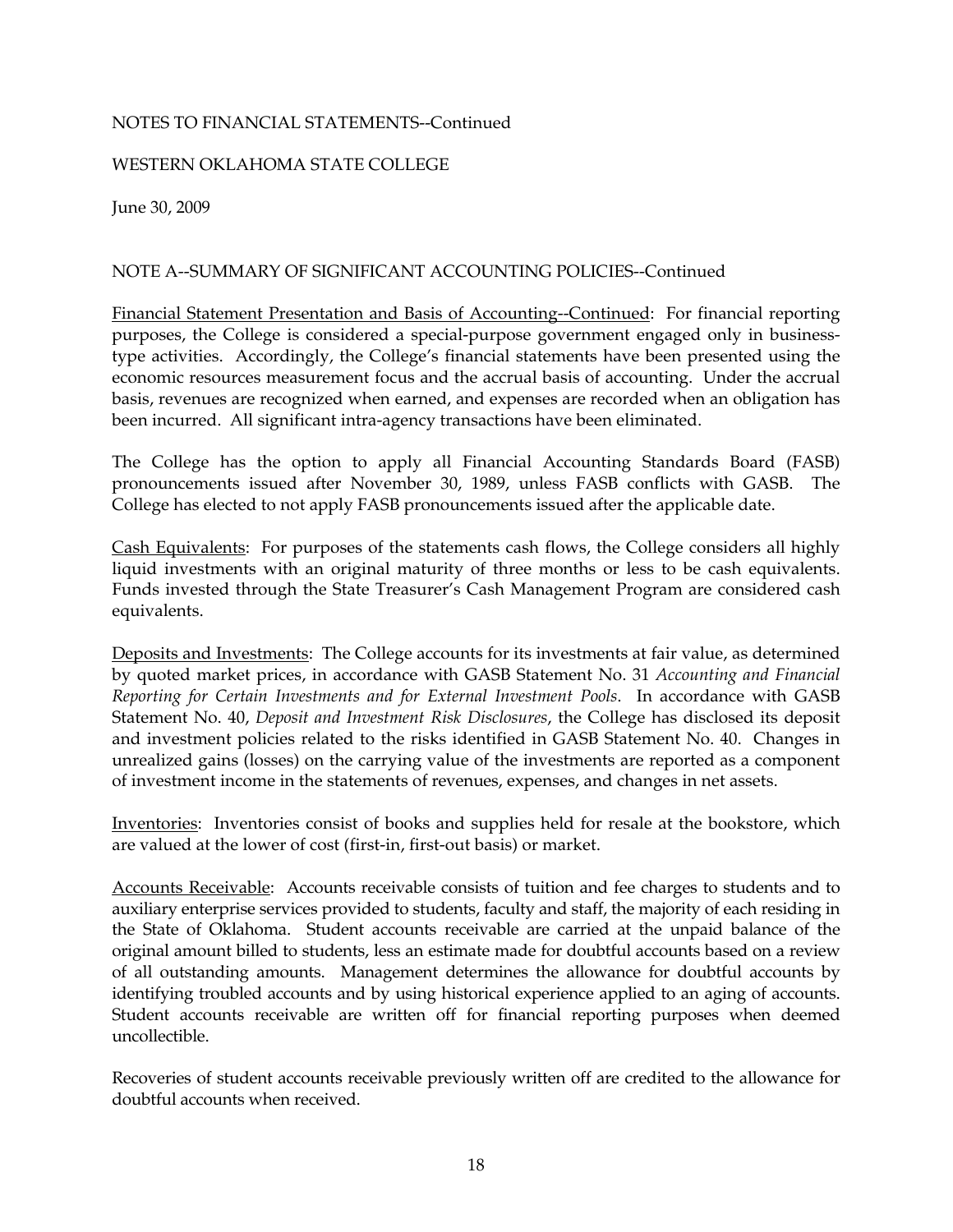#### WESTERN OKLAHOMA STATE COLLEGE

June 30, 2009

#### NOTE A--SUMMARY OF SIGNIFICANT ACCOUNTING POLICIES--Continued

Financial Statement Presentation and Basis of Accounting--Continued: For financial reporting purposes, the College is considered a special-purpose government engaged only in businesstype activities. Accordingly, the College's financial statements have been presented using the economic resources measurement focus and the accrual basis of accounting. Under the accrual basis, revenues are recognized when earned, and expenses are recorded when an obligation has been incurred. All significant intra-agency transactions have been eliminated.

The College has the option to apply all Financial Accounting Standards Board (FASB) pronouncements issued after November 30, 1989, unless FASB conflicts with GASB. The College has elected to not apply FASB pronouncements issued after the applicable date.

Cash Equivalents: For purposes of the statements cash flows, the College considers all highly liquid investments with an original maturity of three months or less to be cash equivalents. Funds invested through the State Treasurer's Cash Management Program are considered cash equivalents.

Deposits and Investments: The College accounts for its investments at fair value, as determined by quoted market prices, in accordance with GASB Statement No. 31 *Accounting and Financial Reporting for Certain Investments and for External Investment Pools*. In accordance with GASB Statement No. 40, *Deposit and Investment Risk Disclosures*, the College has disclosed its deposit and investment policies related to the risks identified in GASB Statement No. 40. Changes in unrealized gains (losses) on the carrying value of the investments are reported as a component of investment income in the statements of revenues, expenses, and changes in net assets.

Inventories: Inventories consist of books and supplies held for resale at the bookstore, which are valued at the lower of cost (first-in, first-out basis) or market.

Accounts Receivable: Accounts receivable consists of tuition and fee charges to students and to auxiliary enterprise services provided to students, faculty and staff, the majority of each residing in the State of Oklahoma. Student accounts receivable are carried at the unpaid balance of the original amount billed to students, less an estimate made for doubtful accounts based on a review of all outstanding amounts. Management determines the allowance for doubtful accounts by identifying troubled accounts and by using historical experience applied to an aging of accounts. Student accounts receivable are written off for financial reporting purposes when deemed uncollectible.

Recoveries of student accounts receivable previously written off are credited to the allowance for doubtful accounts when received.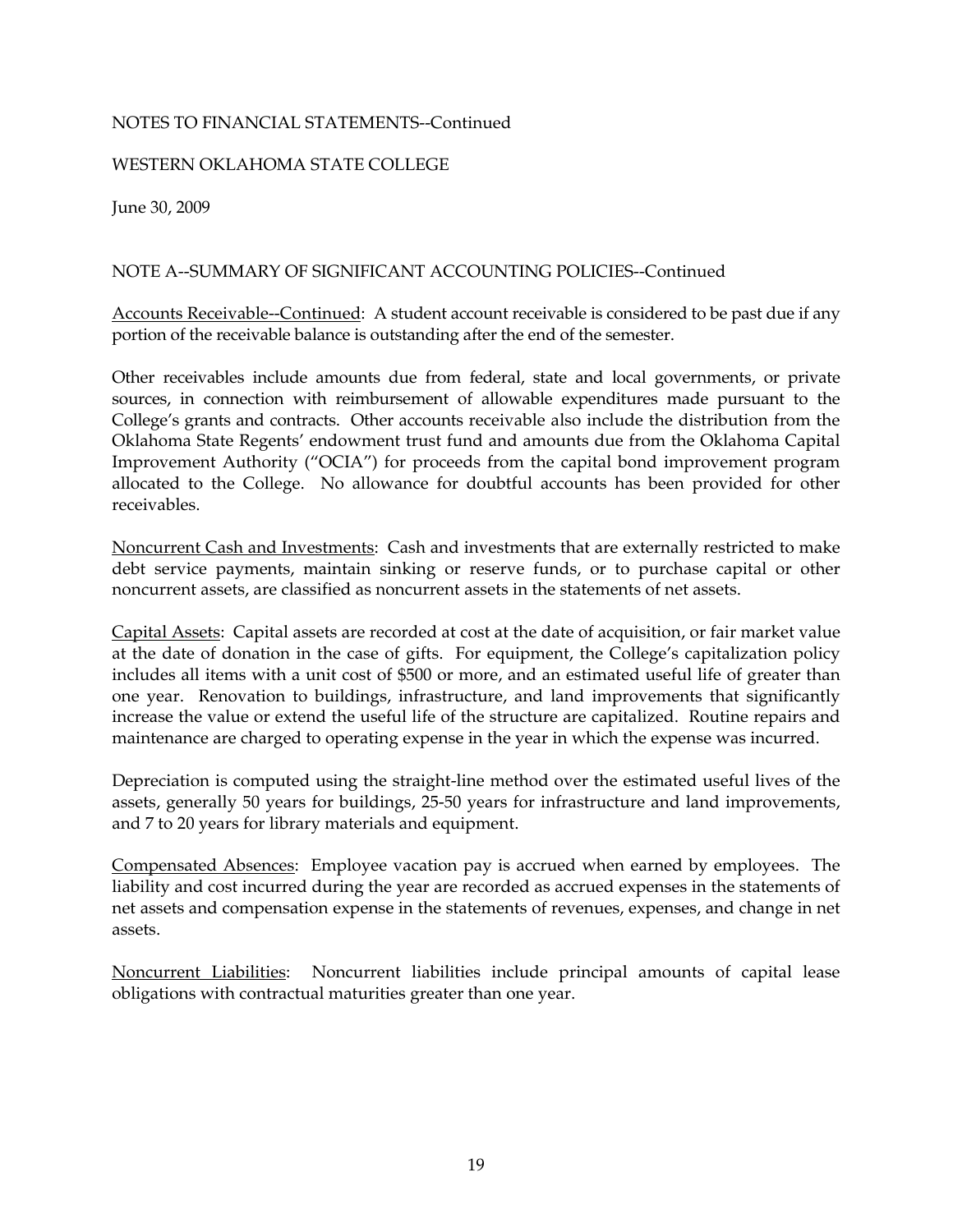#### WESTERN OKLAHOMA STATE COLLEGE

June 30, 2009

## NOTE A--SUMMARY OF SIGNIFICANT ACCOUNTING POLICIES--Continued

Accounts Receivable--Continued: A student account receivable is considered to be past due if any portion of the receivable balance is outstanding after the end of the semester.

Other receivables include amounts due from federal, state and local governments, or private sources, in connection with reimbursement of allowable expenditures made pursuant to the College's grants and contracts. Other accounts receivable also include the distribution from the Oklahoma State Regents' endowment trust fund and amounts due from the Oklahoma Capital Improvement Authority ("OCIA") for proceeds from the capital bond improvement program allocated to the College. No allowance for doubtful accounts has been provided for other receivables.

Noncurrent Cash and Investments: Cash and investments that are externally restricted to make debt service payments, maintain sinking or reserve funds, or to purchase capital or other noncurrent assets, are classified as noncurrent assets in the statements of net assets.

Capital Assets: Capital assets are recorded at cost at the date of acquisition, or fair market value at the date of donation in the case of gifts. For equipment, the College's capitalization policy includes all items with a unit cost of \$500 or more, and an estimated useful life of greater than one year. Renovation to buildings, infrastructure, and land improvements that significantly increase the value or extend the useful life of the structure are capitalized. Routine repairs and maintenance are charged to operating expense in the year in which the expense was incurred.

Depreciation is computed using the straight-line method over the estimated useful lives of the assets, generally 50 years for buildings, 25-50 years for infrastructure and land improvements, and 7 to 20 years for library materials and equipment.

Compensated Absences: Employee vacation pay is accrued when earned by employees. The liability and cost incurred during the year are recorded as accrued expenses in the statements of net assets and compensation expense in the statements of revenues, expenses, and change in net assets.

Noncurrent Liabilities: Noncurrent liabilities include principal amounts of capital lease obligations with contractual maturities greater than one year.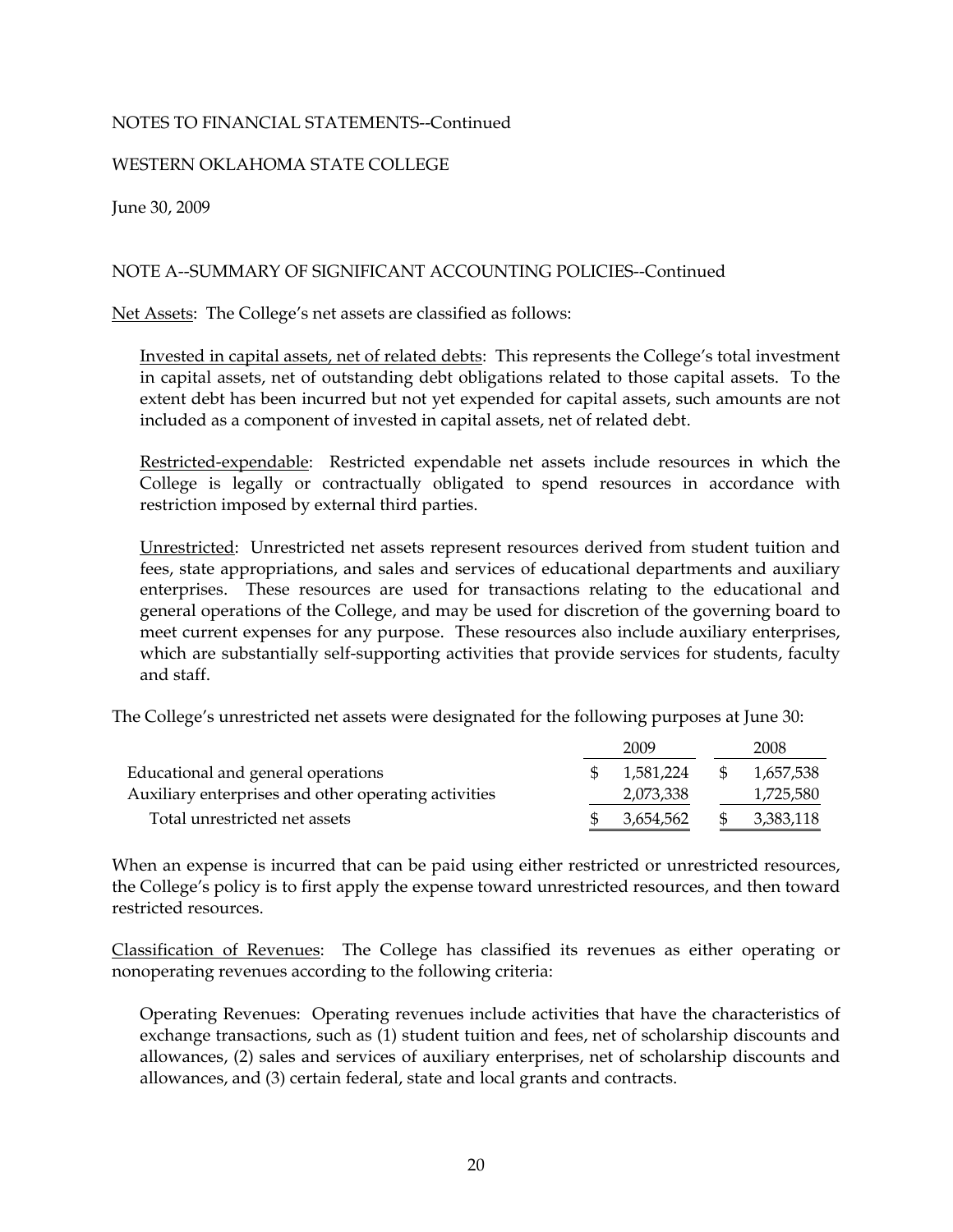#### WESTERN OKLAHOMA STATE COLLEGE

June 30, 2009

## NOTE A--SUMMARY OF SIGNIFICANT ACCOUNTING POLICIES--Continued

Net Assets: The College's net assets are classified as follows:

Invested in capital assets, net of related debts: This represents the College's total investment in capital assets, net of outstanding debt obligations related to those capital assets. To the extent debt has been incurred but not yet expended for capital assets, such amounts are not included as a component of invested in capital assets, net of related debt.

Restricted-expendable: Restricted expendable net assets include resources in which the College is legally or contractually obligated to spend resources in accordance with restriction imposed by external third parties.

Unrestricted: Unrestricted net assets represent resources derived from student tuition and fees, state appropriations, and sales and services of educational departments and auxiliary enterprises. These resources are used for transactions relating to the educational and general operations of the College, and may be used for discretion of the governing board to meet current expenses for any purpose. These resources also include auxiliary enterprises, which are substantially self-supporting activities that provide services for students, faculty and staff.

The College's unrestricted net assets were designated for the following purposes at June 30:

|                                                      | 2009      |              | 2008      |
|------------------------------------------------------|-----------|--------------|-----------|
| Educational and general operations                   | 1,581,224 | $\mathbf{E}$ | 1,657,538 |
| Auxiliary enterprises and other operating activities | 2,073,338 |              | 1,725,580 |
| Total unrestricted net assets                        | 3,654,562 |              | 3,383,118 |
|                                                      |           |              |           |

When an expense is incurred that can be paid using either restricted or unrestricted resources, the College's policy is to first apply the expense toward unrestricted resources, and then toward restricted resources.

Classification of Revenues: The College has classified its revenues as either operating or nonoperating revenues according to the following criteria:

Operating Revenues: Operating revenues include activities that have the characteristics of exchange transactions, such as (1) student tuition and fees, net of scholarship discounts and allowances, (2) sales and services of auxiliary enterprises, net of scholarship discounts and allowances, and (3) certain federal, state and local grants and contracts.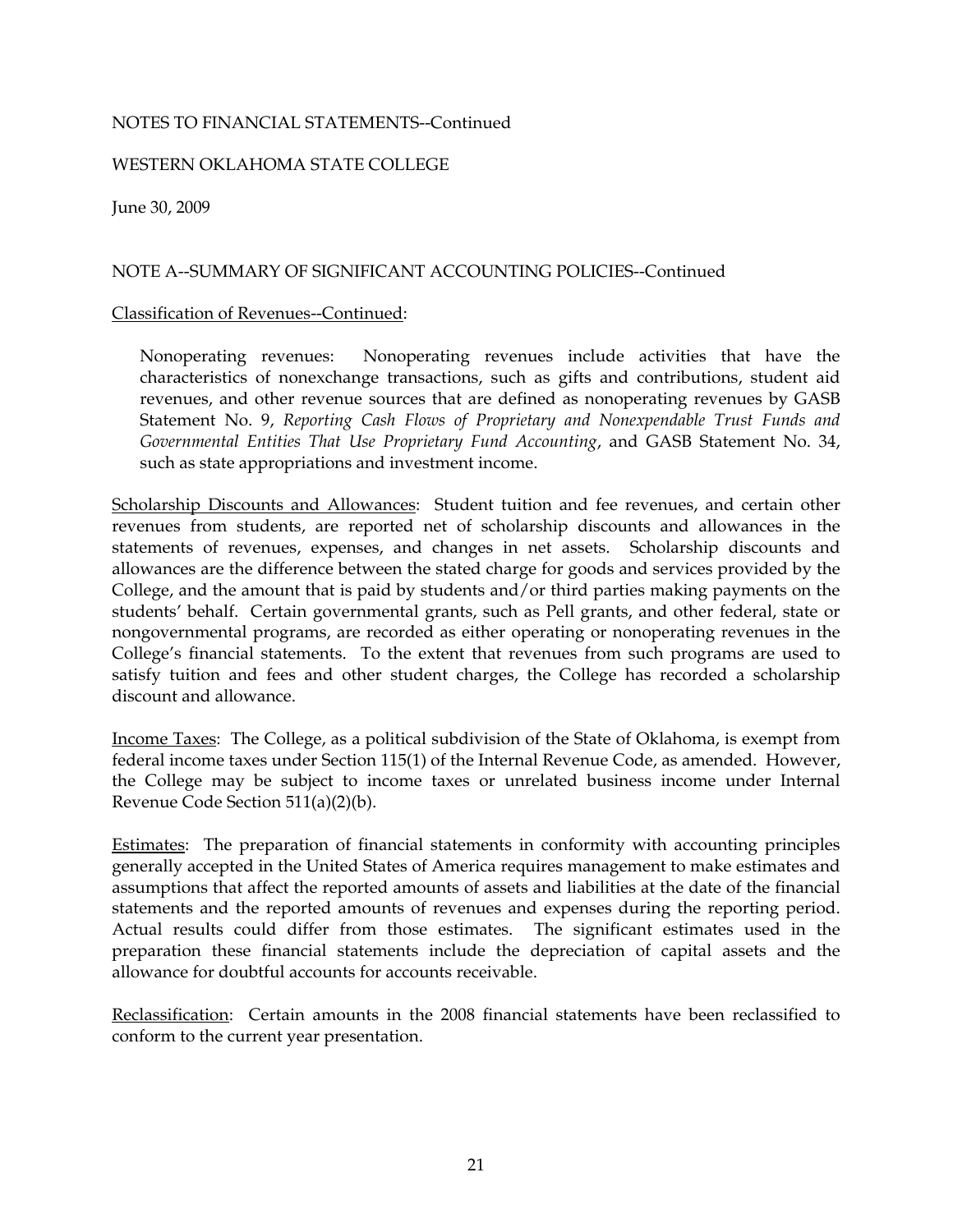#### WESTERN OKLAHOMA STATE COLLEGE

June 30, 2009

#### NOTE A--SUMMARY OF SIGNIFICANT ACCOUNTING POLICIES--Continued

#### Classification of Revenues--Continued:

Nonoperating revenues: Nonoperating revenues include activities that have the characteristics of nonexchange transactions, such as gifts and contributions, student aid revenues, and other revenue sources that are defined as nonoperating revenues by GASB Statement No. 9, *Reporting Cash Flows of Proprietary and Nonexpendable Trust Funds and Governmental Entities That Use Proprietary Fund Accounting*, and GASB Statement No. 34, such as state appropriations and investment income.

Scholarship Discounts and Allowances: Student tuition and fee revenues, and certain other revenues from students, are reported net of scholarship discounts and allowances in the statements of revenues, expenses, and changes in net assets. Scholarship discounts and allowances are the difference between the stated charge for goods and services provided by the College, and the amount that is paid by students and/or third parties making payments on the students' behalf. Certain governmental grants, such as Pell grants, and other federal, state or nongovernmental programs, are recorded as either operating or nonoperating revenues in the College's financial statements. To the extent that revenues from such programs are used to satisfy tuition and fees and other student charges, the College has recorded a scholarship discount and allowance.

Income Taxes: The College, as a political subdivision of the State of Oklahoma, is exempt from federal income taxes under Section 115(1) of the Internal Revenue Code, as amended. However, the College may be subject to income taxes or unrelated business income under Internal Revenue Code Section 511(a)(2)(b).

Estimates: The preparation of financial statements in conformity with accounting principles generally accepted in the United States of America requires management to make estimates and assumptions that affect the reported amounts of assets and liabilities at the date of the financial statements and the reported amounts of revenues and expenses during the reporting period. Actual results could differ from those estimates. The significant estimates used in the preparation these financial statements include the depreciation of capital assets and the allowance for doubtful accounts for accounts receivable.

Reclassification: Certain amounts in the 2008 financial statements have been reclassified to conform to the current year presentation.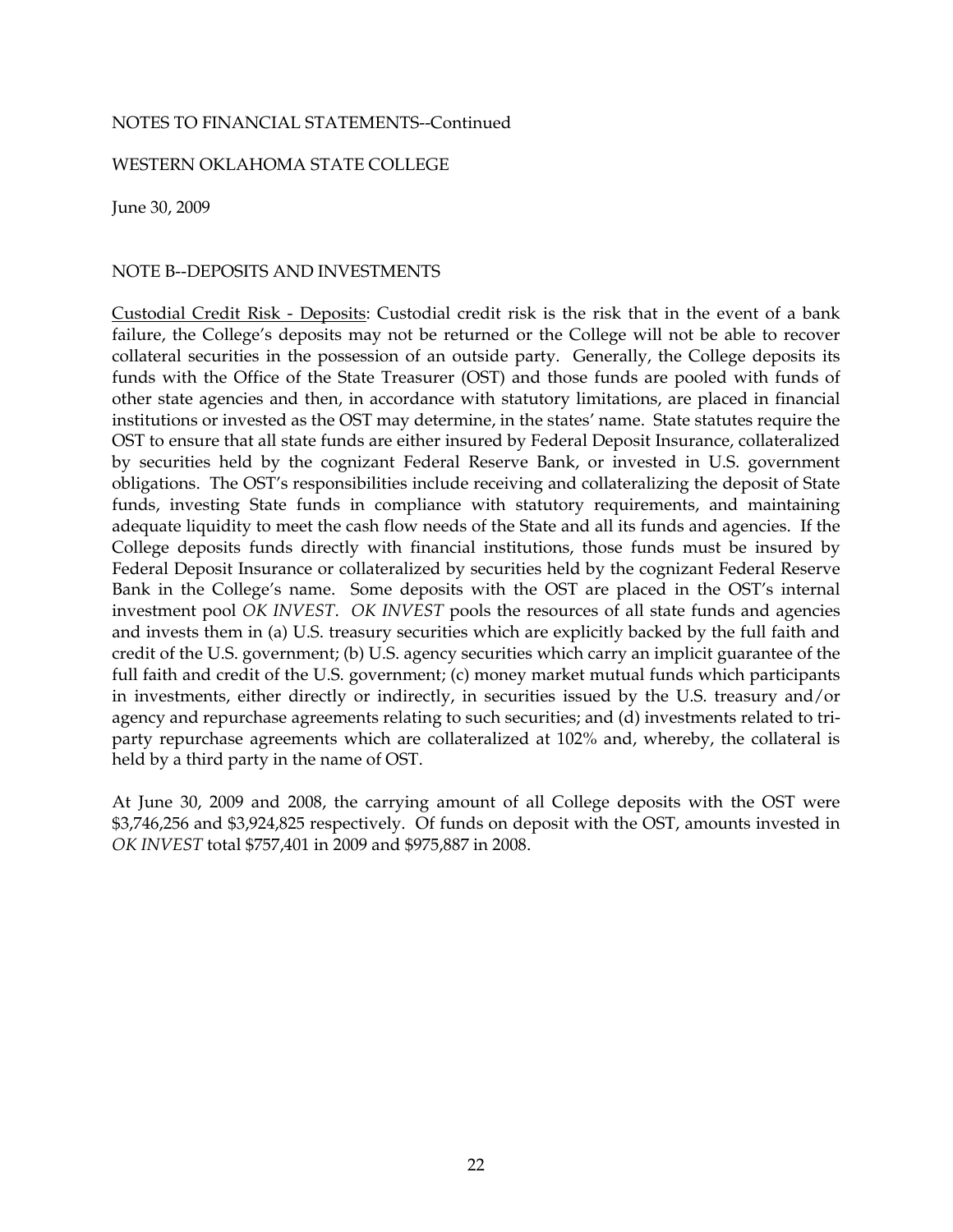#### WESTERN OKLAHOMA STATE COLLEGE

June 30, 2009

#### NOTE B--DEPOSITS AND INVESTMENTS

Custodial Credit Risk - Deposits: Custodial credit risk is the risk that in the event of a bank failure, the College's deposits may not be returned or the College will not be able to recover collateral securities in the possession of an outside party. Generally, the College deposits its funds with the Office of the State Treasurer (OST) and those funds are pooled with funds of other state agencies and then, in accordance with statutory limitations, are placed in financial institutions or invested as the OST may determine, in the states' name. State statutes require the OST to ensure that all state funds are either insured by Federal Deposit Insurance, collateralized by securities held by the cognizant Federal Reserve Bank, or invested in U.S. government obligations. The OST's responsibilities include receiving and collateralizing the deposit of State funds, investing State funds in compliance with statutory requirements, and maintaining adequate liquidity to meet the cash flow needs of the State and all its funds and agencies. If the College deposits funds directly with financial institutions, those funds must be insured by Federal Deposit Insurance or collateralized by securities held by the cognizant Federal Reserve Bank in the College's name. Some deposits with the OST are placed in the OST's internal investment pool *OK INVEST*. *OK INVEST* pools the resources of all state funds and agencies and invests them in (a) U.S. treasury securities which are explicitly backed by the full faith and credit of the U.S. government; (b) U.S. agency securities which carry an implicit guarantee of the full faith and credit of the U.S. government; (c) money market mutual funds which participants in investments, either directly or indirectly, in securities issued by the U.S. treasury and/or agency and repurchase agreements relating to such securities; and (d) investments related to triparty repurchase agreements which are collateralized at 102% and, whereby, the collateral is held by a third party in the name of OST.

At June 30, 2009 and 2008, the carrying amount of all College deposits with the OST were \$3,746,256 and \$3,924,825 respectively. Of funds on deposit with the OST, amounts invested in *OK INVEST* total \$757,401 in 2009 and \$975,887 in 2008.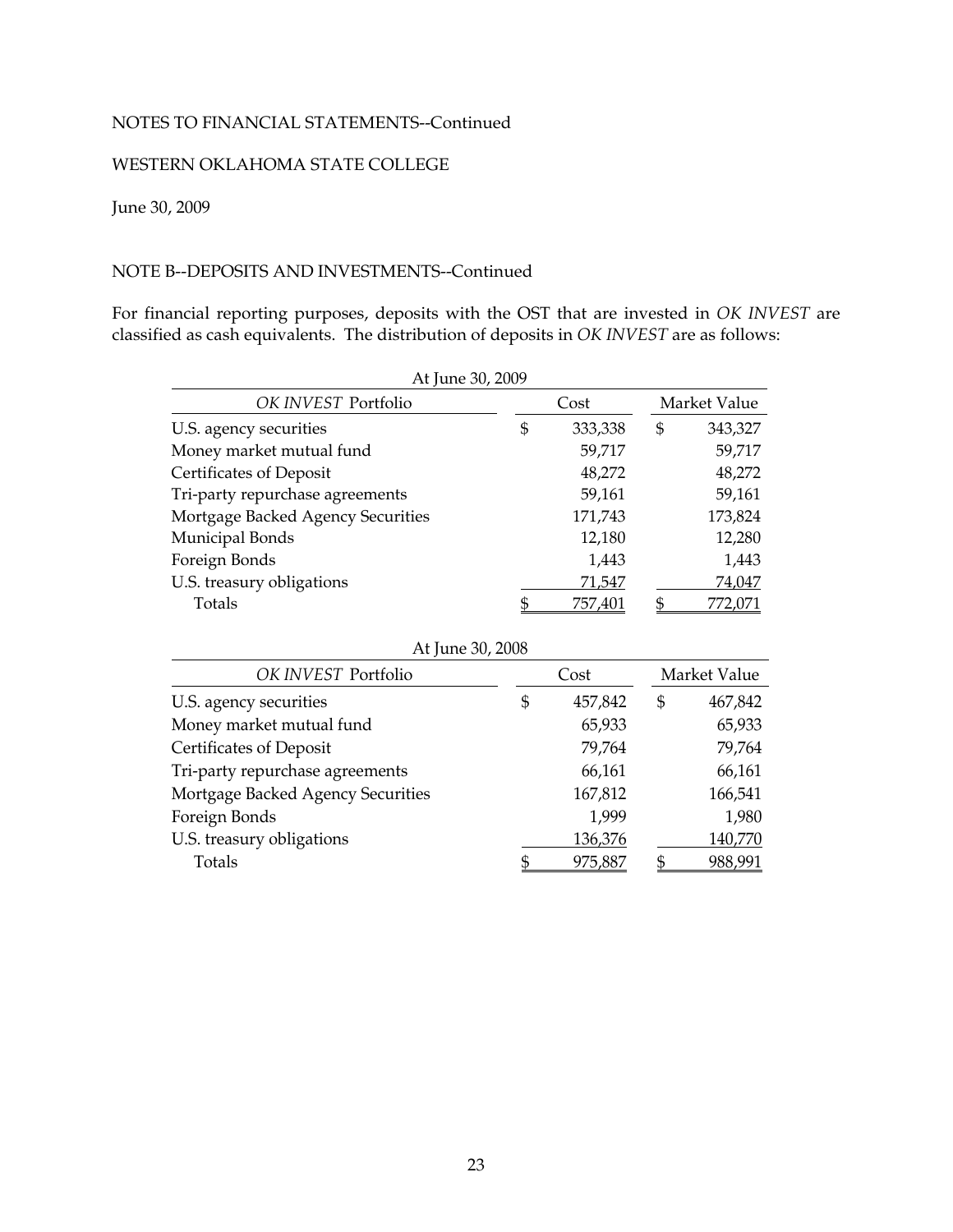## WESTERN OKLAHOMA STATE COLLEGE

## June 30, 2009

#### NOTE B--DEPOSITS AND INVESTMENTS--Continued

For financial reporting purposes, deposits with the OST that are invested in *OK INVEST* are classified as cash equivalents. The distribution of deposits in *OK INVEST* are as follows:

| At June 30, 2009                  |    |         |    |              |  |  |  |  |  |
|-----------------------------------|----|---------|----|--------------|--|--|--|--|--|
| OK INVEST Portfolio               |    | Cost    |    | Market Value |  |  |  |  |  |
| U.S. agency securities            | \$ | 333,338 | \$ | 343,327      |  |  |  |  |  |
| Money market mutual fund          |    | 59,717  |    | 59,717       |  |  |  |  |  |
| Certificates of Deposit           |    | 48,272  |    | 48,272       |  |  |  |  |  |
| Tri-party repurchase agreements   |    | 59,161  |    | 59,161       |  |  |  |  |  |
| Mortgage Backed Agency Securities |    | 171,743 |    | 173,824      |  |  |  |  |  |
| Municipal Bonds                   |    | 12,180  |    | 12,280       |  |  |  |  |  |
| Foreign Bonds                     |    | 1,443   |    | 1,443        |  |  |  |  |  |
| U.S. treasury obligations         |    | 71,547  |    | 74,047       |  |  |  |  |  |
| Totals                            |    | 757,401 |    | 772,071      |  |  |  |  |  |
| At June 30, 2008                  |    |         |    |              |  |  |  |  |  |
| OK INVEST Portfolio               |    | Cost    |    | Market Value |  |  |  |  |  |

| OK INVEST Portfolio               | Cost |         | Market Value  |
|-----------------------------------|------|---------|---------------|
| U.S. agency securities            | \$   | 457,842 | \$<br>467,842 |
| Money market mutual fund          |      | 65,933  | 65,933        |
| Certificates of Deposit           |      | 79,764  | 79,764        |
| Tri-party repurchase agreements   |      | 66,161  | 66,161        |
| Mortgage Backed Agency Securities |      | 167,812 | 166,541       |
| Foreign Bonds                     |      | 1,999   | 1,980         |
| U.S. treasury obligations         |      | 136,376 | 140,770       |
| Totals                            |      | 975,887 | 988,991       |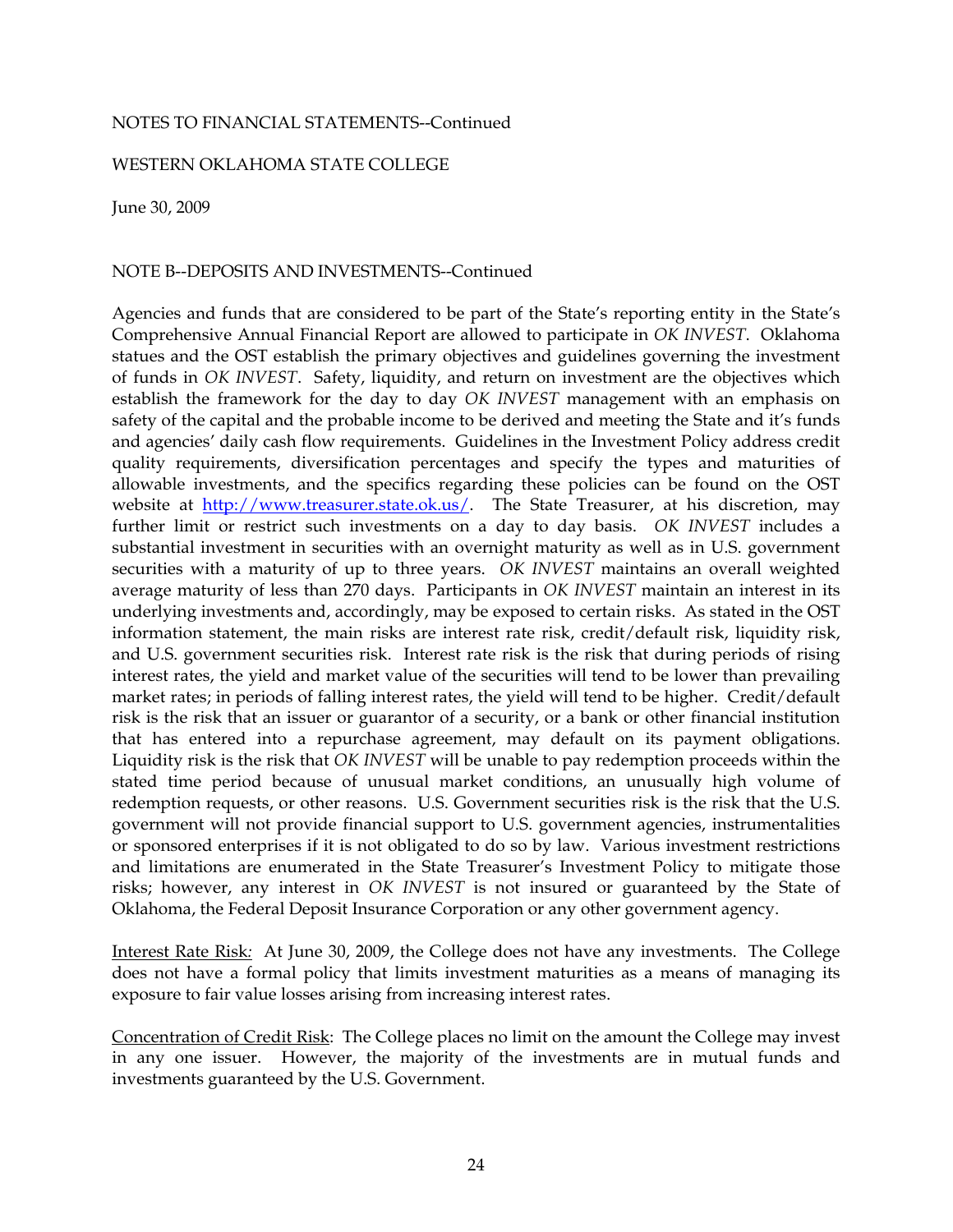#### WESTERN OKLAHOMA STATE COLLEGE

June 30, 2009

#### NOTE B--DEPOSITS AND INVESTMENTS--Continued

Agencies and funds that are considered to be part of the State's reporting entity in the State's Comprehensive Annual Financial Report are allowed to participate in *OK INVEST*. Oklahoma statues and the OST establish the primary objectives and guidelines governing the investment of funds in *OK INVEST*. Safety, liquidity, and return on investment are the objectives which establish the framework for the day to day *OK INVEST* management with an emphasis on safety of the capital and the probable income to be derived and meeting the State and it's funds and agencies' daily cash flow requirements. Guidelines in the Investment Policy address credit quality requirements, diversification percentages and specify the types and maturities of allowable investments, and the specifics regarding these policies can be found on the OST website at http://www.treasurer.state.ok.us/. The State Treasurer, at his discretion, may further limit or restrict such investments on a day to day basis. *OK INVEST* includes a substantial investment in securities with an overnight maturity as well as in U.S. government securities with a maturity of up to three years. *OK INVEST* maintains an overall weighted average maturity of less than 270 days. Participants in *OK INVEST* maintain an interest in its underlying investments and, accordingly, may be exposed to certain risks. As stated in the OST information statement, the main risks are interest rate risk, credit/default risk, liquidity risk, and U.S. government securities risk. Interest rate risk is the risk that during periods of rising interest rates, the yield and market value of the securities will tend to be lower than prevailing market rates; in periods of falling interest rates, the yield will tend to be higher. Credit/default risk is the risk that an issuer or guarantor of a security, or a bank or other financial institution that has entered into a repurchase agreement, may default on its payment obligations. Liquidity risk is the risk that *OK INVEST* will be unable to pay redemption proceeds within the stated time period because of unusual market conditions, an unusually high volume of redemption requests, or other reasons. U.S. Government securities risk is the risk that the U.S. government will not provide financial support to U.S. government agencies, instrumentalities or sponsored enterprises if it is not obligated to do so by law. Various investment restrictions and limitations are enumerated in the State Treasurer's Investment Policy to mitigate those risks; however, any interest in *OK INVEST* is not insured or guaranteed by the State of Oklahoma, the Federal Deposit Insurance Corporation or any other government agency.

Interest Rate Risk*:* At June 30, 2009, the College does not have any investments. The College does not have a formal policy that limits investment maturities as a means of managing its exposure to fair value losses arising from increasing interest rates.

Concentration of Credit Risk: The College places no limit on the amount the College may invest in any one issuer. However, the majority of the investments are in mutual funds and investments guaranteed by the U.S. Government.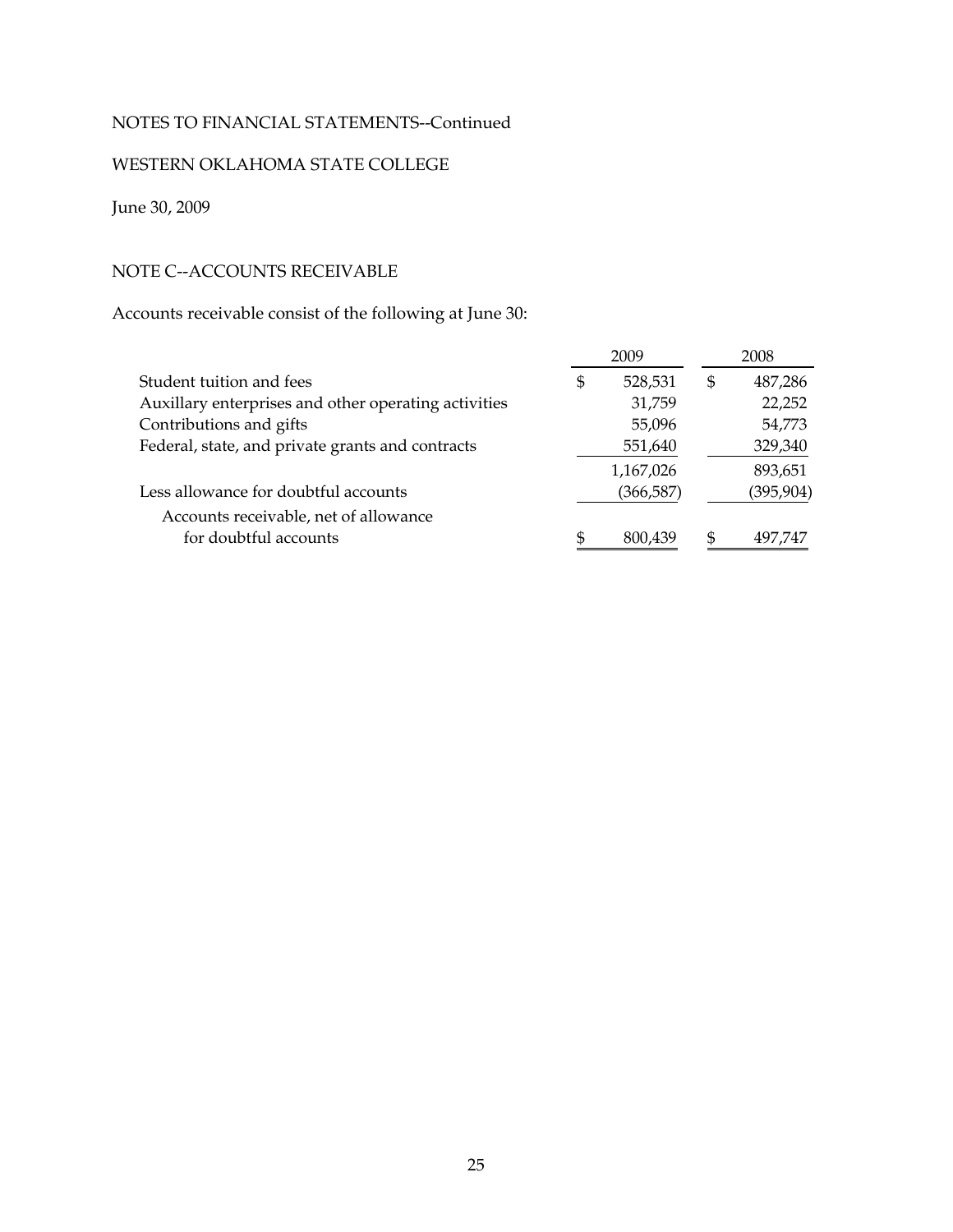## WESTERN OKLAHOMA STATE COLLEGE

# June 30, 2009

## NOTE C--ACCOUNTS RECEIVABLE

Accounts receivable consist of the following at June 30:

|                                                      | 2009          | 2008          |
|------------------------------------------------------|---------------|---------------|
| Student tuition and fees                             | \$<br>528,531 | \$<br>487,286 |
| Auxillary enterprises and other operating activities | 31,759        | 22,252        |
| Contributions and gifts                              | 55,096        | 54,773        |
| Federal, state, and private grants and contracts     | 551,640       | 329,340       |
|                                                      | 1,167,026     | 893,651       |
| Less allowance for doubtful accounts                 | (366,587)     | (395, 904)    |
| Accounts receivable, net of allowance                |               |               |
| for doubtful accounts                                | 800,439       | 497.747       |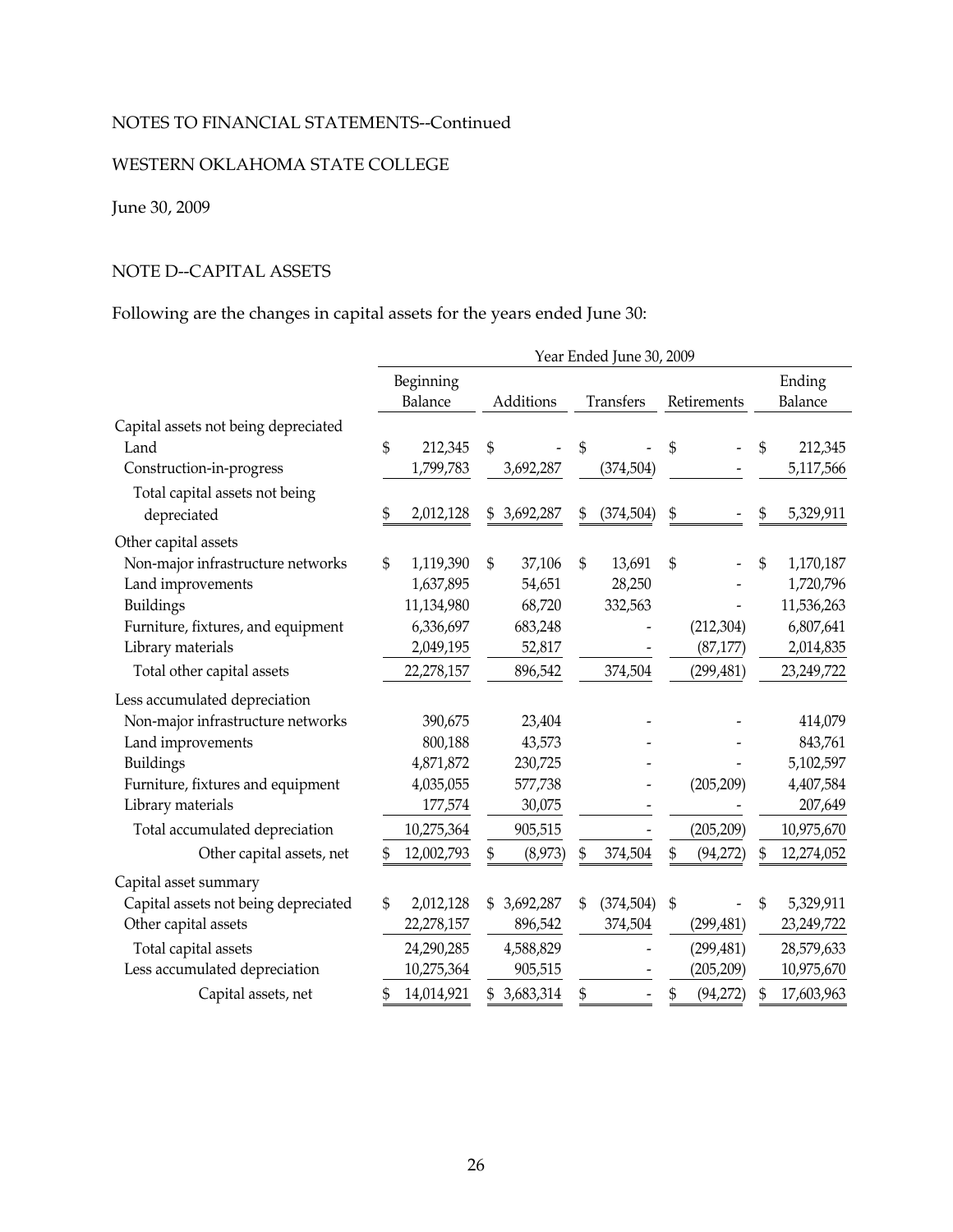# WESTERN OKLAHOMA STATE COLLEGE

## June 30, 2009

# NOTE D--CAPITAL ASSETS

Following are the changes in capital assets for the years ended June 30:

|                                      | Year Ended June 30, 2009 |            |    |           |    |            |    |             |    |            |
|--------------------------------------|--------------------------|------------|----|-----------|----|------------|----|-------------|----|------------|
|                                      |                          | Beginning  |    |           |    |            |    |             |    | Ending     |
|                                      |                          | Balance    |    | Additions |    | Transfers  |    | Retirements |    | Balance    |
| Capital assets not being depreciated |                          |            |    |           |    |            |    |             |    |            |
| Land                                 | \$                       | 212,345    | \$ |           | \$ |            | \$ |             | \$ | 212,345    |
| Construction-in-progress             |                          | 1,799,783  |    | 3,692,287 |    | (374, 504) |    |             |    | 5,117,566  |
| Total capital assets not being       |                          |            |    |           |    |            |    |             |    |            |
| depreciated                          | \$                       | 2,012,128  | \$ | 3,692,287 | \$ | (374, 504) | \$ |             | \$ | 5,329,911  |
| Other capital assets                 |                          |            |    |           |    |            |    |             |    |            |
| Non-major infrastructure networks    | \$                       | 1,119,390  | \$ | 37,106    | \$ | 13,691     | \$ |             | \$ | 1,170,187  |
| Land improvements                    |                          | 1,637,895  |    | 54,651    |    | 28,250     |    |             |    | 1,720,796  |
| <b>Buildings</b>                     |                          | 11,134,980 |    | 68,720    |    | 332,563    |    |             |    | 11,536,263 |
| Furniture, fixtures, and equipment   |                          | 6,336,697  |    | 683,248   |    |            |    | (212, 304)  |    | 6,807,641  |
| Library materials                    |                          | 2,049,195  |    | 52,817    |    |            |    | (87, 177)   |    | 2,014,835  |
| Total other capital assets           |                          | 22,278,157 |    | 896,542   |    | 374,504    |    | (299, 481)  |    | 23,249,722 |
| Less accumulated depreciation        |                          |            |    |           |    |            |    |             |    |            |
| Non-major infrastructure networks    |                          | 390,675    |    | 23,404    |    |            |    |             |    | 414,079    |
| Land improvements                    |                          | 800,188    |    | 43,573    |    |            |    |             |    | 843,761    |
| <b>Buildings</b>                     |                          | 4,871,872  |    | 230,725   |    |            |    |             |    | 5,102,597  |
| Furniture, fixtures and equipment    |                          | 4,035,055  |    | 577,738   |    |            |    | (205, 209)  |    | 4,407,584  |
| Library materials                    |                          | 177,574    |    | 30,075    |    |            |    |             |    | 207,649    |
| Total accumulated depreciation       |                          | 10,275,364 |    | 905,515   |    |            |    | (205, 209)  |    | 10,975,670 |
| Other capital assets, net            |                          | 12,002,793 | \$ | (8,973)   | \$ | 374,504    | \$ | (94, 272)   | \$ | 12,274,052 |
| Capital asset summary                |                          |            |    |           |    |            |    |             |    |            |
| Capital assets not being depreciated | \$                       | 2,012,128  |    | 3,692,287 | \$ | (374, 504) | \$ |             | \$ | 5,329,911  |
| Other capital assets                 |                          | 22,278,157 |    | 896,542   |    | 374,504    |    | (299, 481)  |    | 23,249,722 |
| Total capital assets                 |                          | 24,290,285 |    | 4,588,829 |    |            |    | (299, 481)  |    | 28,579,633 |
| Less accumulated depreciation        |                          | 10,275,364 |    | 905,515   |    |            |    | (205, 209)  |    | 10,975,670 |
| Capital assets, net                  | \$                       | 14,014,921 |    | 3,683,314 | \$ |            | \$ | (94, 272)   | \$ | 17,603,963 |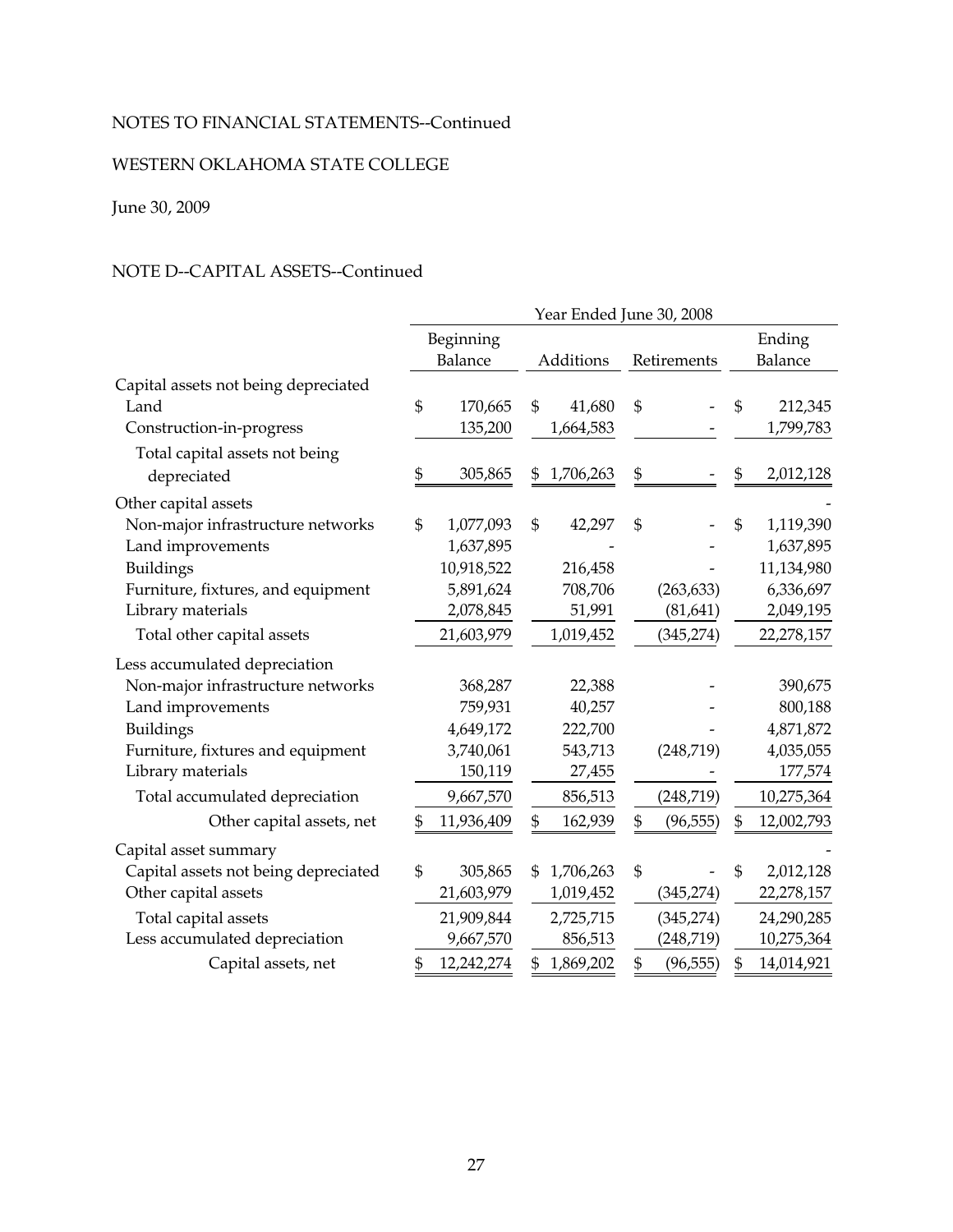# WESTERN OKLAHOMA STATE COLLEGE

# June 30, 2009

# NOTE D--CAPITAL ASSETS--Continued

|                                      |                  | Year Ended June 30, 2008 |             |            |                |            |  |  |
|--------------------------------------|------------------|--------------------------|-------------|------------|----------------|------------|--|--|
|                                      | Beginning        |                          |             |            |                | Ending     |  |  |
|                                      | Balance          | Additions                | Retirements |            |                | Balance    |  |  |
| Capital assets not being depreciated |                  |                          |             |            |                |            |  |  |
| Land                                 | \$<br>170,665    | \$<br>41,680             | \$          |            | \$             | 212,345    |  |  |
| Construction-in-progress             | 135,200          | 1,664,583                |             |            |                | 1,799,783  |  |  |
| Total capital assets not being       |                  |                          |             |            |                |            |  |  |
| depreciated                          | \$<br>305,865    | \$<br>1,706,263          | \$          |            | \$             | 2,012,128  |  |  |
| Other capital assets                 |                  |                          |             |            |                |            |  |  |
| Non-major infrastructure networks    | \$<br>1,077,093  | \$<br>42,297             | \$          |            | \$             | 1,119,390  |  |  |
| Land improvements                    | 1,637,895        |                          |             |            |                | 1,637,895  |  |  |
| <b>Buildings</b>                     | 10,918,522       | 216,458                  |             |            |                | 11,134,980 |  |  |
| Furniture, fixtures, and equipment   | 5,891,624        | 708,706                  |             | (263, 633) |                | 6,336,697  |  |  |
| Library materials                    | 2,078,845        | 51,991                   |             | (81, 641)  |                | 2,049,195  |  |  |
| Total other capital assets           | 21,603,979       | 1,019,452                |             | (345, 274) |                | 22,278,157 |  |  |
| Less accumulated depreciation        |                  |                          |             |            |                |            |  |  |
| Non-major infrastructure networks    | 368,287          | 22,388                   |             |            |                | 390,675    |  |  |
| Land improvements                    | 759,931          | 40,257                   |             |            |                | 800,188    |  |  |
| <b>Buildings</b>                     | 4,649,172        | 222,700                  |             |            |                | 4,871,872  |  |  |
| Furniture, fixtures and equipment    | 3,740,061        | 543,713                  |             | (248, 719) |                | 4,035,055  |  |  |
| Library materials                    | 150,119          | 27,455                   |             |            |                | 177,574    |  |  |
| Total accumulated depreciation       | 9,667,570        | 856,513                  |             | (248, 719) |                | 10,275,364 |  |  |
| Other capital assets, net            | \$<br>11,936,409 | \$<br>162,939            | \$          | (96, 555)  | \$             | 12,002,793 |  |  |
| Capital asset summary                |                  |                          |             |            |                |            |  |  |
| Capital assets not being depreciated | \$<br>305,865    | \$<br>1,706,263          | \$          |            | $\mathfrak{S}$ | 2,012,128  |  |  |
| Other capital assets                 | 21,603,979       | 1,019,452                |             | (345, 274) |                | 22,278,157 |  |  |
| Total capital assets                 | 21,909,844       | 2,725,715                |             | (345, 274) |                | 24,290,285 |  |  |
| Less accumulated depreciation        | 9,667,570        | 856,513                  |             | (248, 719) |                | 10,275,364 |  |  |
| Capital assets, net                  | \$<br>12,242,274 | \$<br>1,869,202          | \$          | (96, 555)  | \$             | 14,014,921 |  |  |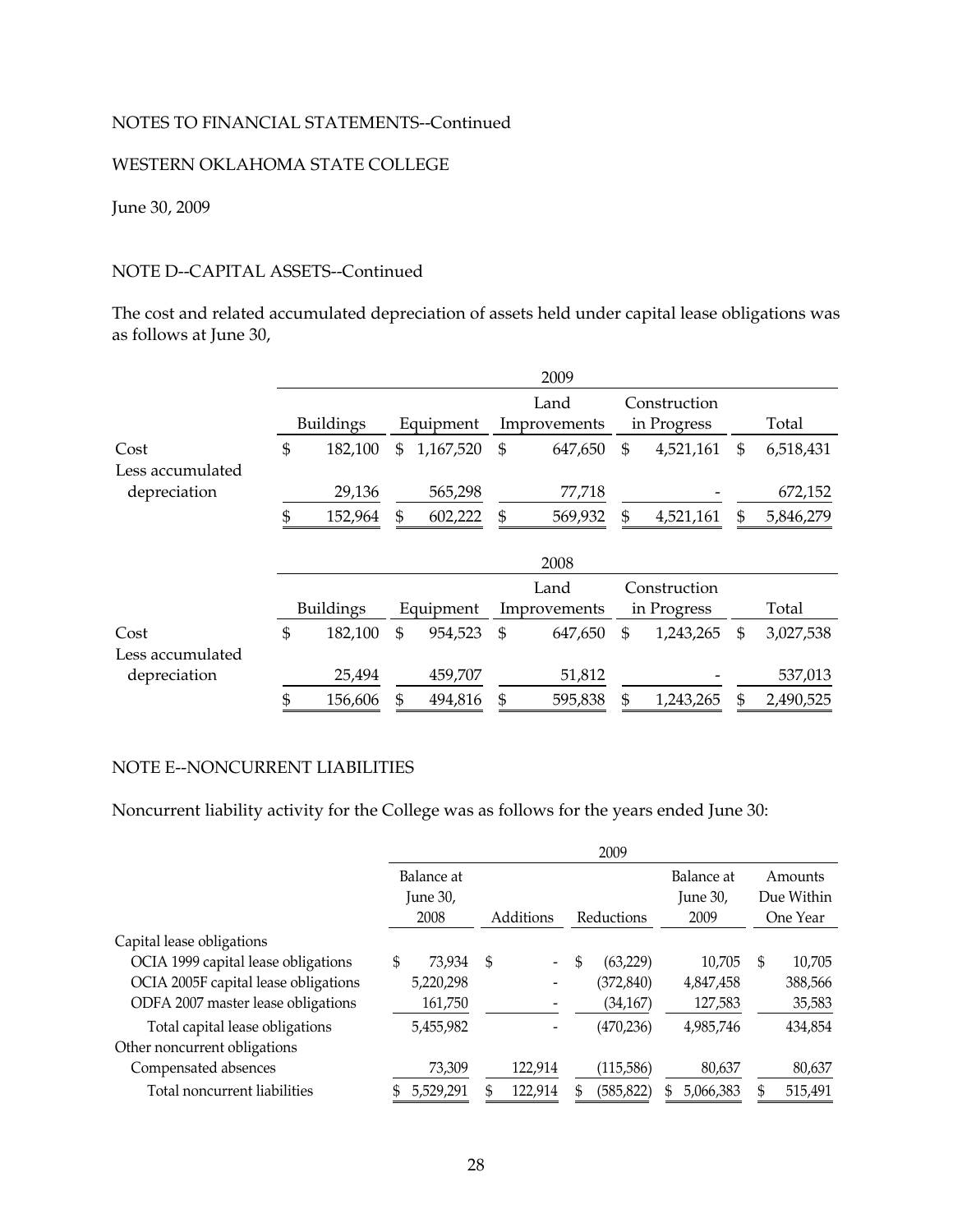#### WESTERN OKLAHOMA STATE COLLEGE

June 30, 2009

#### NOTE D--CAPITAL ASSETS--Continued

The cost and related accumulated depreciation of assets held under capital lease obligations was as follows at June 30,

|                  |                  |                 | 2009          |                 |                 |
|------------------|------------------|-----------------|---------------|-----------------|-----------------|
|                  |                  |                 | Land          | Construction    |                 |
|                  | <b>Buildings</b> | Equipment       | Improvements  | in Progress     | Total           |
| Cost             | \$<br>182,100    | \$<br>1,167,520 | \$<br>647,650 | \$<br>4,521,161 | \$<br>6,518,431 |
| Less accumulated |                  |                 |               |                 |                 |
| depreciation     | 29,136           | 565,298         | 77,718        |                 | 672,152         |
|                  | \$<br>152,964    | \$<br>602,222   | \$<br>569,932 | \$<br>4,521,161 | \$<br>5,846,279 |
|                  |                  |                 |               |                 |                 |
|                  |                  |                 | 2008          |                 |                 |
|                  |                  |                 | Land          | Construction    |                 |
|                  | <b>Buildings</b> | Equipment       | Improvements  | in Progress     | Total           |
| Cost             | \$<br>182,100    | \$<br>954,523   | \$<br>647,650 | \$<br>1,243,265 | \$<br>3,027,538 |
| Less accumulated |                  |                 |               |                 |                 |
| depreciation     | 25,494           | 459,707         | 51,812        |                 | 537,013         |
|                  | \$<br>156,606    | 494,816         | \$<br>595,838 | 1,243,265       | 2,490,525       |

#### NOTE E--NONCURRENT LIABILITIES

Noncurrent liability activity for the College was as follows for the years ended June 30:

|                                      |                                |           |           |         |            | 2009       |                                |   |                                   |
|--------------------------------------|--------------------------------|-----------|-----------|---------|------------|------------|--------------------------------|---|-----------------------------------|
|                                      | Balance at<br>June 30,<br>2008 |           | Additions |         | Reductions |            | Balance at<br>June 30.<br>2009 |   | Amounts<br>Due Within<br>One Year |
| Capital lease obligations            |                                |           |           |         |            |            |                                |   |                                   |
| OCIA 1999 capital lease obligations  | \$                             | 73,934    | S         |         | \$         | (63,229)   | 10.705                         | S | 10,705                            |
| OCIA 2005F capital lease obligations |                                | 5,220,298 |           |         |            | (372, 840) | 4,847,458                      |   | 388,566                           |
| ODFA 2007 master lease obligations   |                                | 161,750   |           |         |            | (34, 167)  | 127,583                        |   | 35,583                            |
| Total capital lease obligations      |                                | 5,455,982 |           |         |            | (470, 236) | 4,985,746                      |   | 434,854                           |
| Other noncurrent obligations         |                                |           |           |         |            |            |                                |   |                                   |
| Compensated absences                 |                                | 73,309    |           | 122.914 |            | (115,586)  | 80,637                         |   | 80,637                            |
| Total noncurrent liabilities         |                                | 5,529,291 |           | 122.914 |            | (585, 822) | 5,066,383<br>Տ                 |   | 515,491                           |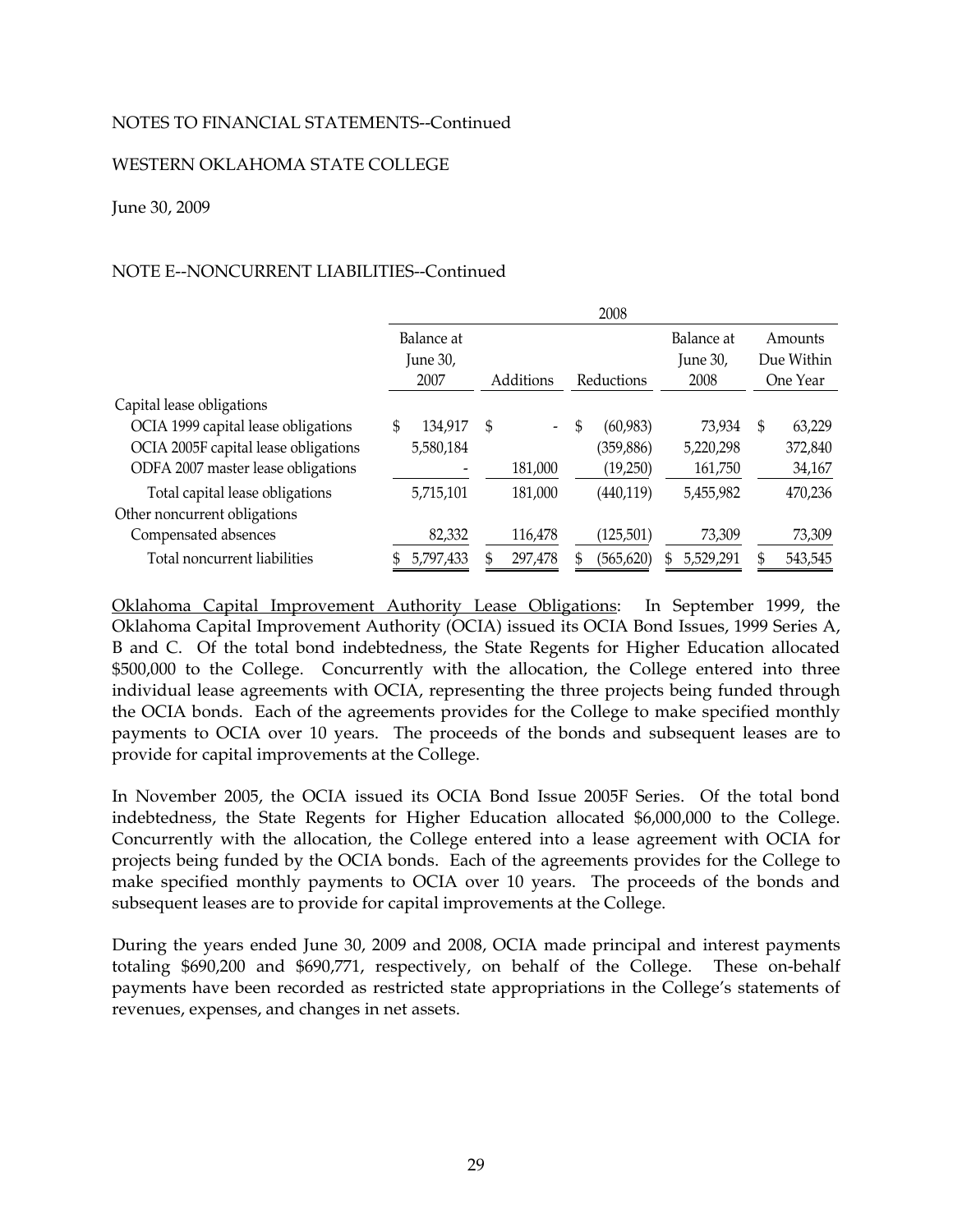#### WESTERN OKLAHOMA STATE COLLEGE

#### June 30, 2009

#### NOTE E--NONCURRENT LIABILITIES--Continued

|                                      |                                   |           |                                | 2008            |                                |    |                                   |
|--------------------------------------|-----------------------------------|-----------|--------------------------------|-----------------|--------------------------------|----|-----------------------------------|
|                                      | Balance at<br>June $30$ ,<br>2007 | Additions |                                | Reductions      | Balance at<br>June 30,<br>2008 |    | Amounts<br>Due Within<br>One Year |
| Capital lease obligations            |                                   |           |                                |                 |                                |    |                                   |
| OCIA 1999 capital lease obligations  | 134.917<br>\$                     | S         | \$<br>$\overline{\phantom{a}}$ | (60,983)        | 73.934                         | -S | 63,229                            |
| OCIA 2005F capital lease obligations | 5,580,184                         |           |                                | (359, 886)      | 5,220,298                      |    | 372,840                           |
| ODFA 2007 master lease obligations   |                                   | 181,000   |                                | (19,250)        | 161,750                        |    | 34,167                            |
| Total capital lease obligations      | 5.715.101                         | 181.000   |                                | (440, 119)      | 5,455,982                      |    | 470,236                           |
| Other noncurrent obligations         |                                   |           |                                |                 |                                |    |                                   |
| Compensated absences                 | 82,332                            | 116,478   |                                | (125,501)       | 73,309                         |    | 73,309                            |
| Total noncurrent liabilities         | 5,797,433                         | 297,478   |                                | (565, 620)<br>Տ | 5,529,291<br>S                 |    | 543,545                           |

Oklahoma Capital Improvement Authority Lease Obligations: In September 1999, the Oklahoma Capital Improvement Authority (OCIA) issued its OCIA Bond Issues, 1999 Series A, B and C. Of the total bond indebtedness, the State Regents for Higher Education allocated \$500,000 to the College. Concurrently with the allocation, the College entered into three individual lease agreements with OCIA, representing the three projects being funded through the OCIA bonds. Each of the agreements provides for the College to make specified monthly payments to OCIA over 10 years. The proceeds of the bonds and subsequent leases are to provide for capital improvements at the College.

In November 2005, the OCIA issued its OCIA Bond Issue 2005F Series. Of the total bond indebtedness, the State Regents for Higher Education allocated \$6,000,000 to the College. Concurrently with the allocation, the College entered into a lease agreement with OCIA for projects being funded by the OCIA bonds. Each of the agreements provides for the College to make specified monthly payments to OCIA over 10 years. The proceeds of the bonds and subsequent leases are to provide for capital improvements at the College.

During the years ended June 30, 2009 and 2008, OCIA made principal and interest payments totaling \$690,200 and \$690,771, respectively, on behalf of the College. These on-behalf payments have been recorded as restricted state appropriations in the College's statements of revenues, expenses, and changes in net assets.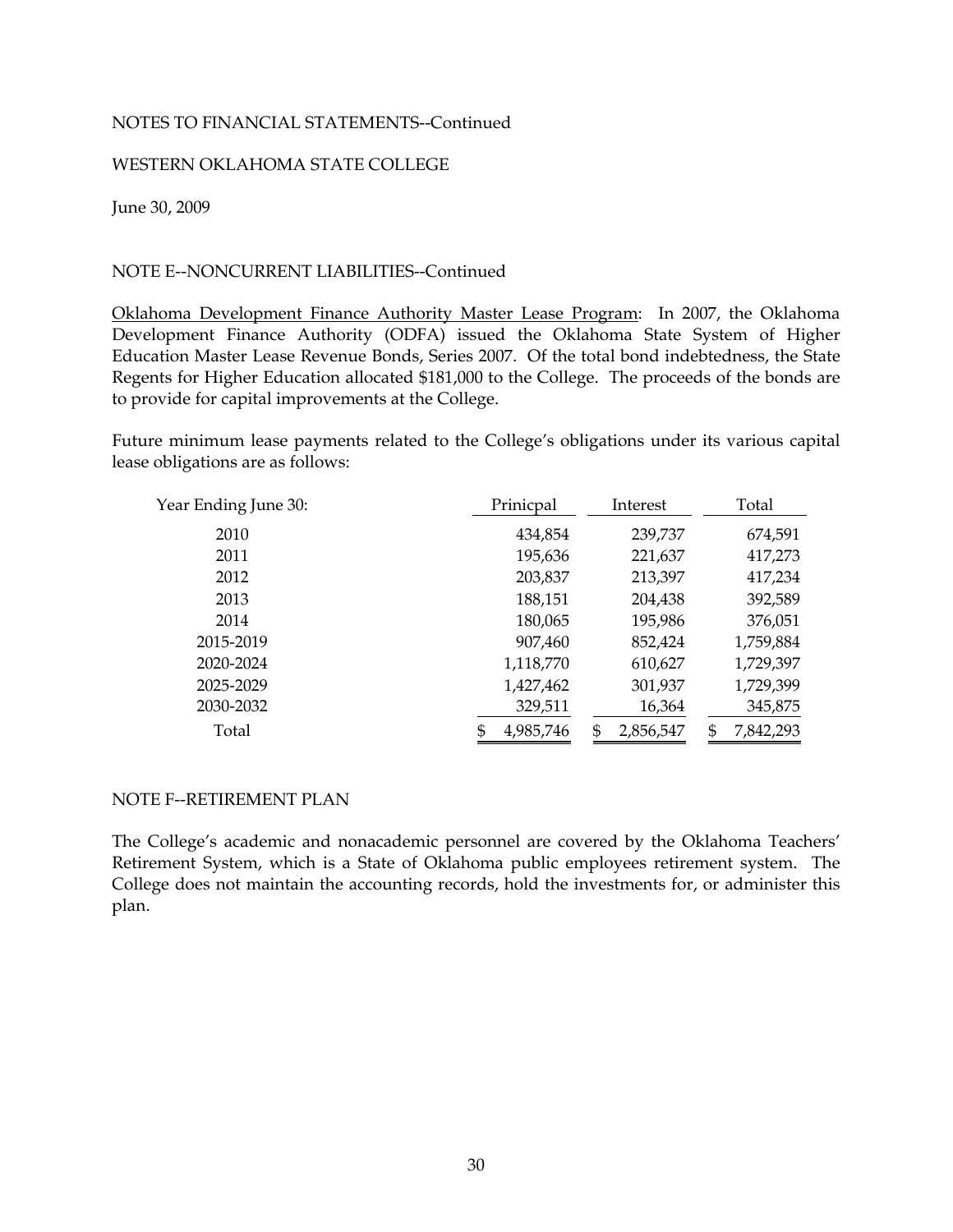#### WESTERN OKLAHOMA STATE COLLEGE

June 30, 2009

## NOTE E--NONCURRENT LIABILITIES--Continued

Oklahoma Development Finance Authority Master Lease Program: In 2007, the Oklahoma Development Finance Authority (ODFA) issued the Oklahoma State System of Higher Education Master Lease Revenue Bonds, Series 2007. Of the total bond indebtedness, the State Regents for Higher Education allocated \$181,000 to the College. The proceeds of the bonds are to provide for capital improvements at the College.

Future minimum lease payments related to the College's obligations under its various capital lease obligations are as follows:

| Year Ending June 30: | Prinicpal | Interest       |                 |
|----------------------|-----------|----------------|-----------------|
| 2010                 | 434,854   | 239,737        | 674,591         |
| 2011                 | 195,636   | 221,637        | 417,273         |
| 2012                 | 203,837   | 213,397        | 417,234         |
| 2013                 | 188,151   | 204,438        | 392,589         |
| 2014                 | 180,065   | 195,986        | 376,051         |
| 2015-2019            | 907,460   | 852,424        | 1,759,884       |
| 2020-2024            | 1,118,770 | 610,627        | 1,729,397       |
| 2025-2029            | 1,427,462 | 301,937        | 1,729,399       |
| 2030-2032            | 329,511   | 16,364         | 345,875         |
| Total                | 4,985,746 | 2,856,547<br>S | 7,842,293<br>\$ |

#### NOTE F--RETIREMENT PLAN

The College's academic and nonacademic personnel are covered by the Oklahoma Teachers' Retirement System, which is a State of Oklahoma public employees retirement system. The College does not maintain the accounting records, hold the investments for, or administer this plan.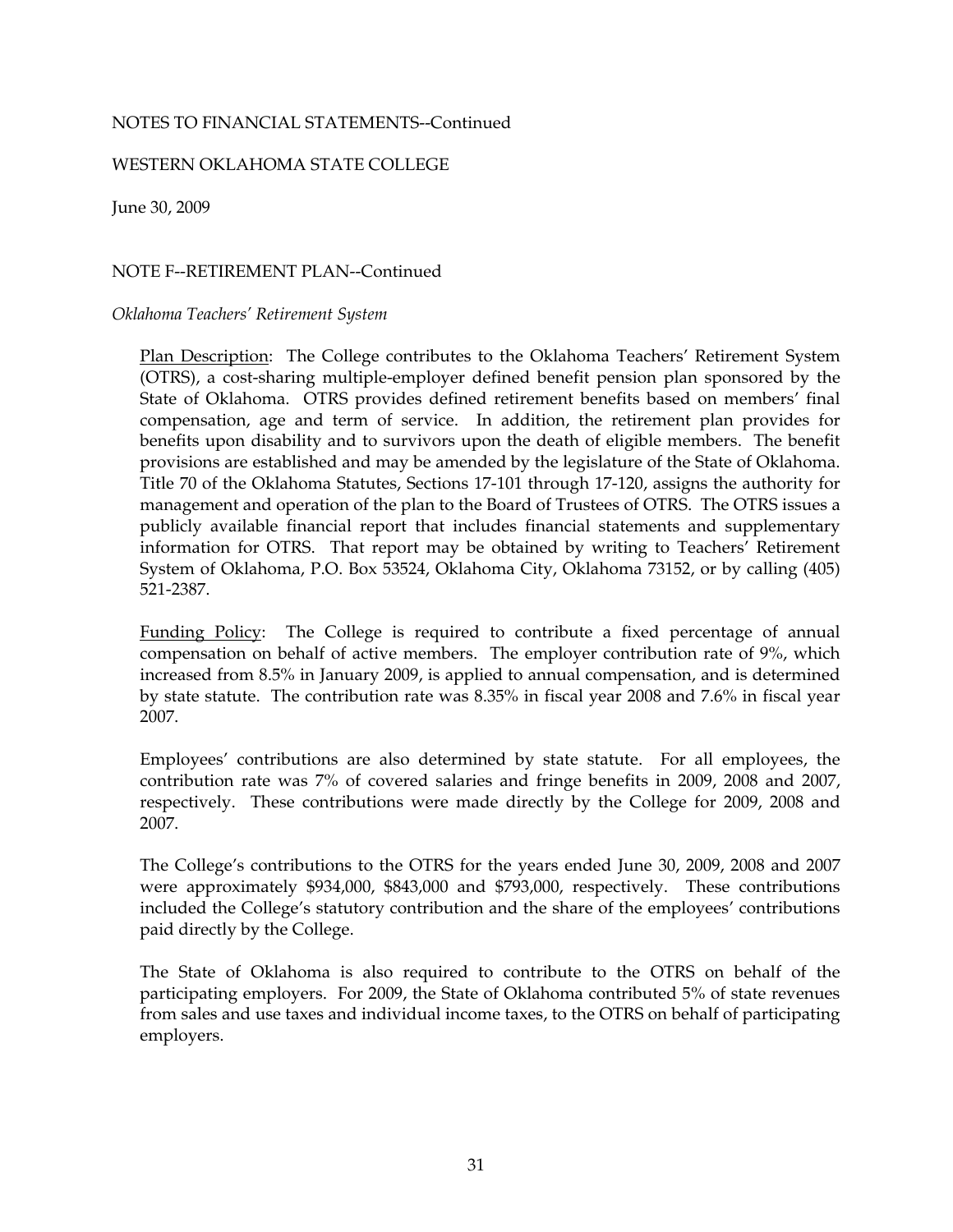#### WESTERN OKLAHOMA STATE COLLEGE

June 30, 2009

#### NOTE F--RETIREMENT PLAN--Continued

#### *Oklahoma Teachers' Retirement System*

Plan Description: The College contributes to the Oklahoma Teachers' Retirement System (OTRS), a cost-sharing multiple-employer defined benefit pension plan sponsored by the State of Oklahoma. OTRS provides defined retirement benefits based on members' final compensation, age and term of service. In addition, the retirement plan provides for benefits upon disability and to survivors upon the death of eligible members. The benefit provisions are established and may be amended by the legislature of the State of Oklahoma. Title 70 of the Oklahoma Statutes, Sections 17-101 through 17-120, assigns the authority for management and operation of the plan to the Board of Trustees of OTRS. The OTRS issues a publicly available financial report that includes financial statements and supplementary information for OTRS. That report may be obtained by writing to Teachers' Retirement System of Oklahoma, P.O. Box 53524, Oklahoma City, Oklahoma 73152, or by calling (405) 521-2387.

Funding Policy: The College is required to contribute a fixed percentage of annual compensation on behalf of active members. The employer contribution rate of 9%, which increased from 8.5% in January 2009, is applied to annual compensation, and is determined by state statute. The contribution rate was 8.35% in fiscal year 2008 and 7.6% in fiscal year 2007.

Employees' contributions are also determined by state statute. For all employees, the contribution rate was 7% of covered salaries and fringe benefits in 2009, 2008 and 2007, respectively. These contributions were made directly by the College for 2009, 2008 and 2007.

The College's contributions to the OTRS for the years ended June 30, 2009, 2008 and 2007 were approximately \$934,000, \$843,000 and \$793,000, respectively. These contributions included the College's statutory contribution and the share of the employees' contributions paid directly by the College.

The State of Oklahoma is also required to contribute to the OTRS on behalf of the participating employers. For 2009, the State of Oklahoma contributed 5% of state revenues from sales and use taxes and individual income taxes, to the OTRS on behalf of participating employers.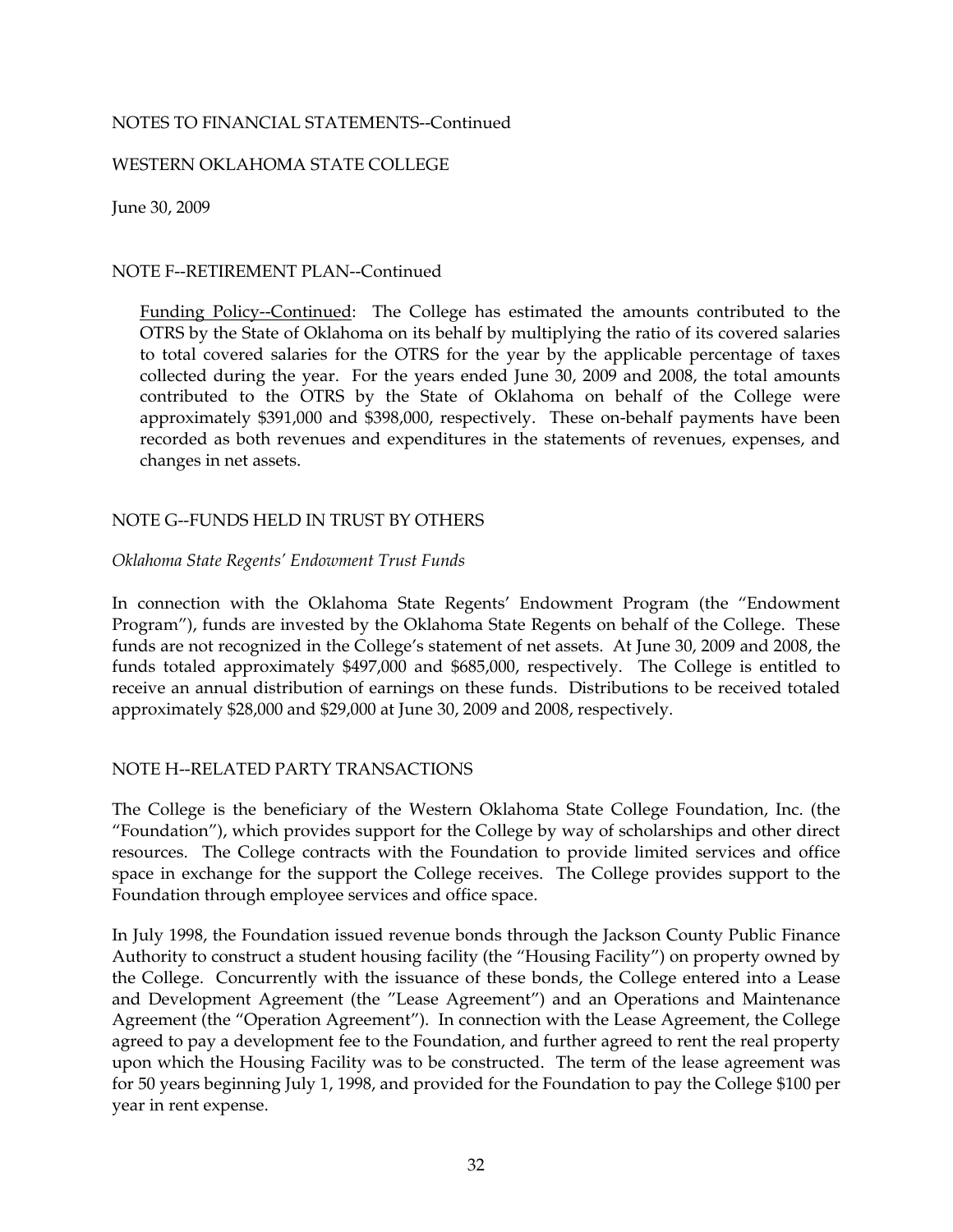#### WESTERN OKLAHOMA STATE COLLEGE

June 30, 2009

#### NOTE F--RETIREMENT PLAN--Continued

Funding Policy--Continued: The College has estimated the amounts contributed to the OTRS by the State of Oklahoma on its behalf by multiplying the ratio of its covered salaries to total covered salaries for the OTRS for the year by the applicable percentage of taxes collected during the year. For the years ended June 30, 2009 and 2008, the total amounts contributed to the OTRS by the State of Oklahoma on behalf of the College were approximately \$391,000 and \$398,000, respectively. These on-behalf payments have been recorded as both revenues and expenditures in the statements of revenues, expenses, and changes in net assets.

#### NOTE G--FUNDS HELD IN TRUST BY OTHERS

#### *Oklahoma State Regents' Endowment Trust Funds*

In connection with the Oklahoma State Regents' Endowment Program (the "Endowment Program"), funds are invested by the Oklahoma State Regents on behalf of the College. These funds are not recognized in the College's statement of net assets. At June 30, 2009 and 2008, the funds totaled approximately \$497,000 and \$685,000, respectively. The College is entitled to receive an annual distribution of earnings on these funds. Distributions to be received totaled approximately \$28,000 and \$29,000 at June 30, 2009 and 2008, respectively.

#### NOTE H--RELATED PARTY TRANSACTIONS

The College is the beneficiary of the Western Oklahoma State College Foundation, Inc. (the "Foundation"), which provides support for the College by way of scholarships and other direct resources. The College contracts with the Foundation to provide limited services and office space in exchange for the support the College receives. The College provides support to the Foundation through employee services and office space.

In July 1998, the Foundation issued revenue bonds through the Jackson County Public Finance Authority to construct a student housing facility (the "Housing Facility") on property owned by the College. Concurrently with the issuance of these bonds, the College entered into a Lease and Development Agreement (the "Lease Agreement") and an Operations and Maintenance Agreement (the "Operation Agreement"). In connection with the Lease Agreement, the College agreed to pay a development fee to the Foundation, and further agreed to rent the real property upon which the Housing Facility was to be constructed. The term of the lease agreement was for 50 years beginning July 1, 1998, and provided for the Foundation to pay the College \$100 per year in rent expense.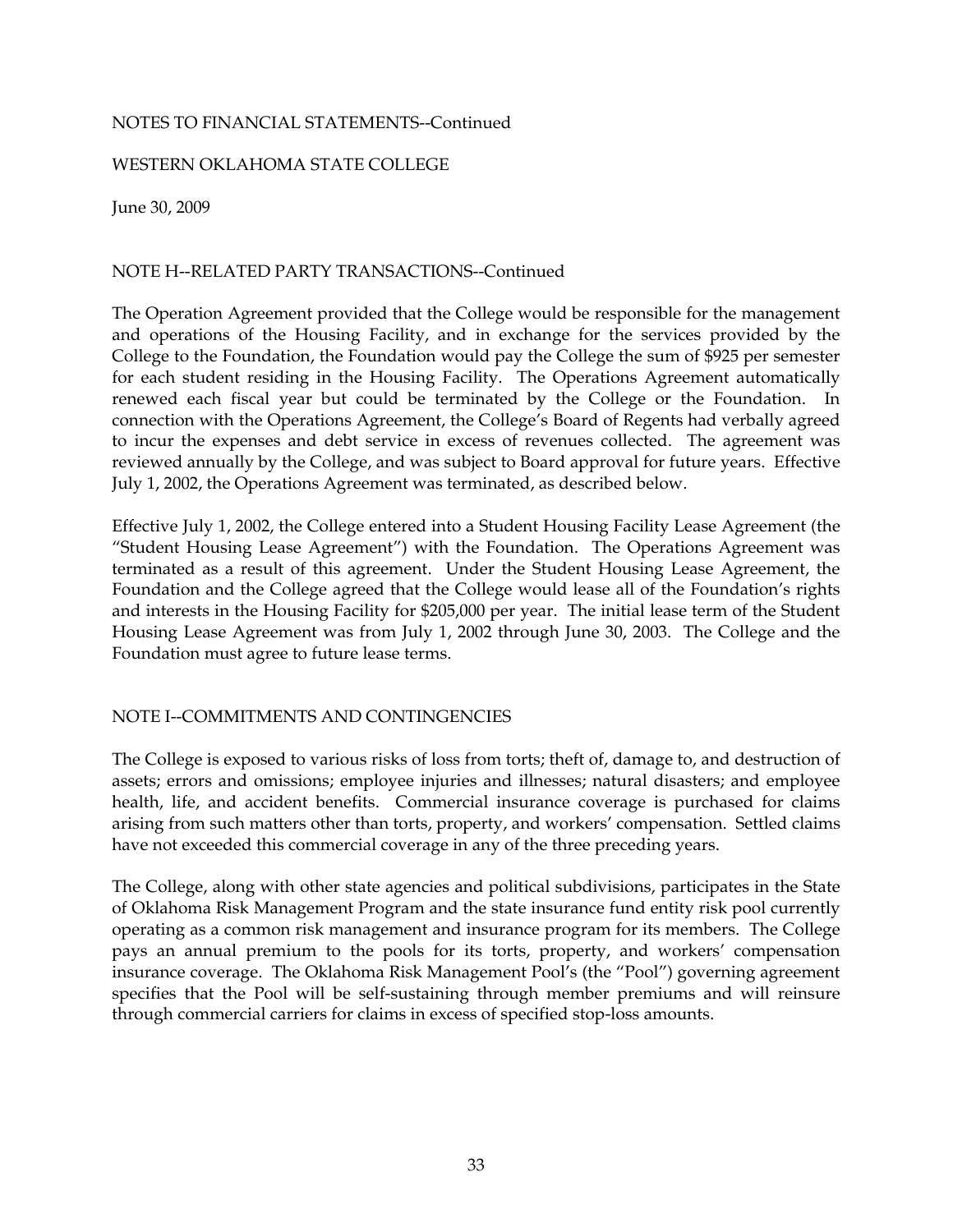#### WESTERN OKLAHOMA STATE COLLEGE

June 30, 2009

#### NOTE H--RELATED PARTY TRANSACTIONS--Continued

The Operation Agreement provided that the College would be responsible for the management and operations of the Housing Facility, and in exchange for the services provided by the College to the Foundation, the Foundation would pay the College the sum of \$925 per semester for each student residing in the Housing Facility. The Operations Agreement automatically renewed each fiscal year but could be terminated by the College or the Foundation. In connection with the Operations Agreement, the College's Board of Regents had verbally agreed to incur the expenses and debt service in excess of revenues collected. The agreement was reviewed annually by the College, and was subject to Board approval for future years. Effective July 1, 2002, the Operations Agreement was terminated, as described below.

Effective July 1, 2002, the College entered into a Student Housing Facility Lease Agreement (the "Student Housing Lease Agreement") with the Foundation. The Operations Agreement was terminated as a result of this agreement. Under the Student Housing Lease Agreement, the Foundation and the College agreed that the College would lease all of the Foundation's rights and interests in the Housing Facility for \$205,000 per year. The initial lease term of the Student Housing Lease Agreement was from July 1, 2002 through June 30, 2003. The College and the Foundation must agree to future lease terms.

#### NOTE I--COMMITMENTS AND CONTINGENCIES

The College is exposed to various risks of loss from torts; theft of, damage to, and destruction of assets; errors and omissions; employee injuries and illnesses; natural disasters; and employee health, life, and accident benefits. Commercial insurance coverage is purchased for claims arising from such matters other than torts, property, and workers' compensation. Settled claims have not exceeded this commercial coverage in any of the three preceding years.

The College, along with other state agencies and political subdivisions, participates in the State of Oklahoma Risk Management Program and the state insurance fund entity risk pool currently operating as a common risk management and insurance program for its members. The College pays an annual premium to the pools for its torts, property, and workers' compensation insurance coverage. The Oklahoma Risk Management Pool's (the "Pool") governing agreement specifies that the Pool will be self-sustaining through member premiums and will reinsure through commercial carriers for claims in excess of specified stop-loss amounts.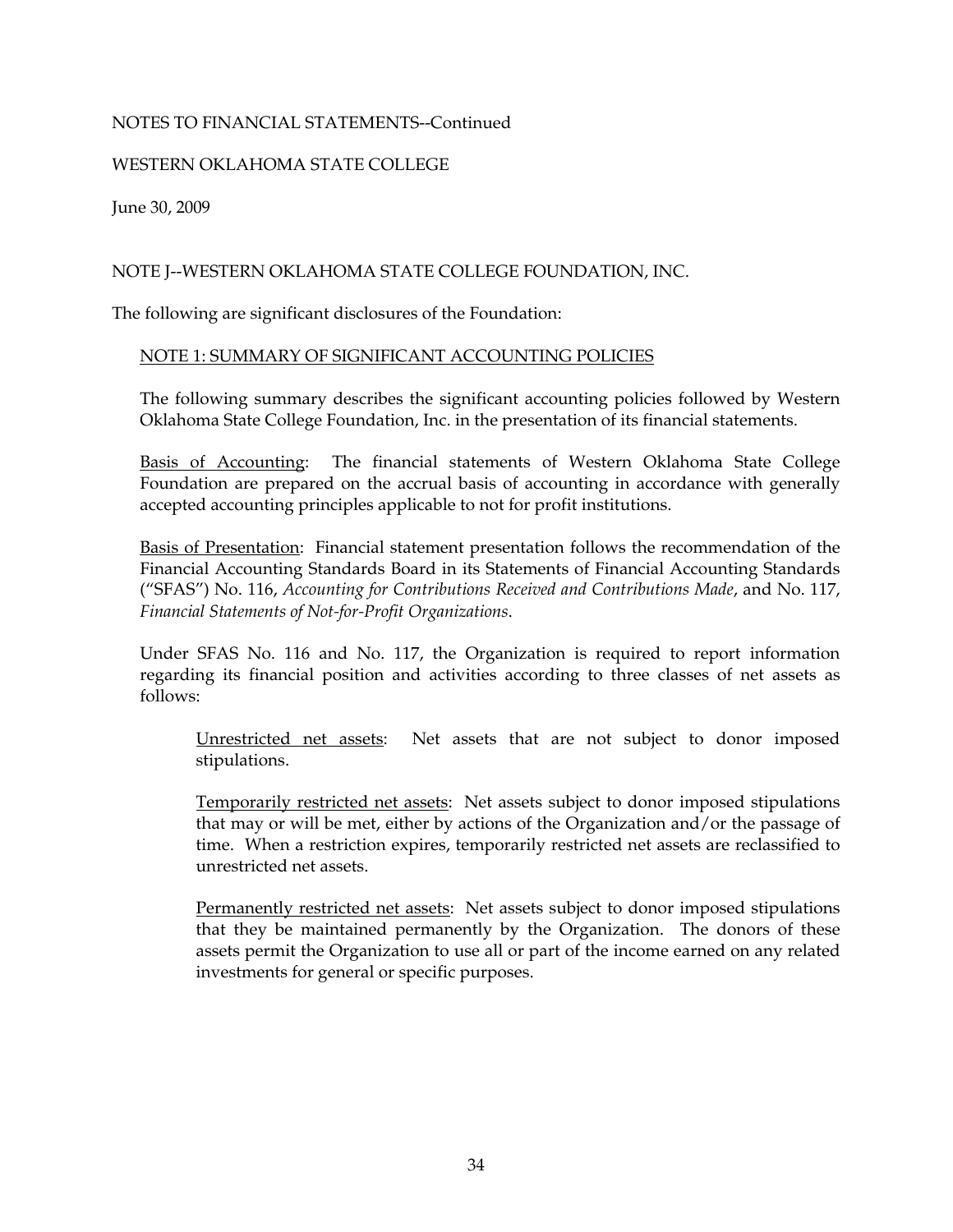#### WESTERN OKLAHOMA STATE COLLEGE

June 30, 2009

## NOTE J--WESTERN OKLAHOMA STATE COLLEGE FOUNDATION, INC.

The following are significant disclosures of the Foundation:

#### NOTE 1: SUMMARY OF SIGNIFICANT ACCOUNTING POLICIES

The following summary describes the significant accounting policies followed by Western Oklahoma State College Foundation, Inc. in the presentation of its financial statements.

Basis of Accounting: The financial statements of Western Oklahoma State College Foundation are prepared on the accrual basis of accounting in accordance with generally accepted accounting principles applicable to not for profit institutions.

Basis of Presentation: Financial statement presentation follows the recommendation of the Financial Accounting Standards Board in its Statements of Financial Accounting Standards ("SFAS") No. 116, *Accounting for Contributions Received and Contributions Made*, and No. 117, *Financial Statements of Not-for-Profit Organizations*.

Under SFAS No. 116 and No. 117, the Organization is required to report information regarding its financial position and activities according to three classes of net assets as follows:

Unrestricted net assets: Net assets that are not subject to donor imposed stipulations.

Temporarily restricted net assets: Net assets subject to donor imposed stipulations that may or will be met, either by actions of the Organization and/or the passage of time. When a restriction expires, temporarily restricted net assets are reclassified to unrestricted net assets.

Permanently restricted net assets: Net assets subject to donor imposed stipulations that they be maintained permanently by the Organization. The donors of these assets permit the Organization to use all or part of the income earned on any related investments for general or specific purposes.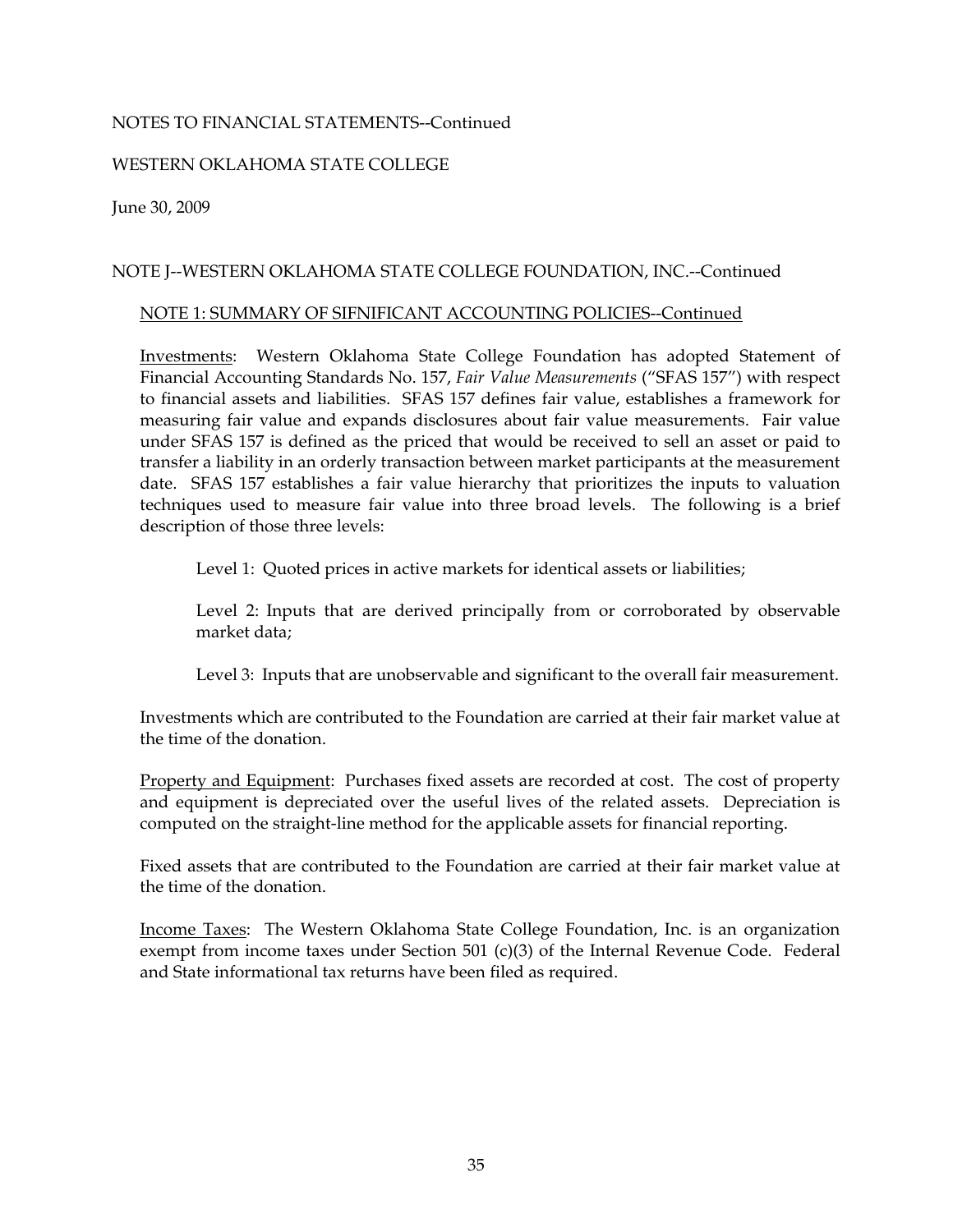#### WESTERN OKLAHOMA STATE COLLEGE

June 30, 2009

#### NOTE J--WESTERN OKLAHOMA STATE COLLEGE FOUNDATION, INC.--Continued

#### NOTE 1: SUMMARY OF SIFNIFICANT ACCOUNTING POLICIES--Continued

Investments: Western Oklahoma State College Foundation has adopted Statement of Financial Accounting Standards No. 157, *Fair Value Measurements* ("SFAS 157") with respect to financial assets and liabilities. SFAS 157 defines fair value, establishes a framework for measuring fair value and expands disclosures about fair value measurements. Fair value under SFAS 157 is defined as the priced that would be received to sell an asset or paid to transfer a liability in an orderly transaction between market participants at the measurement date. SFAS 157 establishes a fair value hierarchy that prioritizes the inputs to valuation techniques used to measure fair value into three broad levels. The following is a brief description of those three levels:

Level 1: Quoted prices in active markets for identical assets or liabilities;

Level 2: Inputs that are derived principally from or corroborated by observable market data;

Level 3: Inputs that are unobservable and significant to the overall fair measurement.

Investments which are contributed to the Foundation are carried at their fair market value at the time of the donation.

Property and Equipment: Purchases fixed assets are recorded at cost. The cost of property and equipment is depreciated over the useful lives of the related assets. Depreciation is computed on the straight-line method for the applicable assets for financial reporting.

Fixed assets that are contributed to the Foundation are carried at their fair market value at the time of the donation.

Income Taxes: The Western Oklahoma State College Foundation, Inc. is an organization exempt from income taxes under Section 501 (c)(3) of the Internal Revenue Code. Federal and State informational tax returns have been filed as required.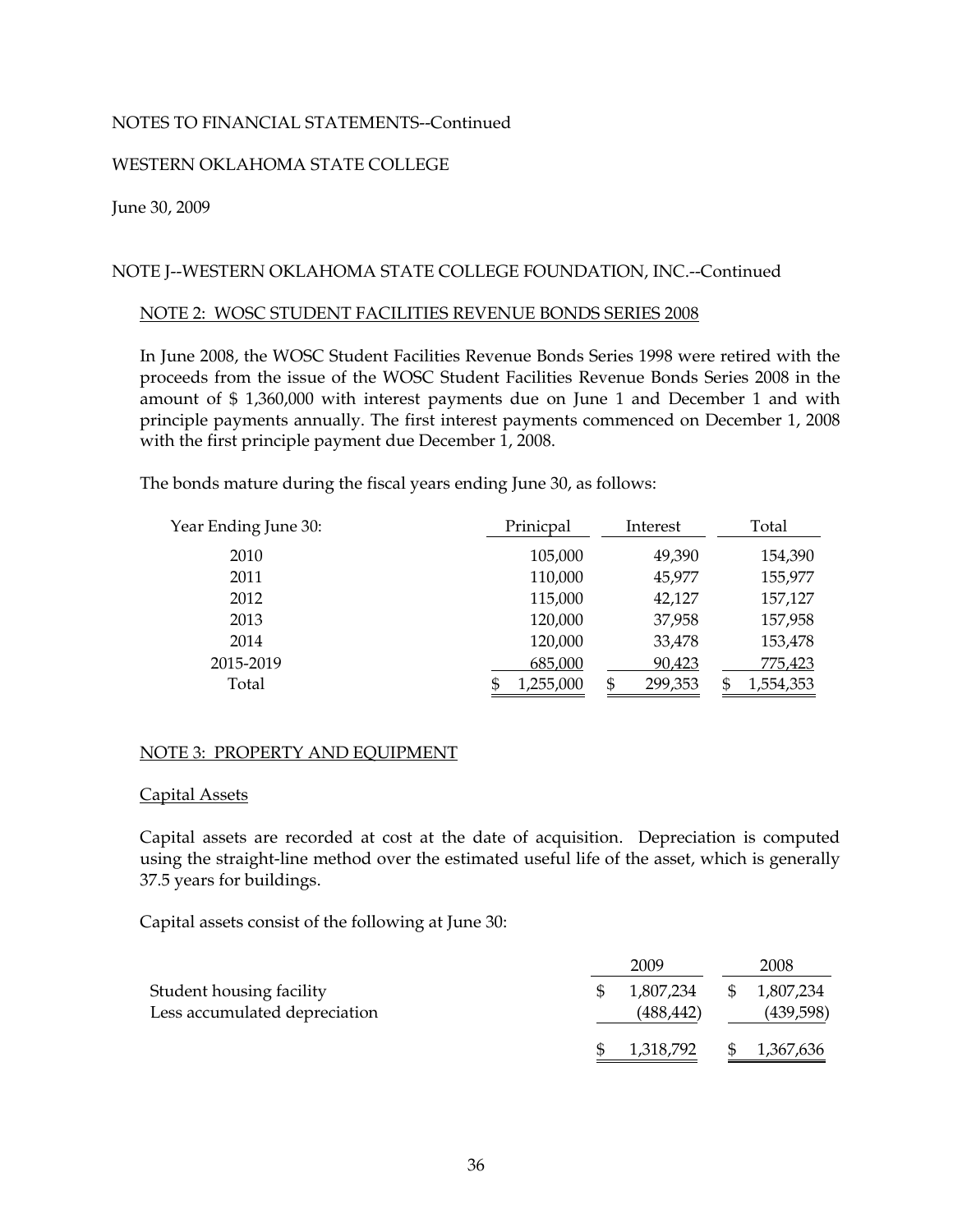#### WESTERN OKLAHOMA STATE COLLEGE

June 30, 2009

#### NOTE J--WESTERN OKLAHOMA STATE COLLEGE FOUNDATION, INC.--Continued

#### NOTE 2: WOSC STUDENT FACILITIES REVENUE BONDS SERIES 2008

In June 2008, the WOSC Student Facilities Revenue Bonds Series 1998 were retired with the proceeds from the issue of the WOSC Student Facilities Revenue Bonds Series 2008 in the amount of \$ 1,360,000 with interest payments due on June 1 and December 1 and with principle payments annually. The first interest payments commenced on December 1, 2008 with the first principle payment due December 1, 2008.

The bonds mature during the fiscal years ending June 30, as follows:

| Year Ending June 30: | Prinicpal | Interest      | Total           |
|----------------------|-----------|---------------|-----------------|
| 2010                 | 105,000   | 49,390        | 154,390         |
| 2011                 | 110,000   | 45,977        | 155,977         |
| 2012                 | 115,000   | 42,127        | 157,127         |
| 2013                 | 120,000   | 37,958        | 157,958         |
| 2014                 | 120,000   | 33,478        | 153,478         |
| 2015-2019            | 685,000   | 90,423        | 775,423         |
| Total                | 1,255,000 | 299,353<br>\$ | 1,554,353<br>\$ |

#### NOTE 3: PROPERTY AND EQUIPMENT

#### Capital Assets

Capital assets are recorded at cost at the date of acquisition. Depreciation is computed using the straight-line method over the estimated useful life of the asset, which is generally 37.5 years for buildings.

Capital assets consist of the following at June 30:

|                                                           | 2009                    |     | 2008                   |
|-----------------------------------------------------------|-------------------------|-----|------------------------|
| Student housing facility<br>Less accumulated depreciation | 1,807,234<br>(488, 442) | SS. | 1,807,234<br>(439,598) |
|                                                           | 1,318,792               |     | 1,367,636              |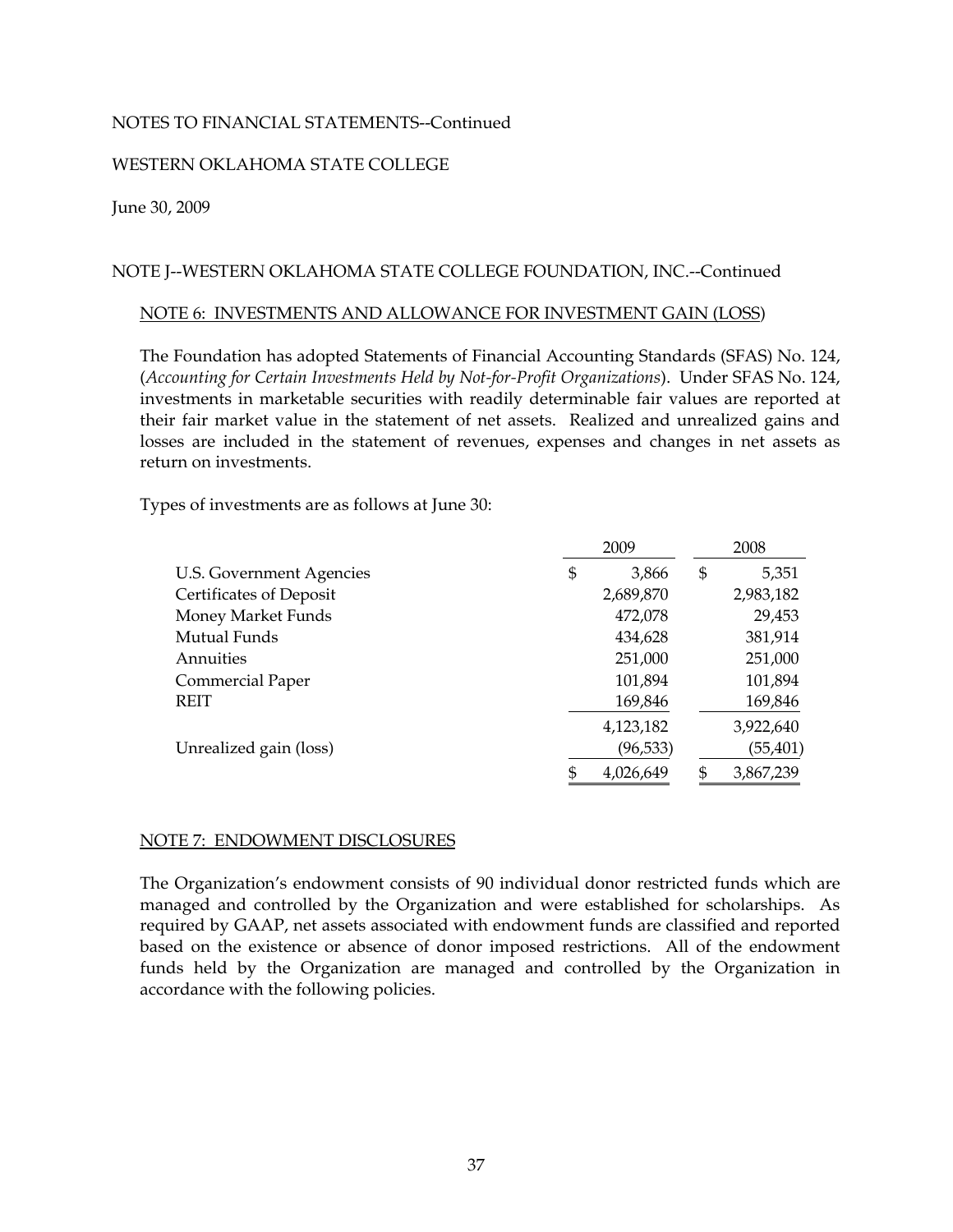#### WESTERN OKLAHOMA STATE COLLEGE

June 30, 2009

#### NOTE J--WESTERN OKLAHOMA STATE COLLEGE FOUNDATION, INC.--Continued

#### NOTE 6: INVESTMENTS AND ALLOWANCE FOR INVESTMENT GAIN (LOSS)

The Foundation has adopted Statements of Financial Accounting Standards (SFAS) No. 124, (*Accounting for Certain Investments Held by Not-for-Profit Organizations*). Under SFAS No. 124, investments in marketable securities with readily determinable fair values are reported at their fair market value in the statement of net assets. Realized and unrealized gains and losses are included in the statement of revenues, expenses and changes in net assets as return on investments.

Types of investments are as follows at June 30:

|                          | 2009 |           |    | 2008      |  |  |
|--------------------------|------|-----------|----|-----------|--|--|
| U.S. Government Agencies | \$   | 3,866     | \$ | 5,351     |  |  |
| Certificates of Deposit  |      | 2,689,870 |    | 2,983,182 |  |  |
| Money Market Funds       |      | 472,078   |    | 29,453    |  |  |
| Mutual Funds             |      | 434,628   |    | 381,914   |  |  |
| Annuities                |      | 251,000   |    | 251,000   |  |  |
| Commercial Paper         |      | 101,894   |    | 101,894   |  |  |
| <b>REIT</b>              |      | 169,846   |    | 169,846   |  |  |
|                          |      | 4,123,182 |    | 3,922,640 |  |  |
| Unrealized gain (loss)   |      | (96, 533) |    | (55, 401) |  |  |
|                          |      | 4,026,649 | ፍ  | 3,867,239 |  |  |

#### NOTE 7: ENDOWMENT DISCLOSURES

The Organization's endowment consists of 90 individual donor restricted funds which are managed and controlled by the Organization and were established for scholarships. As required by GAAP, net assets associated with endowment funds are classified and reported based on the existence or absence of donor imposed restrictions. All of the endowment funds held by the Organization are managed and controlled by the Organization in accordance with the following policies.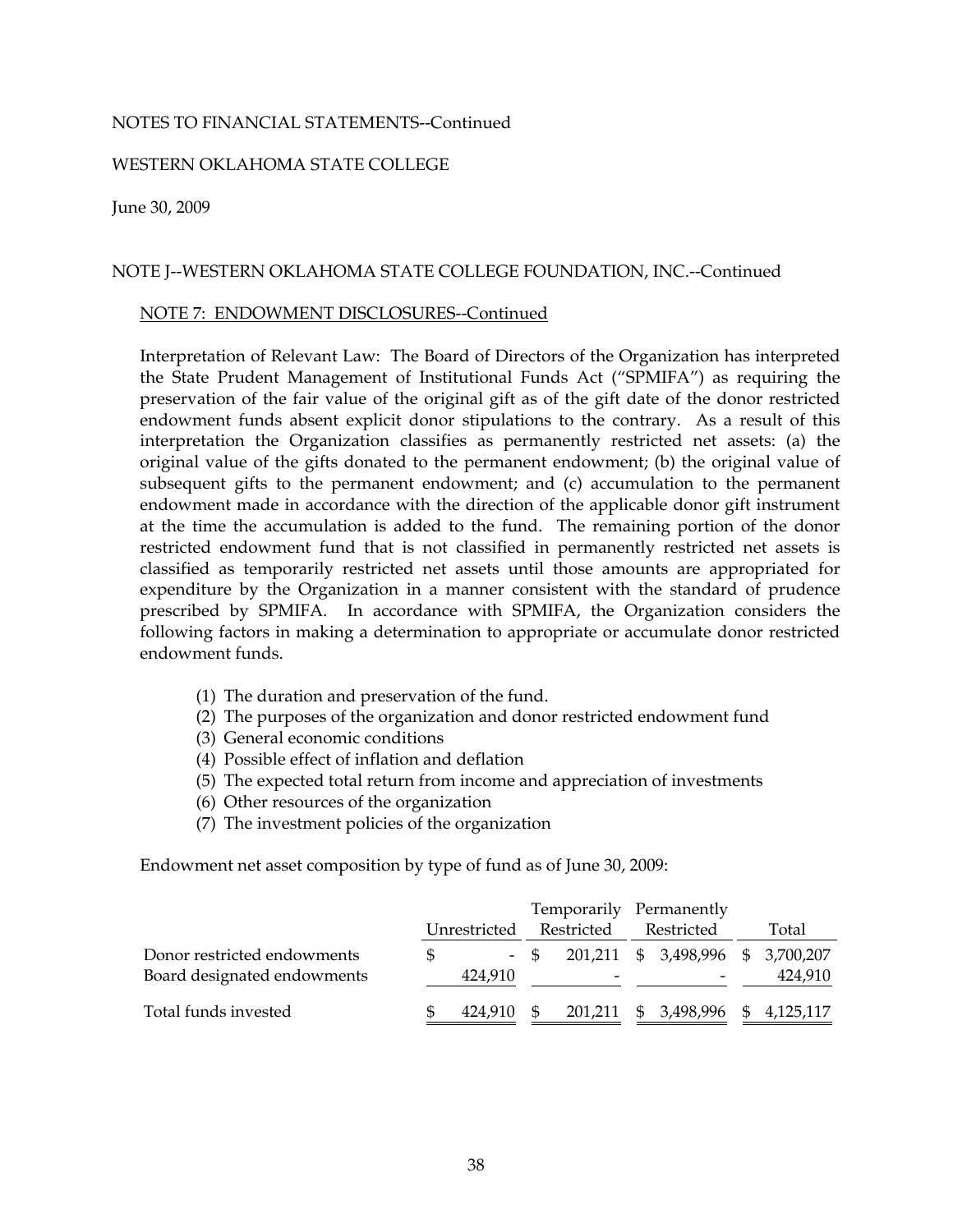#### WESTERN OKLAHOMA STATE COLLEGE

June 30, 2009

#### NOTE J--WESTERN OKLAHOMA STATE COLLEGE FOUNDATION, INC.--Continued

#### NOTE 7: ENDOWMENT DISCLOSURES--Continued

Interpretation of Relevant Law: The Board of Directors of the Organization has interpreted the State Prudent Management of Institutional Funds Act ("SPMIFA") as requiring the preservation of the fair value of the original gift as of the gift date of the donor restricted endowment funds absent explicit donor stipulations to the contrary. As a result of this interpretation the Organization classifies as permanently restricted net assets: (a) the original value of the gifts donated to the permanent endowment; (b) the original value of subsequent gifts to the permanent endowment; and (c) accumulation to the permanent endowment made in accordance with the direction of the applicable donor gift instrument at the time the accumulation is added to the fund. The remaining portion of the donor restricted endowment fund that is not classified in permanently restricted net assets is classified as temporarily restricted net assets until those amounts are appropriated for expenditure by the Organization in a manner consistent with the standard of prudence prescribed by SPMIFA. In accordance with SPMIFA, the Organization considers the following factors in making a determination to appropriate or accumulate donor restricted endowment funds.

- (1) The duration and preservation of the fund.
- (2) The purposes of the organization and donor restricted endowment fund
- (3) General economic conditions
- (4) Possible effect of inflation and deflation
- (5) The expected total return from income and appreciation of investments
- (6) Other resources of the organization
- (7) The investment policies of the organization

Endowment net asset composition by type of fund as of June 30, 2009:

|                             |              |        |            | Temporarily Permanently           |         |
|-----------------------------|--------------|--------|------------|-----------------------------------|---------|
|                             | Unrestricted |        | Restricted | Restricted                        | Total   |
| Donor restricted endowments |              | $-$ \$ |            | 201,211 \$ 3,498,996 \$ 3,700,207 |         |
| Board designated endowments | 424.910      |        |            | $\overline{a}$                    | 424.910 |
| Total funds invested        | 424.910 \$   |        |            | 201,211 \$ 3,498,996 \$ 4,125,117 |         |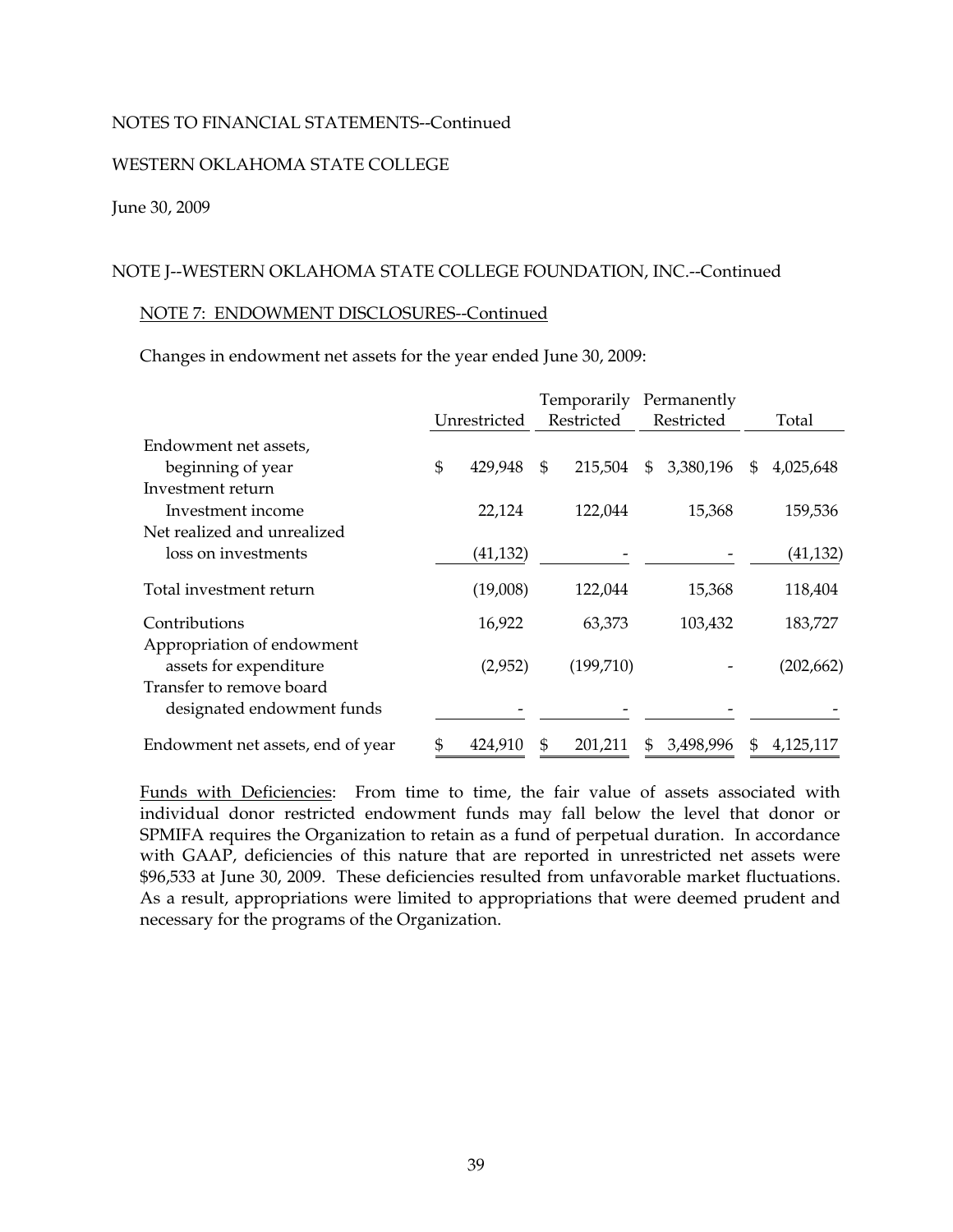#### WESTERN OKLAHOMA STATE COLLEGE

#### June 30, 2009

#### NOTE J--WESTERN OKLAHOMA STATE COLLEGE FOUNDATION, INC.--Continued

#### NOTE 7: ENDOWMENT DISCLOSURES--Continued

Changes in endowment net assets for the year ended June 30, 2009:

|                                   |                | Unrestricted | Temporarily<br>Restricted |              | Permanently<br>Restricted |     | Total      |
|-----------------------------------|----------------|--------------|---------------------------|--------------|---------------------------|-----|------------|
|                                   |                |              |                           |              |                           |     |            |
| Endowment net assets,             |                |              |                           |              |                           |     |            |
| beginning of year                 | $\mathfrak{S}$ | 429,948      | \$<br>215,504             | $\mathbb{S}$ | 3,380,196                 | \$  | 4,025,648  |
| Investment return                 |                |              |                           |              |                           |     |            |
| Investment income                 |                | 22,124       | 122,044                   |              | 15,368                    |     | 159,536    |
| Net realized and unrealized       |                |              |                           |              |                           |     |            |
| loss on investments               |                | (41, 132)    |                           |              |                           |     | (41, 132)  |
| Total investment return           |                | (19,008)     | 122,044                   |              | 15,368                    |     | 118,404    |
| Contributions                     |                | 16,922       | 63,373                    |              | 103,432                   |     | 183,727    |
| Appropriation of endowment        |                |              |                           |              |                           |     |            |
| assets for expenditure            |                | (2,952)      | (199, 710)                |              |                           |     | (202, 662) |
| Transfer to remove board          |                |              |                           |              |                           |     |            |
| designated endowment funds        |                |              |                           |              |                           |     |            |
| Endowment net assets, end of year |                | 424,910      | \$<br>201,211             | \$           | 3,498,996                 | \$. | 4,125,117  |

Funds with Deficiencies: From time to time, the fair value of assets associated with individual donor restricted endowment funds may fall below the level that donor or SPMIFA requires the Organization to retain as a fund of perpetual duration. In accordance with GAAP, deficiencies of this nature that are reported in unrestricted net assets were \$96,533 at June 30, 2009. These deficiencies resulted from unfavorable market fluctuations. As a result, appropriations were limited to appropriations that were deemed prudent and necessary for the programs of the Organization.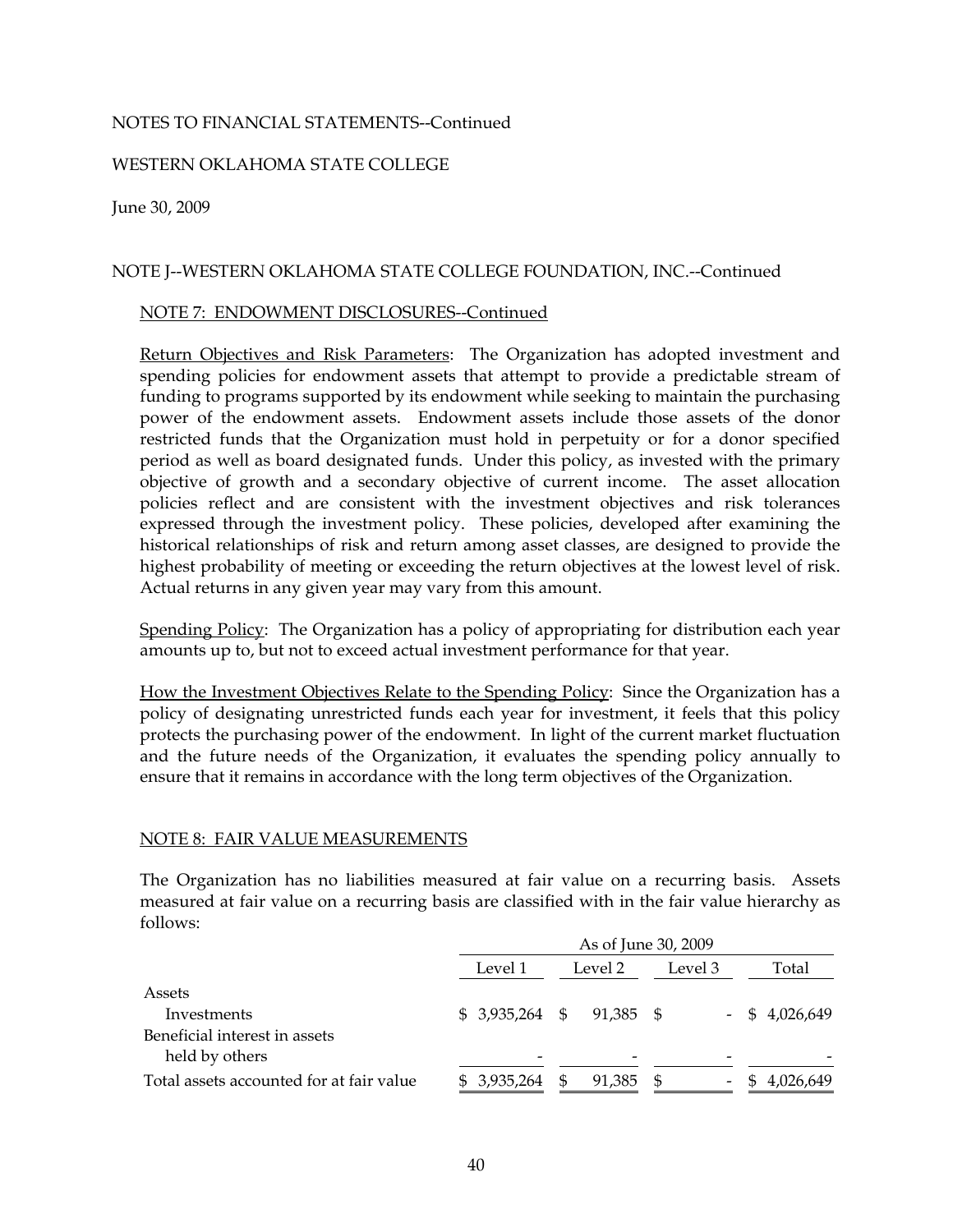#### WESTERN OKLAHOMA STATE COLLEGE

June 30, 2009

#### NOTE J--WESTERN OKLAHOMA STATE COLLEGE FOUNDATION, INC.--Continued

#### NOTE 7: ENDOWMENT DISCLOSURES--Continued

Return Objectives and Risk Parameters: The Organization has adopted investment and spending policies for endowment assets that attempt to provide a predictable stream of funding to programs supported by its endowment while seeking to maintain the purchasing power of the endowment assets. Endowment assets include those assets of the donor restricted funds that the Organization must hold in perpetuity or for a donor specified period as well as board designated funds. Under this policy, as invested with the primary objective of growth and a secondary objective of current income. The asset allocation policies reflect and are consistent with the investment objectives and risk tolerances expressed through the investment policy. These policies, developed after examining the historical relationships of risk and return among asset classes, are designed to provide the highest probability of meeting or exceeding the return objectives at the lowest level of risk. Actual returns in any given year may vary from this amount.

Spending Policy: The Organization has a policy of appropriating for distribution each year amounts up to, but not to exceed actual investment performance for that year.

How the Investment Objectives Relate to the Spending Policy: Since the Organization has a policy of designating unrestricted funds each year for investment, it feels that this policy protects the purchasing power of the endowment. In light of the current market fluctuation and the future needs of the Organization, it evaluates the spending policy annually to ensure that it remains in accordance with the long term objectives of the Organization.

#### NOTE 8: FAIR VALUE MEASUREMENTS

The Organization has no liabilities measured at fair value on a recurring basis. Assets measured at fair value on a recurring basis are classified with in the fair value hierarchy as follows:

|                                          | As of June 30, 2009 |              |                          |                  |  |  |
|------------------------------------------|---------------------|--------------|--------------------------|------------------|--|--|
|                                          | Level 1             | Level 2      | Level 3                  | Total            |  |  |
| Assets                                   |                     |              |                          |                  |  |  |
| Investments                              | $$3,935,264$ \$     | 91.385 \$    |                          | $-$ \$ 4,026,649 |  |  |
| Beneficial interest in assets            |                     |              |                          |                  |  |  |
| held by others                           |                     |              |                          |                  |  |  |
| Total assets accounted for at fair value | \$3,935,264         | 91.385<br>æ, | $\overline{\phantom{m}}$ | \$4,026,649      |  |  |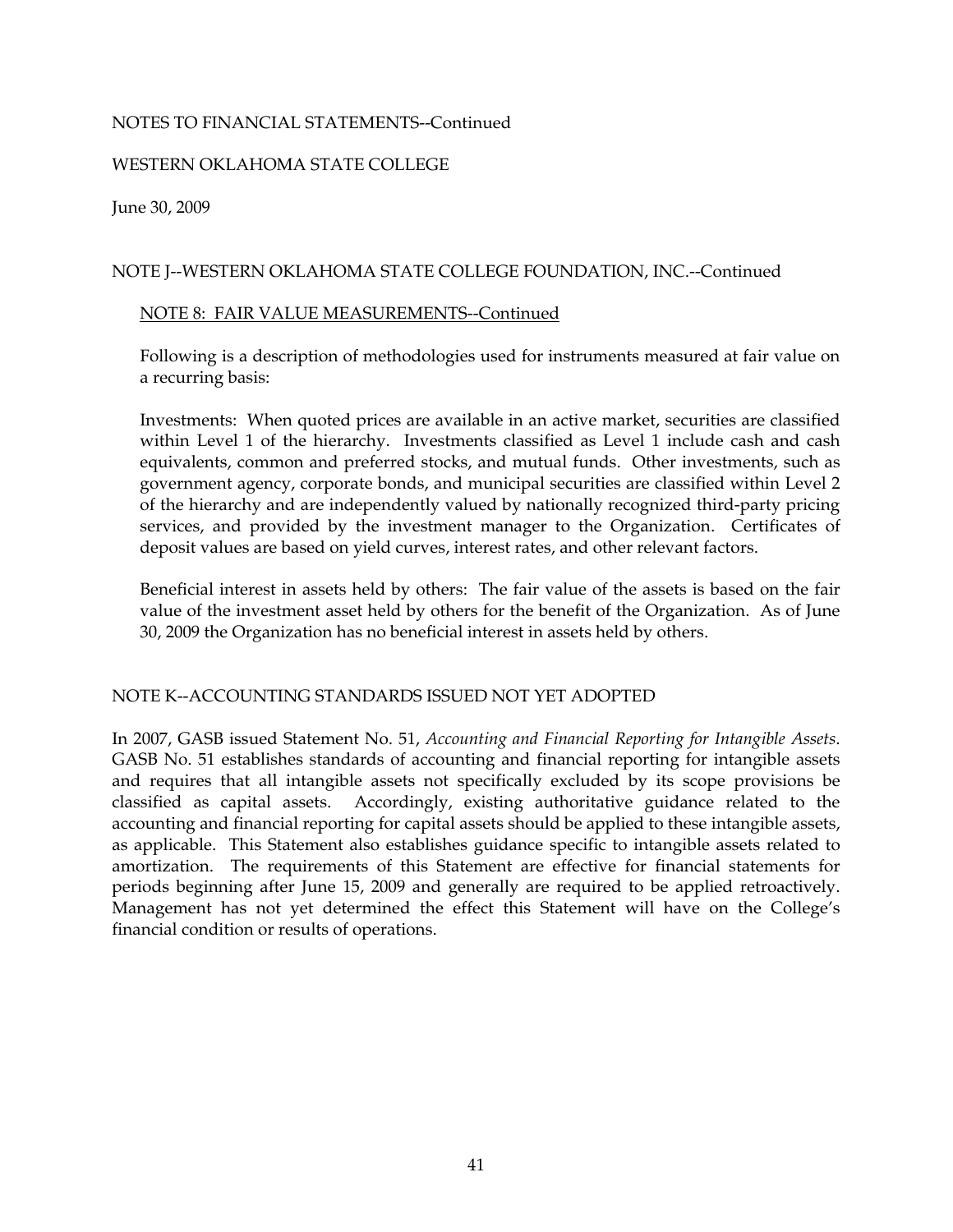#### WESTERN OKLAHOMA STATE COLLEGE

June 30, 2009

#### NOTE J--WESTERN OKLAHOMA STATE COLLEGE FOUNDATION, INC.--Continued

#### NOTE 8: FAIR VALUE MEASUREMENTS--Continued

Following is a description of methodologies used for instruments measured at fair value on a recurring basis:

Investments: When quoted prices are available in an active market, securities are classified within Level 1 of the hierarchy. Investments classified as Level 1 include cash and cash equivalents, common and preferred stocks, and mutual funds. Other investments, such as government agency, corporate bonds, and municipal securities are classified within Level 2 of the hierarchy and are independently valued by nationally recognized third-party pricing services, and provided by the investment manager to the Organization. Certificates of deposit values are based on yield curves, interest rates, and other relevant factors.

Beneficial interest in assets held by others: The fair value of the assets is based on the fair value of the investment asset held by others for the benefit of the Organization. As of June 30, 2009 the Organization has no beneficial interest in assets held by others.

#### NOTE K--ACCOUNTING STANDARDS ISSUED NOT YET ADOPTED

In 2007, GASB issued Statement No. 51, *Accounting and Financial Reporting for Intangible Assets*. GASB No. 51 establishes standards of accounting and financial reporting for intangible assets and requires that all intangible assets not specifically excluded by its scope provisions be classified as capital assets. Accordingly, existing authoritative guidance related to the accounting and financial reporting for capital assets should be applied to these intangible assets, as applicable. This Statement also establishes guidance specific to intangible assets related to amortization. The requirements of this Statement are effective for financial statements for periods beginning after June 15, 2009 and generally are required to be applied retroactively. Management has not yet determined the effect this Statement will have on the College's financial condition or results of operations.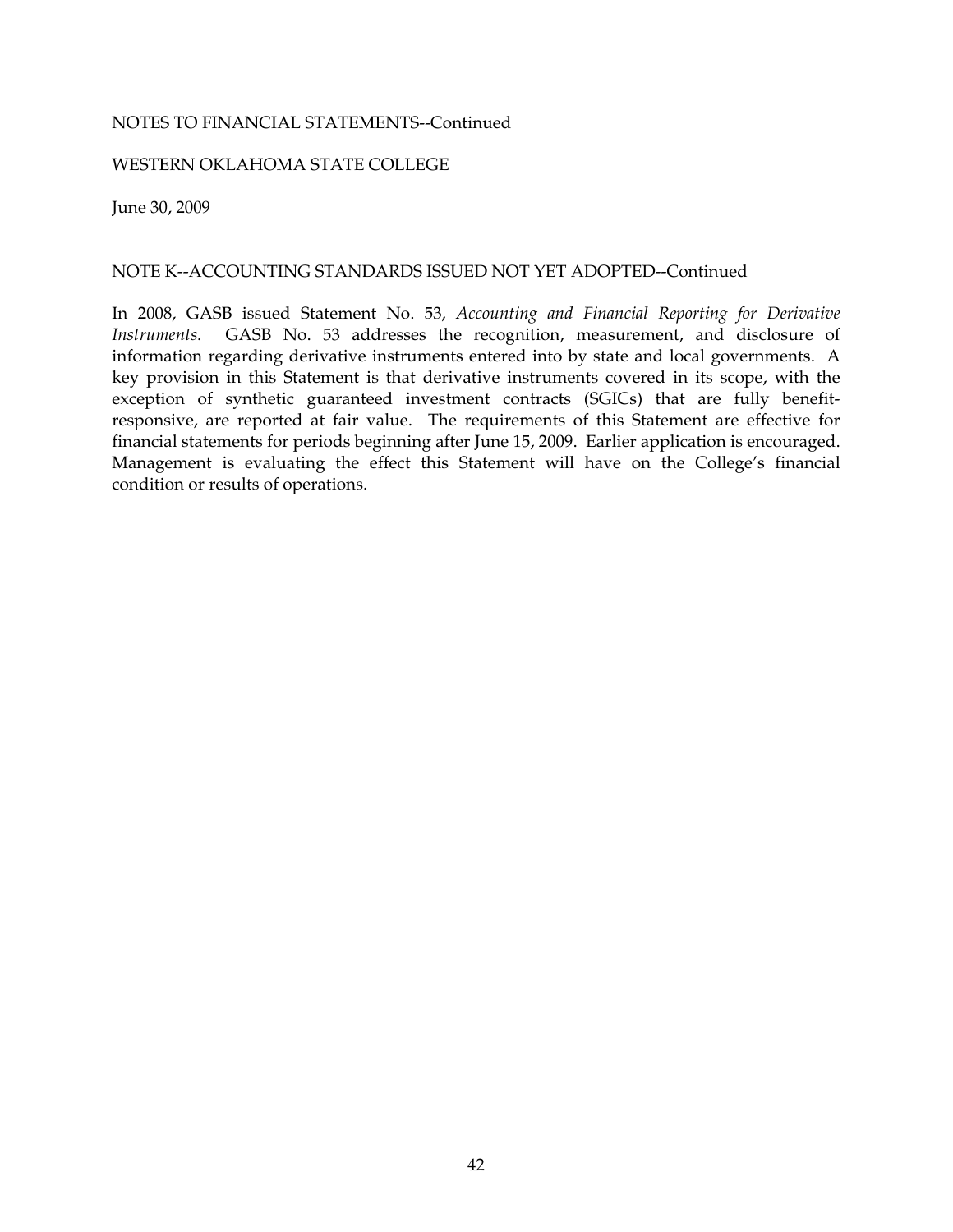#### WESTERN OKLAHOMA STATE COLLEGE

June 30, 2009

#### NOTE K--ACCOUNTING STANDARDS ISSUED NOT YET ADOPTED--Continued

In 2008, GASB issued Statement No. 53, *Accounting and Financial Reporting for Derivative Instruments.* GASB No. 53 addresses the recognition, measurement, and disclosure of information regarding derivative instruments entered into by state and local governments. A key provision in this Statement is that derivative instruments covered in its scope, with the exception of synthetic guaranteed investment contracts (SGICs) that are fully benefitresponsive, are reported at fair value. The requirements of this Statement are effective for financial statements for periods beginning after June 15, 2009. Earlier application is encouraged. Management is evaluating the effect this Statement will have on the College's financial condition or results of operations.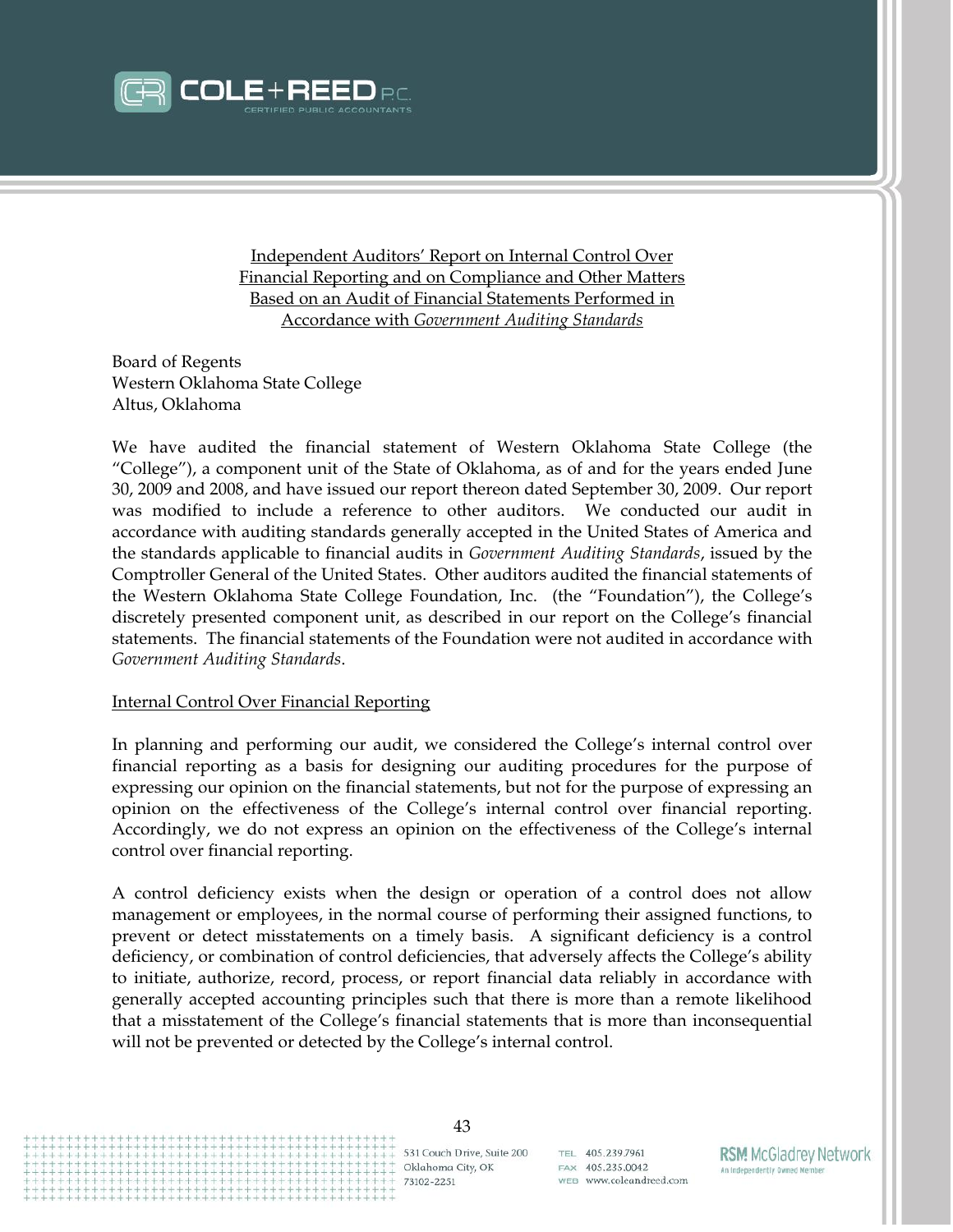

Independent Auditors' Report on Internal Control Over Financial Reporting and on Compliance and Other Matters Based on an Audit of Financial Statements Performed in Accordance with *Government Auditing Standards*

Board of Regents Western Oklahoma State College Altus, Oklahoma

We have audited the financial statement of Western Oklahoma State College (the "College"), a component unit of the State of Oklahoma, as of and for the years ended June 30, 2009 and 2008, and have issued our report thereon dated September 30, 2009. Our report was modified to include a reference to other auditors. We conducted our audit in accordance with auditing standards generally accepted in the United States of America and the standards applicable to financial audits in *Government Auditing Standards*, issued by the Comptroller General of the United States. Other auditors audited the financial statements of the Western Oklahoma State College Foundation, Inc. (the "Foundation"), the College's discretely presented component unit, as described in our report on the College's financial statements. The financial statements of the Foundation were not audited in accordance with *Government Auditing Standards*.

#### Internal Control Over Financial Reporting

In planning and performing our audit, we considered the College's internal control over financial reporting as a basis for designing our auditing procedures for the purpose of expressing our opinion on the financial statements, but not for the purpose of expressing an opinion on the effectiveness of the College's internal control over financial reporting. Accordingly, we do not express an opinion on the effectiveness of the College's internal control over financial reporting.

A control deficiency exists when the design or operation of a control does not allow management or employees, in the normal course of performing their assigned functions, to prevent or detect misstatements on a timely basis. A significant deficiency is a control deficiency, or combination of control deficiencies, that adversely affects the College's ability to initiate, authorize, record, process, or report financial data reliably in accordance with generally accepted accounting principles such that there is more than a remote likelihood that a misstatement of the College's financial statements that is more than inconsequential will not be prevented or detected by the College's internal control.



531 Couch Drive, Suite 200 Oklahoma City, OK 73102-2251

TEL 405.239.7961 FAX 405.235.0042 WEB www.coleandreed.com **RSM McGladrey Network** An Independently Owned Member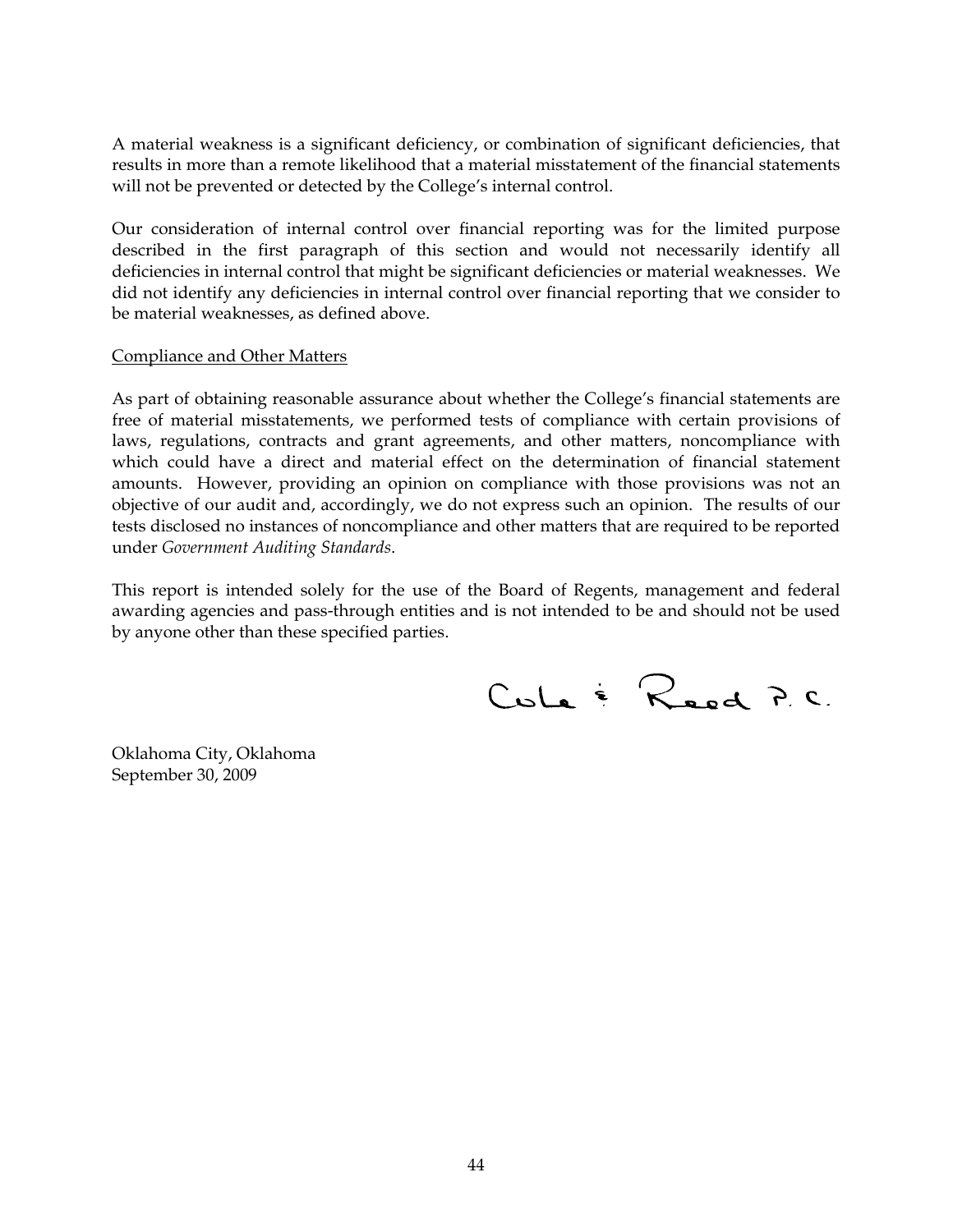A material weakness is a significant deficiency, or combination of significant deficiencies, that results in more than a remote likelihood that a material misstatement of the financial statements will not be prevented or detected by the College's internal control.

Our consideration of internal control over financial reporting was for the limited purpose described in the first paragraph of this section and would not necessarily identify all deficiencies in internal control that might be significant deficiencies or material weaknesses. We did not identify any deficiencies in internal control over financial reporting that we consider to be material weaknesses, as defined above.

#### Compliance and Other Matters

As part of obtaining reasonable assurance about whether the College's financial statements are free of material misstatements, we performed tests of compliance with certain provisions of laws, regulations, contracts and grant agreements, and other matters, noncompliance with which could have a direct and material effect on the determination of financial statement amounts. However, providing an opinion on compliance with those provisions was not an objective of our audit and, accordingly, we do not express such an opinion. The results of our tests disclosed no instances of noncompliance and other matters that are required to be reported under *Government Auditing Standards*.

This report is intended solely for the use of the Board of Regents, management and federal awarding agencies and pass-through entities and is not intended to be and should not be used by anyone other than these specified parties.

CuLe & Reed P.C.

Oklahoma City, Oklahoma September 30, 2009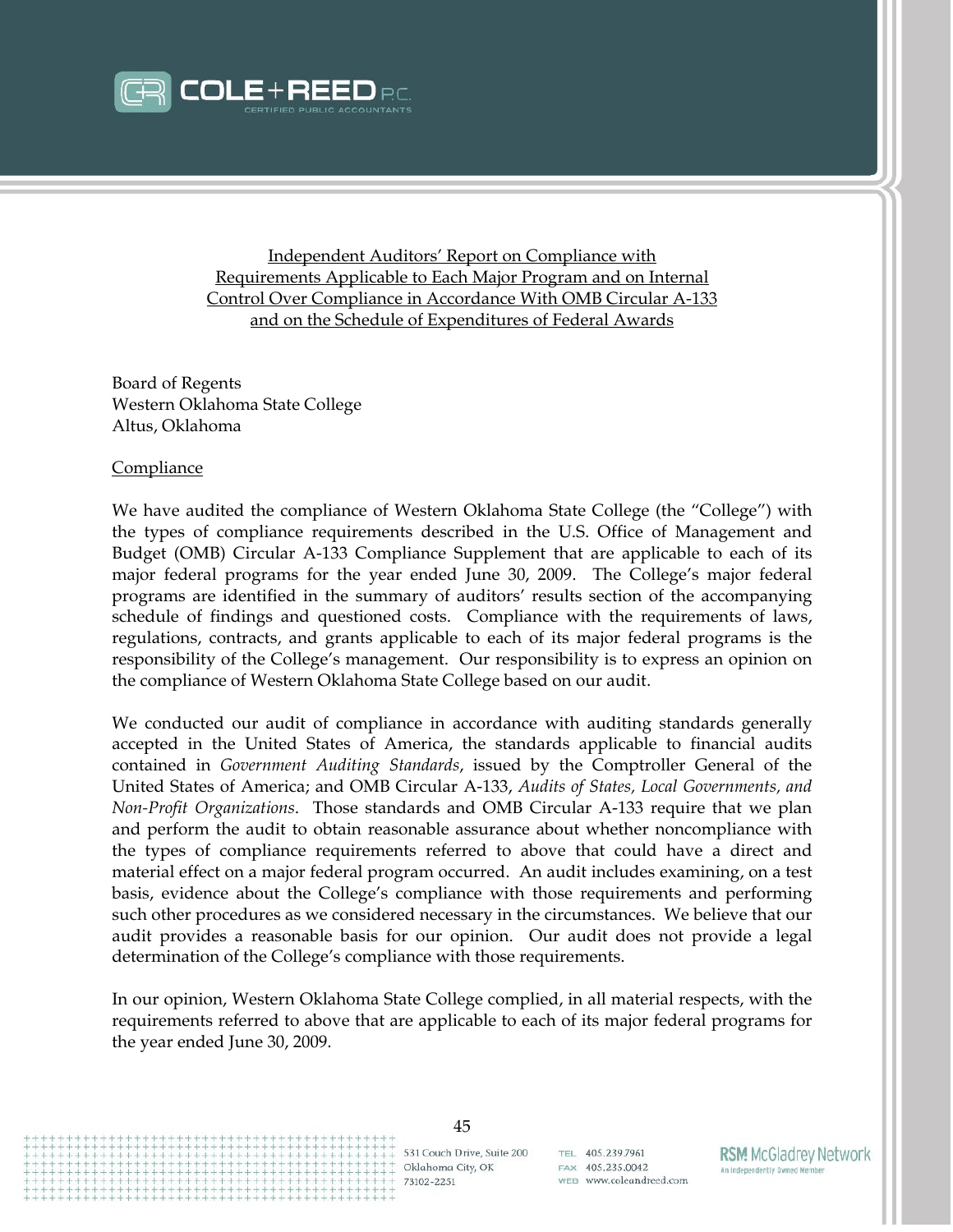

Independent Auditors' Report on Compliance with Requirements Applicable to Each Major Program and on Internal Control Over Compliance in Accordance With OMB Circular A-133 and on the Schedule of Expenditures of Federal Awards

Board of Regents Western Oklahoma State College Altus, Oklahoma

#### **Compliance**

We have audited the compliance of Western Oklahoma State College (the "College") with the types of compliance requirements described in the U.S. Office of Management and Budget (OMB) Circular A-133 Compliance Supplement that are applicable to each of its major federal programs for the year ended June 30, 2009. The College's major federal programs are identified in the summary of auditors' results section of the accompanying schedule of findings and questioned costs. Compliance with the requirements of laws, regulations, contracts, and grants applicable to each of its major federal programs is the responsibility of the College's management. Our responsibility is to express an opinion on the compliance of Western Oklahoma State College based on our audit.

We conducted our audit of compliance in accordance with auditing standards generally accepted in the United States of America, the standards applicable to financial audits contained in *Government Auditing Standards*, issued by the Comptroller General of the United States of America; and OMB Circular A-133, *Audits of States, Local Governments, and Non-Profit Organizations*. Those standards and OMB Circular A-133 require that we plan and perform the audit to obtain reasonable assurance about whether noncompliance with the types of compliance requirements referred to above that could have a direct and material effect on a major federal program occurred. An audit includes examining, on a test basis, evidence about the College's compliance with those requirements and performing such other procedures as we considered necessary in the circumstances. We believe that our audit provides a reasonable basis for our opinion. Our audit does not provide a legal determination of the College's compliance with those requirements.

In our opinion, Western Oklahoma State College complied, in all material respects, with the requirements referred to above that are applicable to each of its major federal programs for the year ended June 30, 2009.



531 Couch Drive, Suite 200 Oklahoma City, OK 73102-2251

TEL 405.239.7961 FAX 405.235.0042 WEB www.coleandreed.com **RSM McGladrey Network** An Independently Owned Member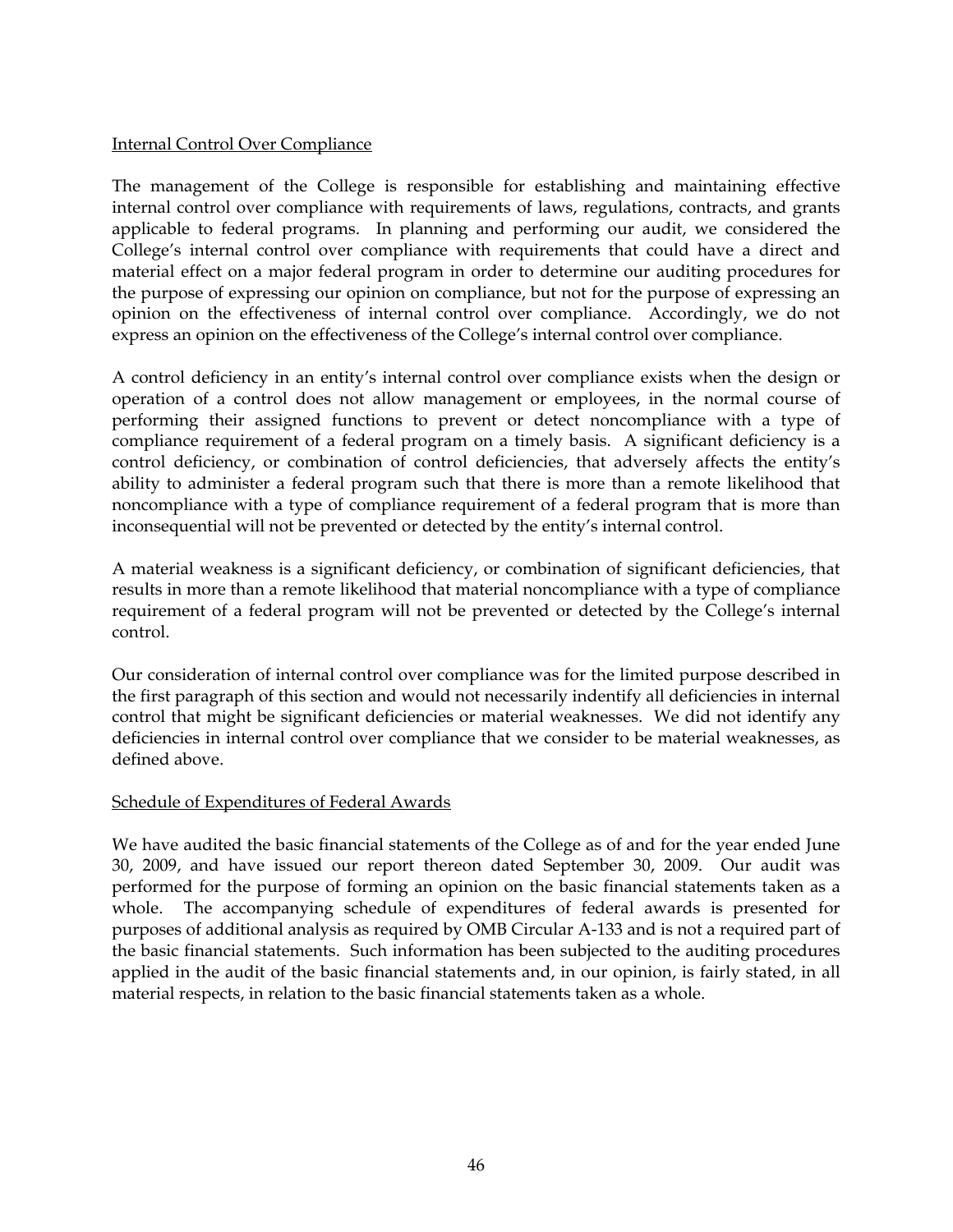#### Internal Control Over Compliance

The management of the College is responsible for establishing and maintaining effective internal control over compliance with requirements of laws, regulations, contracts, and grants applicable to federal programs. In planning and performing our audit, we considered the College's internal control over compliance with requirements that could have a direct and material effect on a major federal program in order to determine our auditing procedures for the purpose of expressing our opinion on compliance, but not for the purpose of expressing an opinion on the effectiveness of internal control over compliance. Accordingly, we do not express an opinion on the effectiveness of the College's internal control over compliance.

A control deficiency in an entity's internal control over compliance exists when the design or operation of a control does not allow management or employees, in the normal course of performing their assigned functions to prevent or detect noncompliance with a type of compliance requirement of a federal program on a timely basis. A significant deficiency is a control deficiency, or combination of control deficiencies, that adversely affects the entity's ability to administer a federal program such that there is more than a remote likelihood that noncompliance with a type of compliance requirement of a federal program that is more than inconsequential will not be prevented or detected by the entity's internal control.

A material weakness is a significant deficiency, or combination of significant deficiencies, that results in more than a remote likelihood that material noncompliance with a type of compliance requirement of a federal program will not be prevented or detected by the College's internal control.

Our consideration of internal control over compliance was for the limited purpose described in the first paragraph of this section and would not necessarily indentify all deficiencies in internal control that might be significant deficiencies or material weaknesses. We did not identify any deficiencies in internal control over compliance that we consider to be material weaknesses, as defined above.

#### Schedule of Expenditures of Federal Awards

We have audited the basic financial statements of the College as of and for the year ended June 30, 2009, and have issued our report thereon dated September 30, 2009. Our audit was performed for the purpose of forming an opinion on the basic financial statements taken as a whole. The accompanying schedule of expenditures of federal awards is presented for purposes of additional analysis as required by OMB Circular A-133 and is not a required part of the basic financial statements. Such information has been subjected to the auditing procedures applied in the audit of the basic financial statements and, in our opinion, is fairly stated, in all material respects, in relation to the basic financial statements taken as a whole.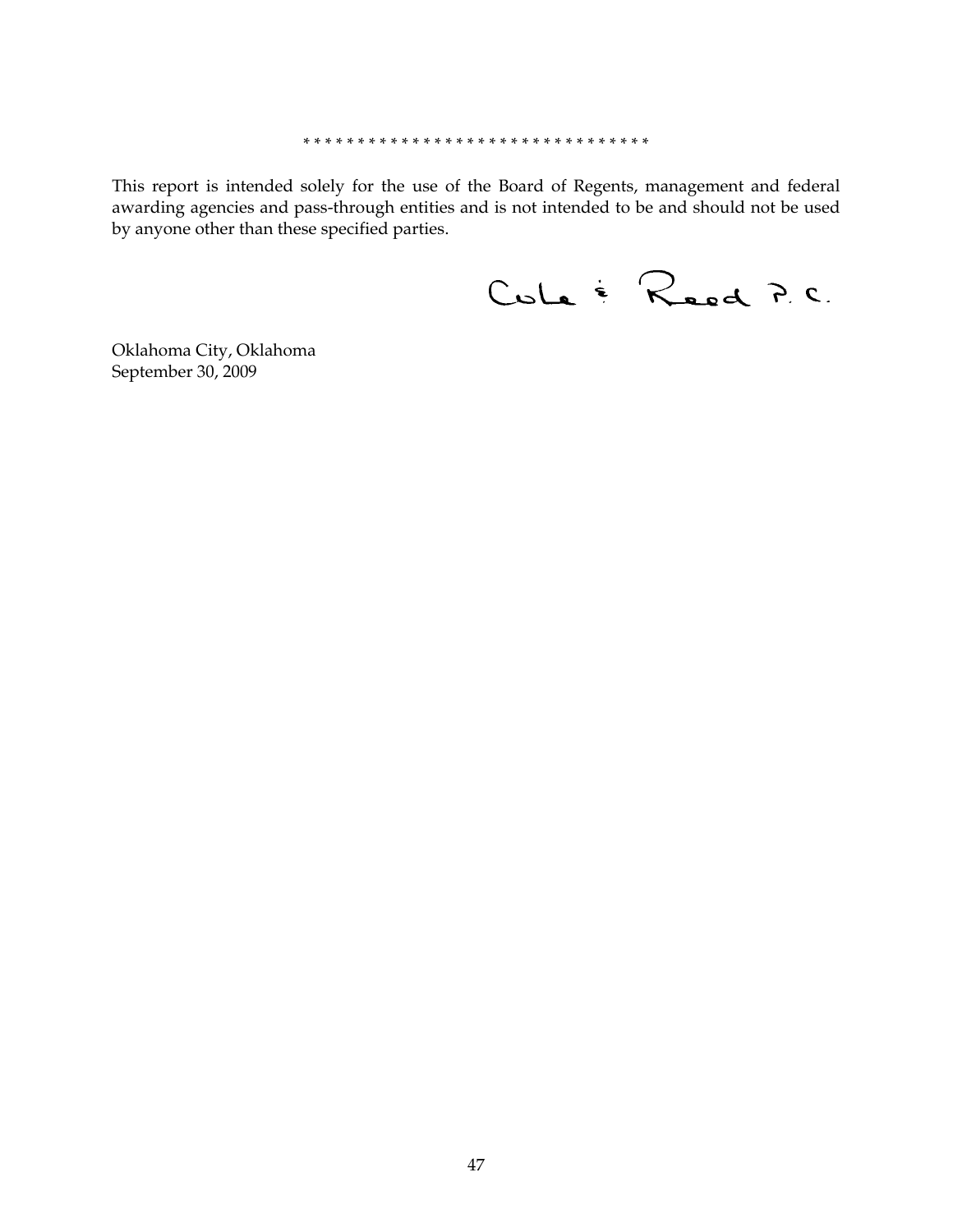#### \* \* \* \* \* \* \* \* \* \* \* \* \* \* \* \* \* \* \* \* \* \* \* \* \* \* \* \* \* \* \* \*

This report is intended solely for the use of the Board of Regents, management and federal awarding agencies and pass-through entities and is not intended to be and should not be used by anyone other than these specified parties.

Cule & Reed P.C.

Oklahoma City, Oklahoma September 30, 2009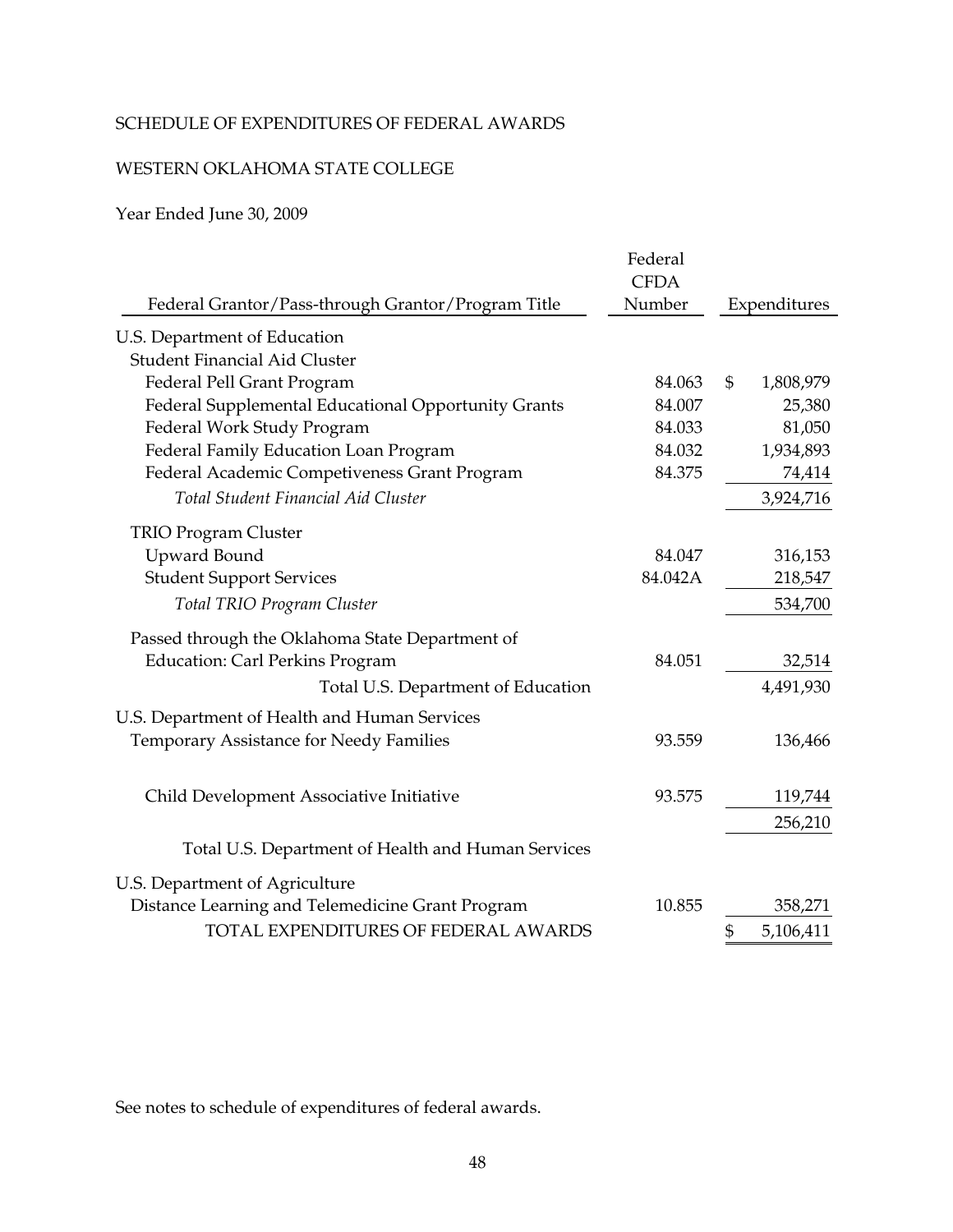# SCHEDULE OF EXPENDITURES OF FEDERAL AWARDS

## WESTERN OKLAHOMA STATE COLLEGE

Year Ended June 30, 2009

|                                                     | Federal<br><b>CFDA</b> |              |           |  |
|-----------------------------------------------------|------------------------|--------------|-----------|--|
| Federal Grantor/Pass-through Grantor/Program Title  | Number                 | Expenditures |           |  |
| U.S. Department of Education                        |                        |              |           |  |
| <b>Student Financial Aid Cluster</b>                |                        |              |           |  |
| Federal Pell Grant Program                          | 84.063                 | $\mathbb{S}$ | 1,808,979 |  |
| Federal Supplemental Educational Opportunity Grants | 84.007                 |              | 25,380    |  |
| Federal Work Study Program                          | 84.033                 |              | 81,050    |  |
| Federal Family Education Loan Program               | 84.032                 |              | 1,934,893 |  |
| Federal Academic Competiveness Grant Program        | 84.375                 |              | 74,414    |  |
| <b>Total Student Financial Aid Cluster</b>          |                        |              | 3,924,716 |  |
| <b>TRIO Program Cluster</b>                         |                        |              |           |  |
| Upward Bound                                        | 84.047                 |              | 316,153   |  |
| <b>Student Support Services</b>                     | 84.042A                |              | 218,547   |  |
| Total TRIO Program Cluster                          |                        |              | 534,700   |  |
| Passed through the Oklahoma State Department of     |                        |              |           |  |
| <b>Education: Carl Perkins Program</b>              | 84.051                 |              | 32,514    |  |
| Total U.S. Department of Education                  |                        |              | 4,491,930 |  |
| U.S. Department of Health and Human Services        |                        |              |           |  |
| Temporary Assistance for Needy Families             | 93.559                 |              | 136,466   |  |
| Child Development Associative Initiative            | 93.575                 |              | 119,744   |  |
|                                                     |                        |              | 256,210   |  |
| Total U.S. Department of Health and Human Services  |                        |              |           |  |
| U.S. Department of Agriculture                      |                        |              |           |  |
| Distance Learning and Telemedicine Grant Program    | 10.855                 |              | 358,271   |  |
| TOTAL EXPENDITURES OF FEDERAL AWARDS                |                        | \$           | 5,106,411 |  |

See notes to schedule of expenditures of federal awards.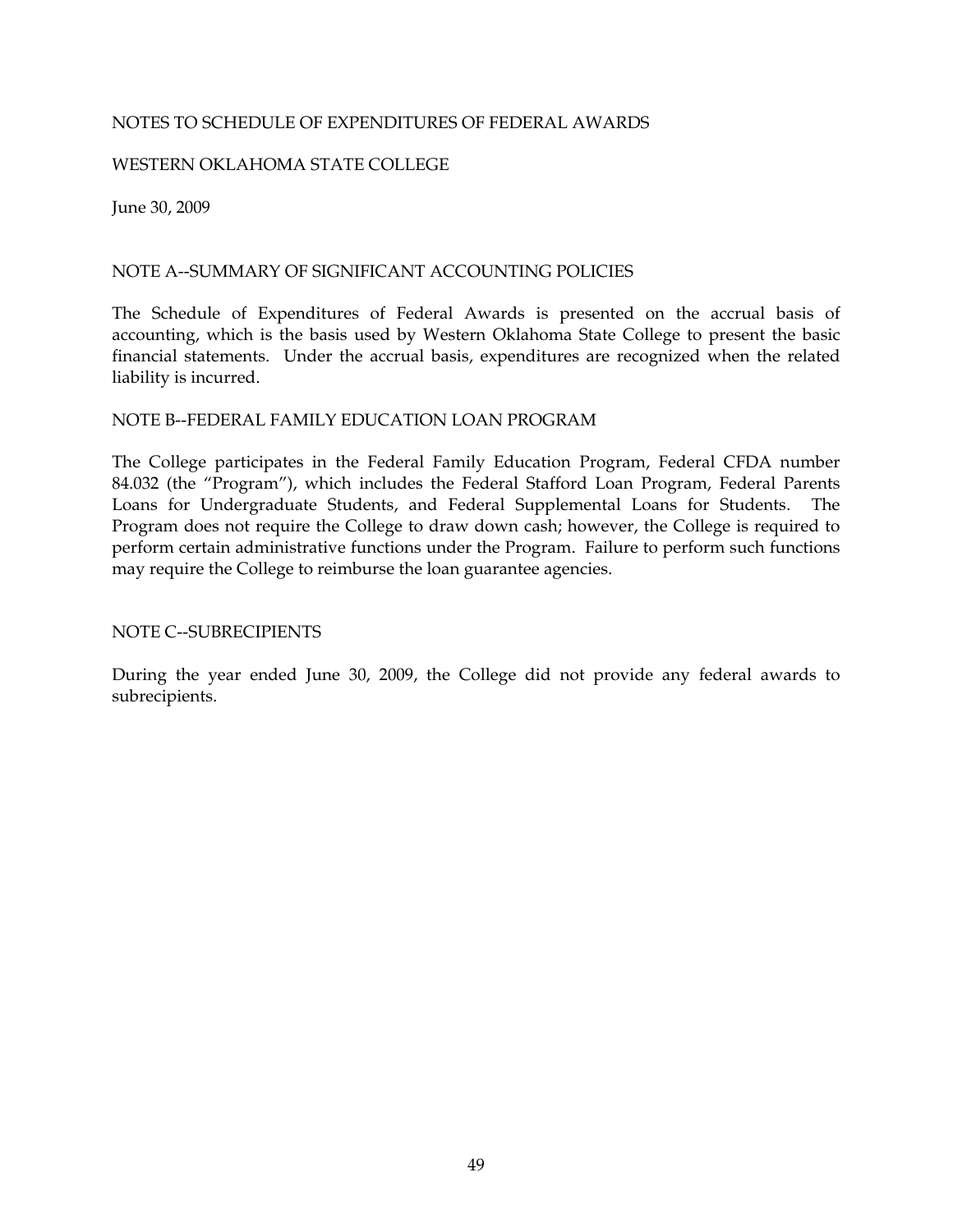#### NOTES TO SCHEDULE OF EXPENDITURES OF FEDERAL AWARDS

#### WESTERN OKLAHOMA STATE COLLEGE

June 30, 2009

#### NOTE A--SUMMARY OF SIGNIFICANT ACCOUNTING POLICIES

The Schedule of Expenditures of Federal Awards is presented on the accrual basis of accounting, which is the basis used by Western Oklahoma State College to present the basic financial statements. Under the accrual basis, expenditures are recognized when the related liability is incurred.

#### NOTE B--FEDERAL FAMILY EDUCATION LOAN PROGRAM

The College participates in the Federal Family Education Program, Federal CFDA number 84.032 (the "Program"), which includes the Federal Stafford Loan Program, Federal Parents Loans for Undergraduate Students, and Federal Supplemental Loans for Students. The Program does not require the College to draw down cash; however, the College is required to perform certain administrative functions under the Program. Failure to perform such functions may require the College to reimburse the loan guarantee agencies.

#### NOTE C--SUBRECIPIENTS

During the year ended June 30, 2009, the College did not provide any federal awards to subrecipients.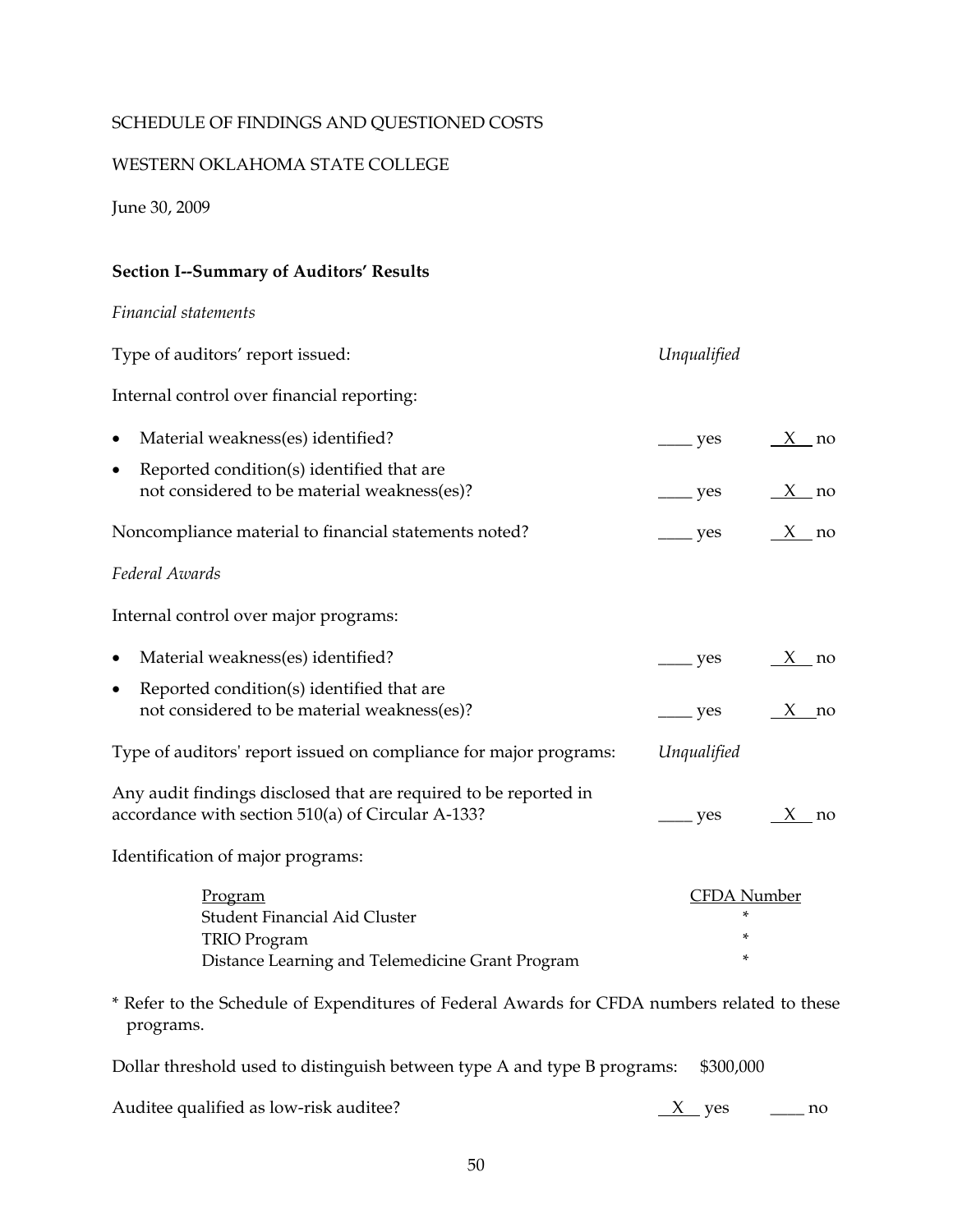## SCHEDULE OF FINDINGS AND QUESTIONED COSTS

#### WESTERN OKLAHOMA STATE COLLEGE

June 30, 2009

## **Section I--Summary of Auditors' Results**

*Financial statements*

| Type of auditors' report issued:                                                                                      | Unqualified              |                    |
|-----------------------------------------------------------------------------------------------------------------------|--------------------------|--------------------|
| Internal control over financial reporting:                                                                            |                          |                    |
| Material weakness(es) identified?<br>٠                                                                                | $\rule{1em}{0.15mm}$ yes | X no               |
| Reported condition(s) identified that are<br>$\bullet$<br>not considered to be material weakness(es)?                 | $\rule{1em}{0.15mm}$ yes | $X$ no             |
| Noncompliance material to financial statements noted?                                                                 | $\rule{1em}{0.15mm}$ yes | $\frac{X}{100}$ no |
| Federal Awards                                                                                                        |                          |                    |
| Internal control over major programs:                                                                                 |                          |                    |
| Material weakness(es) identified?<br>$\bullet$                                                                        | $\rule{1em}{0.15mm}$ yes | X no               |
| Reported condition(s) identified that are<br>$\bullet$<br>not considered to be material weakness(es)?                 | $\rule{1em}{0.15mm}$ yes | $X$ no             |
| Type of auditors' report issued on compliance for major programs:                                                     | Unqualified              |                    |
| Any audit findings disclosed that are required to be reported in<br>accordance with section 510(a) of Circular A-133? | yes                      | $X$ no             |
| Identification of major programs:                                                                                     |                          |                    |
| Program<br>Student Financial Aid Cluster<br>TRIO Program                                                              | CFDA Number<br>*<br>*    |                    |
| Distance Learning and Telemedicine Grant Program                                                                      | *                        |                    |

\* Refer to the Schedule of Expenditures of Federal Awards for CFDA numbers related to these programs.

Dollar threshold used to distinguish between type A and type B programs: \$300,000

| Auditee qualified as low-risk auditee? | X ves |  |
|----------------------------------------|-------|--|
|----------------------------------------|-------|--|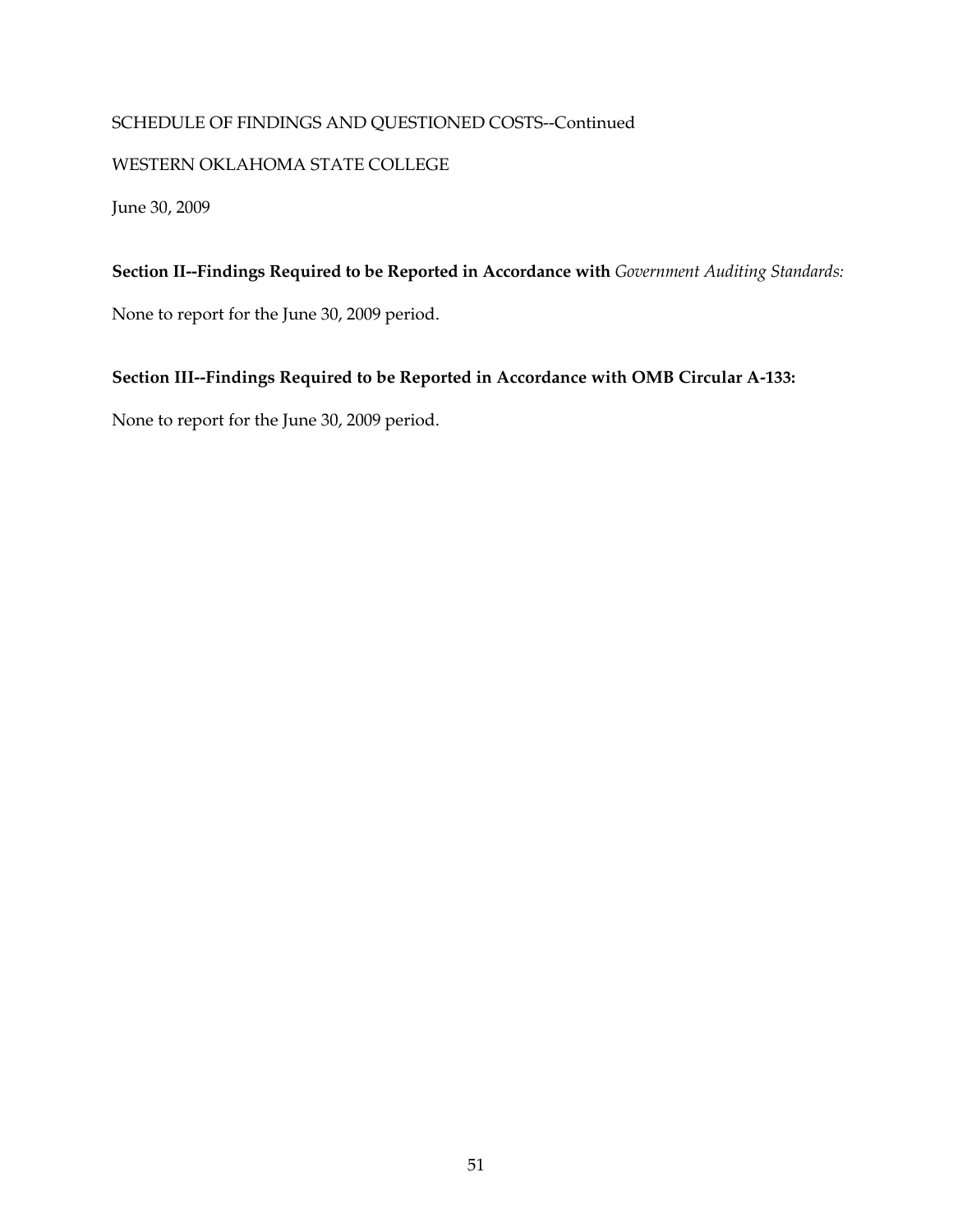## SCHEDULE OF FINDINGS AND QUESTIONED COSTS--Continued

## WESTERN OKLAHOMA STATE COLLEGE

June 30, 2009

# **Section II--Findings Required to be Reported in Accordance with** *Government Auditing Standards:*

None to report for the June 30, 2009 period.

## **Section III--Findings Required to be Reported in Accordance with OMB Circular A-133:**

None to report for the June 30, 2009 period.